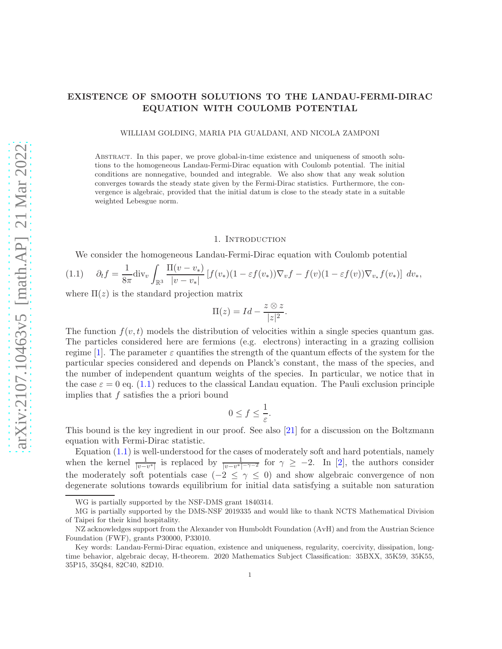# EXISTENCE OF SMOOTH SOLUTIONS TO THE LANDAU-FERMI-DIRAC EQUATION WITH COULOMB POTENTIAL

WILLIAM GOLDING, MARIA PIA GUALDANI, AND NICOLA ZAMPONI

Abstract. In this paper, we prove global-in-time existence and uniqueness of smooth solutions to the homogeneous Landau-Fermi-Dirac equation with Coulomb potential. The initial conditions are nonnegative, bounded and integrable. We also show that any weak solution converges towards the steady state given by the Fermi-Dirac statistics. Furthermore, the convergence is algebraic, provided that the initial datum is close to the steady state in a suitable weighted Lebesgue norm.

#### 1. Introduction

We consider the homogeneous Landau-Fermi-Dirac equation with Coulomb potential

<span id="page-0-0"></span>
$$
(1.1) \quad \partial_t f = \frac{1}{8\pi} \text{div}_v \int_{\mathbb{R}^3} \frac{\Pi(v - v_*)}{|v - v_*|} \left[ f(v_*) (1 - \varepsilon f(v_*) ) \nabla_v f - f(v) (1 - \varepsilon f(v)) \nabla_{v_*} f(v_*) \right] \, dv_*,
$$

where  $\Pi(z)$  is the standard projection matrix

$$
\Pi(z) = Id - \frac{z \otimes z}{|z|^2}.
$$

The function  $f(v, t)$  models the distribution of velocities within a single species quantum gas. The particles considered here are fermions (e.g. electrons) interacting in a grazing collision regime [\[1\]](#page-48-0). The parameter  $\varepsilon$  quantifies the strength of the quantum effects of the system for the particular species considered and depends on Planck's constant, the mass of the species, and the number of independent quantum weights of the species. In particular, we notice that in the case  $\varepsilon = 0$  eq. [\(1.1\)](#page-0-0) reduces to the classical Landau equation. The Pauli exclusion principle implies that  $f$  satisfies the a priori bound

$$
0 \le f \le \frac{1}{\varepsilon}.
$$

This bound is the key ingredient in our proof. See also [\[21\]](#page-48-1) for a discussion on the Boltzmann equation with Fermi-Dirac statistic.

Equation  $(1.1)$  is well-understood for the cases of moderately soft and hard potentials, namely when the kernel  $\frac{1}{|v-v^*|}$  is replaced by  $\frac{1}{|v-v^*|-\gamma-2}$  for  $\gamma \ge -2$ . In [\[2\]](#page-48-2), the authors consider the moderately soft potentials case ( $-2 \leq \gamma \leq 0$ ) and show algebraic convergence of non degenerate solutions towards equilibrium for initial data satisfying a suitable non saturation

WG is partially supported by the NSF-DMS grant 1840314.

MG is partially supported by the DMS-NSF 2019335 and would like to thank NCTS Mathematical Division of Taipei for their kind hospitality.

NZ acknowledges support from the Alexander von Humboldt Foundation (AvH) and from the Austrian Science Foundation (FWF), grants P30000, P33010.

Key words: Landau-Fermi-Dirac equation, existence and uniqueness, regularity, coercivity, dissipation, longtime behavior, algebraic decay, H-theorem. 2020 Mathematics Subject Classification: 35BXX, 35K59, 35K55, 35P15, 35Q84, 82C40, 82D10.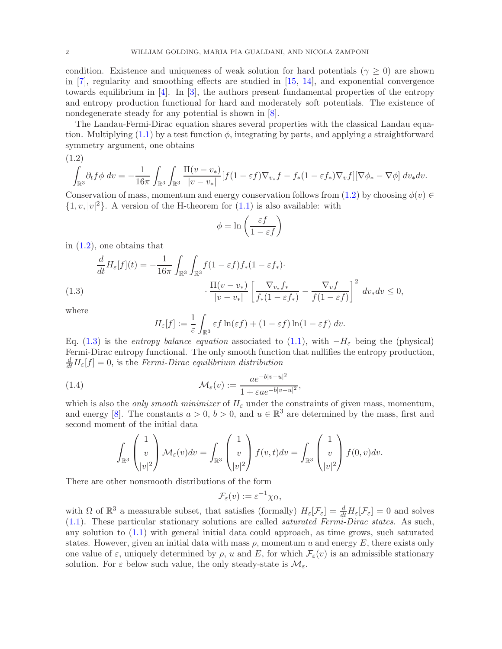condition. Existence and uniqueness of weak solution for hard potentials ( $\gamma \geq 0$ ) are shown in [\[7\]](#page-48-3), regularity and smoothing effects are studied in [\[15,](#page-48-4) [14\]](#page-48-5), and exponential convergence towards equilibrium in [\[4\]](#page-48-6). In [\[3\]](#page-48-7), the authors present fundamental properties of the entropy and entropy production functional for hard and moderately soft potentials. The existence of nondegenerate steady for any potential is shown in  $[8]$ .

The Landau-Fermi-Dirac equation shares several properties with the classical Landau equation. Multiplying  $(1.1)$  by a test function  $\phi$ , integrating by parts, and applying a straightforward symmetry argument, one obtains

<span id="page-1-0"></span>
$$
(1.2)
$$

$$
\int_{\mathbb{R}^3} \partial_t f \phi \ dv = -\frac{1}{16\pi} \int_{\mathbb{R}^3} \int_{\mathbb{R}^3} \frac{\Pi(v - v_*)}{|v - v_*|} [f(1 - \varepsilon f) \nabla_{v_*} f - f_*(1 - \varepsilon f_*) \nabla_v f][\nabla \phi_* - \nabla \phi] \ dv_* dv.
$$

Conservation of mass, momentum and energy conservation follows from [\(1.2\)](#page-1-0) by choosing  $\phi(v) \in$  $\{1, v, |v|^2\}$ . A version of the H-theorem for  $(1.1)$  is also available: with

$$
\phi = \ln\left(\frac{\varepsilon f}{1 - \varepsilon f}\right)
$$

in [\(1.2\)](#page-1-0), one obtains that

$$
\frac{d}{dt}H_{\varepsilon}[f](t) = -\frac{1}{16\pi} \int_{\mathbb{R}^3} \int_{\mathbb{R}^3} f(1 - \varepsilon f) f_*(1 - \varepsilon f_*) \cdot \frac{\Pi(v - v_*)}{|v - v_*|} \left[ \frac{\nabla v_* f_*}{f_*(1 - \varepsilon f_*)} - \frac{\nabla v f}{f(1 - \varepsilon f)} \right]^2 dv_* dv \le 0,
$$
\n(1.3)

<span id="page-1-1"></span>where

$$
H_{\varepsilon}[f] := \frac{1}{\varepsilon} \int_{\mathbb{R}^3} \varepsilon f \ln(\varepsilon f) + (1 - \varepsilon f) \ln(1 - \varepsilon f) dv.
$$

Eq. [\(1.3\)](#page-1-1) is the entropy balance equation associated to [\(1.1\)](#page-0-0), with  $-H_{\varepsilon}$  being the (physical) Fermi-Dirac entropy functional. The only smooth function that nullifies the entropy production,  $\frac{d}{dt}H_{\varepsilon}[f] = 0$ , is the Fermi-Dirac equilibrium distribution

<span id="page-1-2"></span>(1.4) 
$$
\mathcal{M}_{\varepsilon}(v) := \frac{ae^{-b|v-u|^2}}{1 + \varepsilon ae^{-b|v-u|^2}},
$$

which is also the *only smooth minimizer* of  $H_{\varepsilon}$  under the constraints of given mass, momentum, and energy [\[8\]](#page-48-8). The constants  $a > 0$ ,  $b > 0$ , and  $u \in \mathbb{R}^3$  are determined by the mass, first and second moment of the initial data

$$
\int_{\mathbb{R}^3} \begin{pmatrix} 1 \\ v \\ |v|^2 \end{pmatrix} \mathcal{M}_{\varepsilon}(v) dv = \int_{\mathbb{R}^3} \begin{pmatrix} 1 \\ v \\ |v|^2 \end{pmatrix} f(v, t) dv = \int_{\mathbb{R}^3} \begin{pmatrix} 1 \\ v \\ |v|^2 \end{pmatrix} f(0, v) dv.
$$

There are other nonsmooth distributions of the form

$$
\mathcal{F}_{\varepsilon}(v) := \varepsilon^{-1} \chi_{\Omega},
$$

with  $\Omega$  of  $\mathbb{R}^3$  a measurable subset, that satisfies (formally)  $H_{\varepsilon}[\mathcal{F}_{\varepsilon}]=\frac{d}{dt}H_{\varepsilon}[\mathcal{F}_{\varepsilon}]=0$  and solves [\(1.1\)](#page-0-0). These particular stationary solutions are called saturated Fermi-Dirac states. As such, any solution to  $(1.1)$  with general initial data could approach, as time grows, such saturated states. However, given an initial data with mass  $\rho$ , momentum u and energy E, there exists only one value of  $\varepsilon$ , uniquely determined by  $\rho$ , u and E, for which  $\mathcal{F}_{\varepsilon}(v)$  is an admissible stationary solution. For  $\varepsilon$  below such value, the only steady-state is  $\mathcal{M}_{\varepsilon}$ .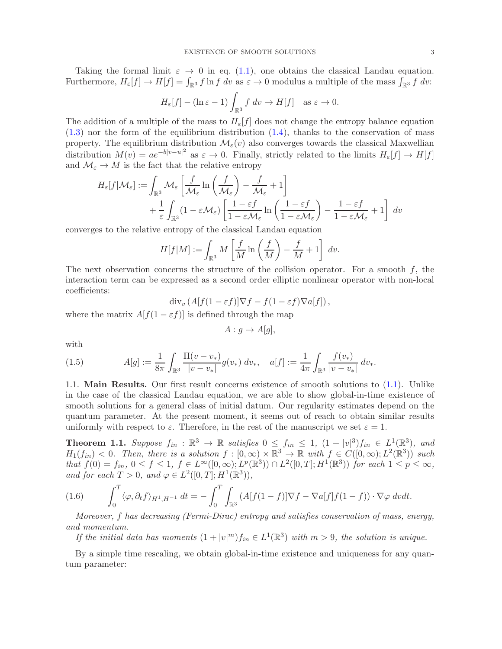Taking the formal limit  $\varepsilon \to 0$  in eq. [\(1.1\)](#page-0-0), one obtains the classical Landau equation. Furthermore,  $H_{\varepsilon}[f] \to H[f] = \int_{\mathbb{R}^3} f \ln f \, dv$  as  $\varepsilon \to 0$  modulus a multiple of the mass  $\int_{\mathbb{R}^3} f \, dv$ :

$$
H_{\varepsilon}[f] - (\ln \varepsilon - 1) \int_{\mathbb{R}^3} f \, dv \to H[f] \quad \text{as } \varepsilon \to 0.
$$

The addition of a multiple of the mass to  $H_{\varepsilon}[f]$  does not change the entropy balance equation  $(1.3)$  nor the form of the equilibrium distribution  $(1.4)$ , thanks to the conservation of mass property. The equilibrium distribution  $\mathcal{M}_{\varepsilon}(v)$  also converges towards the classical Maxwellian distribution  $M(v) = ae^{-b|v-u|^2}$  as  $\varepsilon \to 0$ . Finally, strictly related to the limits  $H_{\varepsilon}[f] \to H[f]$ and  $\mathcal{M}_{\varepsilon} \to M$  is the fact that the relative entropy

$$
H_{\varepsilon}[f|\mathcal{M}_{\varepsilon}] := \int_{\mathbb{R}^3} \mathcal{M}_{\varepsilon} \left[ \frac{f}{\mathcal{M}_{\varepsilon}} \ln \left( \frac{f}{\mathcal{M}_{\varepsilon}} \right) - \frac{f}{\mathcal{M}_{\varepsilon}} + 1 \right] + \frac{1}{\varepsilon} \int_{\mathbb{R}^3} (1 - \varepsilon \mathcal{M}_{\varepsilon}) \left[ \frac{1 - \varepsilon f}{1 - \varepsilon \mathcal{M}_{\varepsilon}} \ln \left( \frac{1 - \varepsilon f}{1 - \varepsilon \mathcal{M}_{\varepsilon}} \right) - \frac{1 - \varepsilon f}{1 - \varepsilon \mathcal{M}_{\varepsilon}} + 1 \right] dv
$$

converges to the relative entropy of the classical Landau equation

$$
H[f|M] := \int_{\mathbb{R}^3} M\left[\frac{f}{M}\ln\left(\frac{f}{M}\right) - \frac{f}{M} + 1\right] dv.
$$

The next observation concerns the structure of the collision operator. For a smooth  $f$ , the interaction term can be expressed as a second order elliptic nonlinear operator with non-local coefficients:

$$
\operatorname{div}_v \left( A[f(1-\varepsilon f)]\nabla f - f(1-\varepsilon f)\nabla a[f] \right),\,
$$

where the matrix  $A[f(1-\varepsilon f)]$  is defined through the map

$$
A:g \mapsto A[g],
$$

with

<span id="page-2-1"></span>(1.5) 
$$
A[g] := \frac{1}{8\pi} \int_{\mathbb{R}^3} \frac{\Pi(v - v_*)}{|v - v_*|} g(v_*) \, dv_*, \quad a[f] := \frac{1}{4\pi} \int_{\mathbb{R}^3} \frac{f(v_*)}{|v - v_*|} \, dv_*.
$$

1.1. Main Results. Our first result concerns existence of smooth solutions to [\(1.1\)](#page-0-0). Unlike in the case of the classical Landau equation, we are able to show global-in-time existence of smooth solutions for a general class of initial datum. Our regularity estimates depend on the quantum parameter. At the present moment, it seems out of reach to obtain similar results uniformly with respect to  $\varepsilon$ . Therefore, in the rest of the manuscript we set  $\varepsilon = 1$ .

<span id="page-2-0"></span>**Theorem 1.1.** Suppose  $f_{in}: \mathbb{R}^3 \to \mathbb{R}$  satisfies  $0 \leq f_{in} \leq 1$ ,  $(1+|v|^3)f_{in} \in L^1(\mathbb{R}^3)$ , and  $H_1(f_{in}) < 0$ . Then, there is a solution  $f : [0, \infty) \times \mathbb{R}^3 \to \mathbb{R}$  with  $f \in C([0, \infty); L^2(\mathbb{R}^3))$  such that  $f(0) = f_{in}$ ,  $0 \le f \le 1$ ,  $f \in L^{\infty}([0, \infty); L^{p}(\mathbb{R}^{3})) \cap L^{2}([0, T]; H^{1}(\mathbb{R}^{3}))$  for each  $1 \le p \le \infty$ , and for each  $T > 0$ , and  $\varphi \in L^2([0, T]; H^1(\mathbb{R}^3)),$ 

<span id="page-2-2"></span>(1.6) 
$$
\int_0^T \langle \varphi, \partial_t f \rangle_{H^1, H^{-1}} dt = - \int_0^T \int_{\mathbb{R}^3} (A[f(1-f)] \nabla f - \nabla a[f] f(1-f)) \cdot \nabla \varphi dv dt.
$$

Moreover, f has decreasing (Fermi-Dirac) entropy and satisfies conservation of mass, energy, and momentum.

If the initial data has moments  $(1+|v|^m)f_{in} \in L^1(\mathbb{R}^3)$  with  $m > 9$ , the solution is unique.

By a simple time rescaling, we obtain global-in-time existence and uniqueness for any quantum parameter: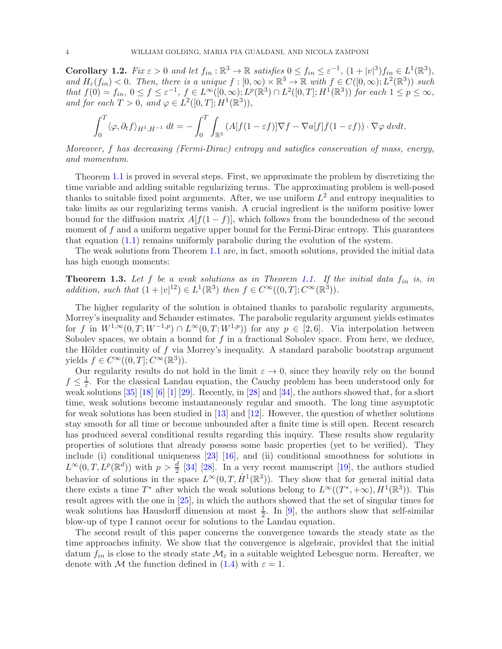**Corollary 1.2.** Fix  $\varepsilon > 0$  and let  $f_{in} : \mathbb{R}^3 \to \mathbb{R}$  satisfies  $0 \le f_{in} \le \varepsilon^{-1}$ ,  $(1 + |v|^3) f_{in} \in L^1(\mathbb{R}^3)$ , and  $H_{\varepsilon}(f_{in}) < 0$ . Then, there is a unique  $f : [0, \infty) \times \mathbb{R}^3 \to \mathbb{R}$  with  $f \in C([0, \infty); L^2(\mathbb{R}^3))$  such that  $f(0) = f_{in}$ ,  $0 \le f \le \varepsilon^{-1}$ ,  $f \in L^{\infty}([0, \infty); L^{p}(\mathbb{R}^{3}) \cap L^{2}([0, T]; H^{1}(\mathbb{R}^{3}))$  for each  $1 \le p \le \infty$ , and for each  $T > 0$ , and  $\varphi \in L^2([0, T]; H^1(\mathbb{R}^3))$ ,

$$
\int_0^T \langle \varphi, \partial_t f \rangle_{H^1, H^{-1}} dt = - \int_0^T \int_{\mathbb{R}^3} (A[f(1 - \varepsilon f)] \nabla f - \nabla a[f] f(1 - \varepsilon f)) \cdot \nabla \varphi \, dv dt.
$$

Moreover, f has decreasing (Fermi-Dirac) entropy and satisfies conservation of mass, energy, and momentum.

Theorem [1.1](#page-2-0) is proved in several steps. First, we approximate the problem by discretizing the time variable and adding suitable regularizing terms. The approximating problem is well-posed thanks to suitable fixed point arguments. After, we use uniform  $L^2$  and entropy inequalities to take limits as our regularizing terms vanish. A crucial ingredient is the uniform positive lower bound for the diffusion matrix  $A[f(1-f)]$ , which follows from the boundedness of the second moment of  $f$  and a uniform negative upper bound for the Fermi-Dirac entropy. This guarantees that equation  $(1.1)$  remains uniformly parabolic during the evolution of the system.

The weak solutions from Theorem [1.1](#page-2-0) are, in fact, smooth solutions, provided the initial data has high enough moments:

<span id="page-3-0"></span>**Theorem 1.3.** Let f be a weak solutions as in Theorem [1.1.](#page-2-0) If the initial data  $f_{in}$  is, in addition, such that  $(1+|v|^{12}) \in L^1(\mathbb{R}^3)$  then  $f \in C^\infty((0,T]; C^\infty(\mathbb{R}^3))$ .

The higher regularity of the solution is obtained thanks to parabolic regularity arguments, Morrey's inequality and Schauder estimates. The parabolic regularity argument yields estimates for f in  $W^{1,\infty}(0,T;W^{-1,p}) \cap L^{\infty}(0,T;W^{1,p})$  for any  $p \in [2,6]$ . Via interpolation between Sobolev spaces, we obtain a bound for  $f$  in a fractional Sobolev space. From here, we deduce, the Hölder continuity of  $f$  via Morrey's inequality. A standard parabolic bootstrap argument yields  $f \in C^{\infty}((0,T]; C^{\infty}(\mathbb{R}^3)).$ 

Our regularity results do not hold in the limit  $\varepsilon \to 0$ , since they heavily rely on the bound  $f\leq \frac{1}{\varepsilon}$  $\frac{1}{\varepsilon}$ . For the classical Landau equation, the Cauchy problem has been understood only for weak solutions [\[35\]](#page-49-0) [\[18\]](#page-48-9) [\[6\]](#page-48-10) [\[1\]](#page-48-0) [\[29\]](#page-49-1). Recently, in [\[28\]](#page-49-2) and [\[34\]](#page-49-3), the authors showed that, for a short time, weak solutions become instantaneously regular and smooth. The long time asymptotic for weak solutions has been studied in [\[13\]](#page-48-11) and [\[12\]](#page-48-12). However, the question of whether solutions stay smooth for all time or become unbounded after a finite time is still open. Recent research has produced several conditional results regarding this inquiry. These results show regularity properties of solutions that already possess some basic properties (yet to be verified). They include (i) conditional uniqueness [\[23\]](#page-48-13) [\[16\]](#page-48-14), and (ii) conditional smoothness for solutions in  $L^{\infty}(0,T,L^p(\mathbb{R}^d))$  with  $p > \frac{d}{2}$  [\[34\]](#page-49-3) [\[28\]](#page-49-2). In a very recent manuscript [\[19\]](#page-48-15), the authors studied behavior of solutions in the space  $L^{\infty}(0,T, \dot{H}^1(\mathbb{R}^3))$ . They show that for general initial data there exists a time  $T^*$  after which the weak solutions belong to  $L^{\infty}((T^*, +\infty), H^1(\mathbb{R}^3))$ . This result agrees with the one in [\[25\]](#page-48-16), in which the authors showed that the set of singular times for weak solutions has Hausdorff dimension at most  $\frac{1}{2}$ . In [\[9\]](#page-48-17), the authors show that self-similar blow-up of type I cannot occur for solutions to the Landau equation.

The second result of this paper concerns the convergence towards the steady state as the time approaches infinity. We show that the convergence is algebraic, provided that the initial datum  $f_{in}$  is close to the steady state  $\mathcal{M}_{\varepsilon}$  in a suitable weighted Lebesgue norm. Hereafter, we denote with M the function defined in [\(1.4\)](#page-1-2) with  $\varepsilon = 1$ .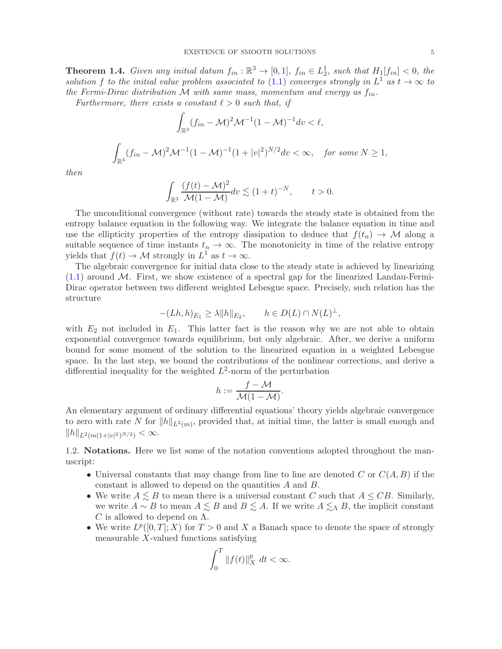<span id="page-4-0"></span>**Theorem 1.4.** Given any initial datum  $f_{in} : \mathbb{R}^3 \to [0,1]$ ,  $f_{in} \in L_2^1$ , such that  $H_1[f_{in}] < 0$ , the solution f to the initial value problem associated to [\(1.1\)](#page-0-0) converges strongly in  $L^1$  as  $t \to \infty$  to the Fermi-Dirac distribution M with same mass, momentum and energy as  $f_{in}$ .

Furthermore, there exists a constant  $\ell > 0$  such that, if

$$
\int_{\mathbb{R}^3} (f_{in} - \mathcal{M})^2 \mathcal{M}^{-1} (1 - \mathcal{M})^{-1} dv < \ell,
$$
  

$$
\int_{\mathbb{R}^3} (f_{in} - \mathcal{M})^2 \mathcal{M}^{-1} (1 - \mathcal{M})^{-1} (1 + |v|^2)^{N/2} dv < \infty, \text{ for some } N \ge 1,
$$

then

$$
\int_{\mathbb{R}^3} \frac{(f(t) - \mathcal{M})^2}{\mathcal{M}(1 - \mathcal{M})} dv \lesssim (1 + t)^{-N}, \qquad t > 0.
$$

The unconditional convergence (without rate) towards the steady state is obtained from the entropy balance equation in the following way. We integrate the balance equation in time and use the ellipticity properties of the entropy dissipation to deduce that  $f(t_n) \to \mathcal{M}$  along a suitable sequence of time instants  $t_n \to \infty$ . The monotonicity in time of the relative entropy yields that  $f(t) \to M$  strongly in  $L^1$  as  $t \to \infty$ .

The algebraic convergence for initial data close to the steady state is achieved by linearizing  $(1.1)$  around M. First, we show existence of a spectral gap for the linearized Landau-Fermi-Dirac operator between two different weighted Lebesgue space. Precisely, such relation has the structure

$$
-(Lh,h)_{E_1} \ge \lambda \|h\|_{E_2}, \qquad h \in D(L) \cap N(L)^{\perp},
$$

with  $E_2$  not included in  $E_1$ . This latter fact is the reason why we are not able to obtain exponential convergence towards equilibrium, but only algebraic. After, we derive a uniform bound for some moment of the solution to the linearized equation in a weighted Lebesgue space. In the last step, we bound the contributions of the nonlinear corrections, and derive a differential inequality for the weighted  $L^2$ -norm of the perturbation

$$
h:=\frac{f-\mathcal{M}}{\mathcal{M}(1-\mathcal{M})}.
$$

An elementary argument of ordinary differential equations' theory yields algebraic convergence to zero with rate N for  $||h||_{L^2(m)}$ , provided that, at initial time, the latter is small enough and  $||h||_{L^2(m(1+|v|^2)^{N/2})} < \infty.$ 

1.2. Notations. Here we list some of the notation conventions adopted throughout the manuscript:

- Universal constants that may change from line to line are denoted C or  $C(A, B)$  if the constant is allowed to depend on the quantities A and B.
- We write  $A \leq B$  to mean there is a universal constant C such that  $A \leq CB$ . Similarly, we write  $A \sim B$  to mean  $A \lesssim B$  and  $B \lesssim A$ . If we write  $A \lesssim_{\Lambda} B$ , the implicit constant  $C$  is allowed to depend on  $\Lambda$ .
- We write  $L^p([0,T];X)$  for  $T>0$  and X a Banach space to denote the space of strongly measurable X-valued functions satisfying

$$
\int_0^T \|f(t)\|_X^p dt < \infty.
$$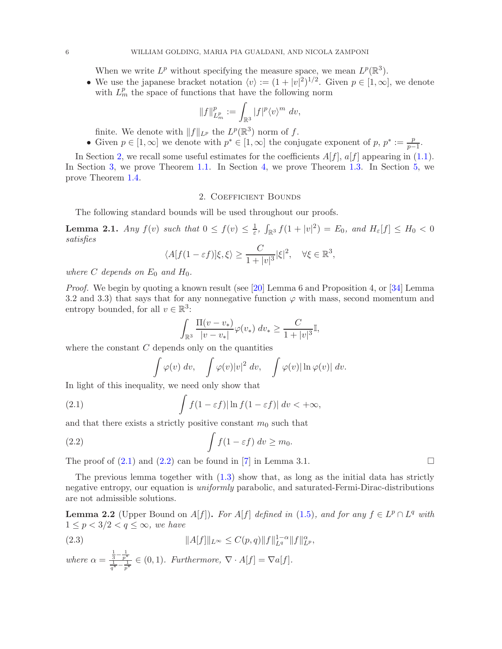When we write  $L^p$  without specifying the measure space, we mean  $L^p(\mathbb{R}^3)$ .

• We use the japanese bracket notation  $\langle v \rangle := (1 + |v|^2)^{1/2}$ . Given  $p \in [1, \infty]$ , we denote with  $L_m^p$  the space of functions that have the following norm

$$
||f||_{L_m^p}^p := \int_{\mathbb{R}^3} |f|^p \langle v \rangle^m dv,
$$

finite. We denote with  $||f||_{L^p}$  the  $L^p(\mathbb{R}^3)$  norm of f.

• Given  $p \in [1,\infty]$  we denote with  $p^* \in [1,\infty]$  the conjugate exponent of  $p, p^* := \frac{p}{p-1}$  $\frac{p}{p-1}$ .

In Section [2,](#page-5-0) we recall some useful estimates for the coefficients  $A[f]$ ,  $a[f]$  appearing in [\(1.1\)](#page-0-0). In Section [3,](#page-6-0) we prove Theorem [1.1.](#page-2-0) In Section [4,](#page-26-0) we prove Theorem [1.3.](#page-3-0) In Section [5,](#page-32-0) we prove Theorem [1.4.](#page-4-0)

#### 2. Coefficient Bounds

<span id="page-5-0"></span>The following standard bounds will be used throughout our proofs.

<span id="page-5-4"></span>**Lemma 2.1.** Any  $f(v)$  such that  $0 \le f(v) \le \frac{1}{\varepsilon}$ ,  $\int_{\mathbb{R}^3} f(1+|v|^2) = E_0$ , and  $H_{\varepsilon}[f] \le H_0 < 0$ satisfies

$$
\langle A[f(1-\varepsilon f)]\xi,\xi\rangle \ge \frac{C}{1+|v|^3}|\xi|^2, \quad \forall \xi \in \mathbb{R}^3,
$$

where C depends on  $E_0$  and  $H_0$ .

*Proof.* We begin by quoting a known result (see [\[20\]](#page-48-18) Lemma 6 and Proposition 4, or [\[34\]](#page-49-3) Lemma 3.2 and 3.3) that says that for any nonnegative function  $\varphi$  with mass, second momentum and entropy bounded, for all  $v \in \mathbb{R}^3$ :

$$
\int_{\mathbb{R}^3} \frac{\Pi(v - v_*)}{|v - v_*|} \varphi(v_*) \ dv_* \geq \frac{C}{1 + |v|^3} \mathbb{I},
$$

where the constant  $C$  depends only on the quantities

$$
\int \varphi(v) dv, \quad \int \varphi(v)|v|^2 dv, \quad \int \varphi(v)|\ln \varphi(v)| dv.
$$

In light of this inequality, we need only show that

<span id="page-5-1"></span>(2.1) 
$$
\int f(1-\varepsilon f)|\ln f(1-\varepsilon f)| dv < +\infty,
$$

and that there exists a strictly positive constant  $m_0$  such that

<span id="page-5-2"></span>(2.2) 
$$
\int f(1-\varepsilon f) dv \ge m_0.
$$

The proof of  $(2.1)$  and  $(2.2)$  can be found in [\[7\]](#page-48-3) in Lemma 3.1.

The previous lemma together with  $(1.3)$  show that, as long as the initial data has strictly negative entropy, our equation is *uniformly* parabolic, and saturated-Fermi-Dirac-distributions are not admissible solutions.

<span id="page-5-3"></span>**Lemma 2.2** (Upper Bound on A[f]). For A[f] defined in [\(1.5\)](#page-2-1), and for any  $f \in L^p \cap L^q$  with  $1 \leq p < 3/2 < q \leq \infty$ , we have

(2.3) 
$$
||A[f]||_{L^{\infty}} \leq C(p,q) ||f||_{L^q}^{1-\alpha} ||f||_{L^p}^{\alpha},
$$

where 
$$
\alpha = \frac{\frac{1}{3} - \frac{1}{p^*}}{\frac{1}{q^*} - \frac{1}{p^*}} \in (0, 1)
$$
. Furthermore,  $\nabla \cdot A[f] = \nabla a[f]$ .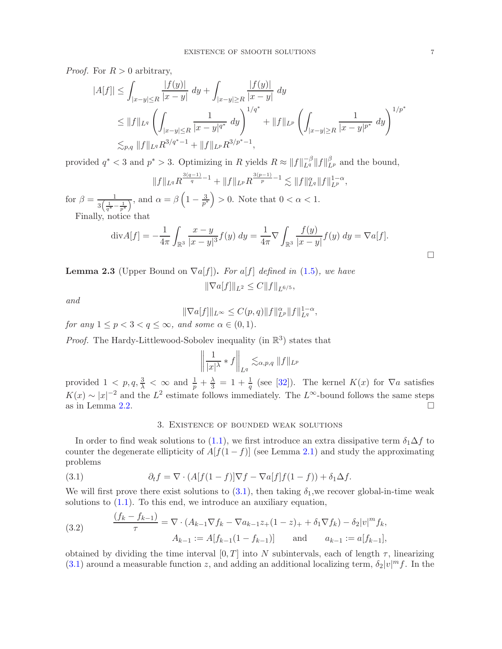*Proof.* For  $R > 0$  arbitrary,

$$
|A[f]| \leq \int_{|x-y| \leq R} \frac{|f(y)|}{|x-y|} dy + \int_{|x-y| \geq R} \frac{|f(y)|}{|x-y|} dy
$$
  
\n
$$
\leq ||f||_{L^q} \left( \int_{|x-y| \leq R} \frac{1}{|x-y|^{q^*}} dy \right)^{1/q^*} + ||f||_{L^p} \left( \int_{|x-y| \geq R} \frac{1}{|x-y|^{p^*}} dy \right)^{1/p^*}
$$
  
\n
$$
\lesssim_{p,q} ||f||_{L^q} R^{3/q^*-1} + ||f||_{L^p} R^{3/p^*-1},
$$

provided  $q^* < 3$  and  $p^* > 3$ . Optimizing in R yields  $R \approx ||f||_{L^q}^{-\beta} ||f||_{L^p}^{\beta}$  and the bound,

$$
||f||_{L^q} R^{\frac{3(q-1)}{q}-1} + ||f||_{L^p} R^{\frac{3(p-1)}{p}-1} \lesssim ||f||_{L^q}^{\alpha} ||f||_{L^p}^{1-\alpha},
$$

for  $\beta = \frac{1}{\sqrt{1}}$  $\frac{1}{3\left(\frac{1}{q^*}-\frac{1}{p^*}\right)}$ , and  $\alpha = \beta \left(1 - \frac{3}{p^*}\right)$  $\left(\frac{3}{p^*}\right) > 0$ . Note that  $0 < \alpha < 1$ . Finally, notice that

$$
\text{div}A[f] = -\frac{1}{4\pi} \int_{\mathbb{R}^3} \frac{x - y}{|x - y|^3} f(y) \, dy = \frac{1}{4\pi} \nabla \int_{\mathbb{R}^3} \frac{f(y)}{|x - y|} f(y) \, dy = \nabla a[f].
$$

<span id="page-6-3"></span>**Lemma 2.3** (Upper Bound on  $\nabla a[f]$ ). For a f defined in [\(1.5\)](#page-2-1), we have

$$
\|\nabla a[f]\|_{L^2} \le C \|f\|_{L^{6/5}},
$$

and

$$
\|\nabla a[f]\|_{L^{\infty}} \le C(p,q) \|f\|_{L^p}^{\alpha} \|f\|_{L^q}^{1-\alpha},
$$

for any  $1 \le p < 3 < q \le \infty$ , and some  $\alpha \in (0,1)$ .

*Proof.* The Hardy-Littlewood-Sobolev inequality (in  $\mathbb{R}^3$ ) states that

$$
\left\|\frac{1}{|x|^{\lambda}} * f\right\|_{L^q} \lesssim_{\alpha,p,q} \|f\|_{L^p}
$$

provided  $1 < p, q, \frac{3}{\lambda} < \infty$  and  $\frac{1}{p} + \frac{\lambda}{3} = 1 + \frac{1}{q}$  (see [\[32\]](#page-49-4)). The kernel  $K(x)$  for  $\nabla a$  satisfies  $K(x) \sim |x|^{-2}$  and the  $L^2$  estimate follows immediately. The  $L^{\infty}$ -bound follows the same steps as in Lemma [2.2.](#page-5-3)

# <span id="page-6-1"></span>3. Existence of bounded weak solutions

<span id="page-6-0"></span>In order to find weak solutions to [\(1.1\)](#page-0-0), we first introduce an extra dissipative term  $\delta_1\Delta f$  to counter the degenerate ellipticity of  $A[f(1-f)]$  (see Lemma [2.1\)](#page-5-4) and study the approximating problems

(3.1) 
$$
\partial_t f = \nabla \cdot (A[f(1-f)]\nabla f - \nabla a[f]f(1-f)) + \delta_1 \Delta f.
$$

We will first prove there exist solutions to  $(3.1)$ , then taking  $\delta_1$ , we recover global-in-time weak solutions to  $(1.1)$ . To this end, we introduce an auxiliary equation,

<span id="page-6-2"></span>(3.2) 
$$
\frac{(f_k - f_{k-1})}{\tau} = \nabla \cdot (A_{k-1} \nabla f_k - \nabla a_{k-1} z_+(1-z)_+ + \delta_1 \nabla f_k) - \delta_2 |v|^m f_k,
$$

$$
A_{k-1} := A[f_{k-1}(1 - f_{k-1})] \quad \text{and} \quad a_{k-1} := a[f_{k-1}],
$$

obtained by dividing the time interval  $[0, T]$  into N subintervals, each of length  $\tau$ , linearizing [\(3.1\)](#page-6-1) around a measurable function z, and adding an additional localizing term,  $\delta_2|v|^m f$ . In the

 $\Box$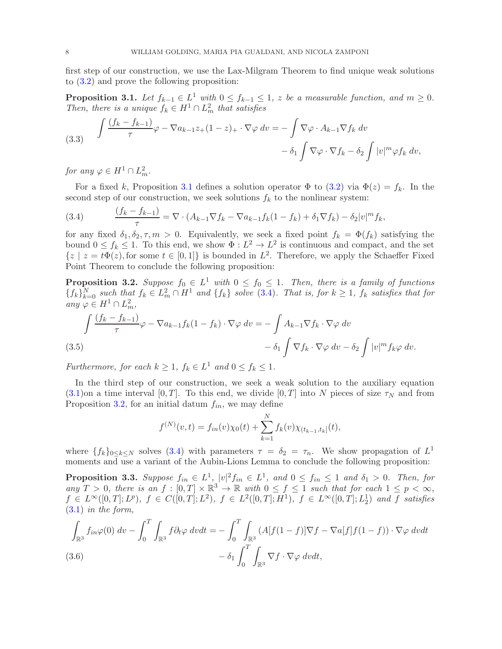first step of our construction, we use the Lax-Milgram Theorem to find unique weak solutions to [\(3.2\)](#page-6-2) and prove the following proposition:

<span id="page-7-0"></span>**Proposition 3.1.** Let  $f_{k-1} \in L^1$  with  $0 \leq f_{k-1} \leq 1$ , z be a measurable function, and  $m \geq 0$ . Then, there is a unique  $f_k \in H^1 \cap L^2_m$  that satisfies

<span id="page-7-4"></span>(3.3) 
$$
\int \frac{(f_k - f_{k-1})}{\tau} \varphi - \nabla a_{k-1} z_+(1-z)_+ \cdot \nabla \varphi \, dv = -\int \nabla \varphi \cdot A_{k-1} \nabla f_k \, dv -\delta_1 \int \nabla \varphi \cdot \nabla f_k - \delta_2 \int |v|^m \varphi f_k \, dv,
$$

for any  $\varphi \in H^1 \cap L^2_m$ .

For a fixed k, Proposition [3.1](#page-7-0) defines a solution operator  $\Phi$  to [\(3.2\)](#page-6-2) via  $\Phi(z) = f_k$ . In the second step of our construction, we seek solutions  $f_k$  to the nonlinear system:

<span id="page-7-1"></span>(3.4) 
$$
\frac{(f_k - f_{k-1})}{\tau} = \nabla \cdot (A_{k-1} \nabla f_k - \nabla a_{k-1} f_k (1 - f_k) + \delta_1 \nabla f_k) - \delta_2 |v|^m f_k,
$$

for any fixed  $\delta_1, \delta_2, \tau, m > 0$ . Equivalently, we seek a fixed point  $f_k = \Phi(f_k)$  satisfying the bound  $0 \le f_k \le 1$ . To this end, we show  $\Phi: L^2 \to L^2$  is continuous and compact, and the set  $\{z \mid z = t\Phi(z)$ , for some  $t \in [0,1]\}$  is bounded in  $L^2$ . Therefore, we apply the Schaeffer Fixed Point Theorem to conclude the following proposition:

<span id="page-7-2"></span>**Proposition 3.2.** Suppose  $f_0 \in L^1$  with  $0 \leq f_0 \leq 1$ . Then, there is a family of functions  $\{f_k\}_{k=0}^N$  such that  $f_k \in L^2_m \cap H^1$  and  $\{f_k\}$  solve [\(3.4\)](#page-7-1). That is, for  $k \geq 1$ ,  $f_k$  satisfies that for any  $\varphi \in H^1 \cap L^2_m$ ,

$$
\int \frac{(f_k - f_{k-1})}{\tau} \varphi - \nabla a_{k-1} f_k (1 - f_k) \cdot \nabla \varphi \, dv = - \int A_{k-1} \nabla f_k \cdot \nabla \varphi \, dv - \delta_2 \int |v|^m f_k \varphi \, dv.
$$
\n(3.5)

<span id="page-7-5"></span>Furthermore, for each  $k \geq 1$ ,  $f_k \in L^1$  and  $0 \leq f_k \leq 1$ .

In the third step of our construction, we seek a weak solution to the auxiliary equation  $(3.1)$ on a time interval  $[0, T]$ . To this end, we divide  $[0, T]$  into N pieces of size  $\tau_N$  and from Proposition [3.2,](#page-7-2) for an initial datum  $f_{in}$ , we may define

$$
f^{(N)}(v,t) = f_{in}(v)\chi_0(t) + \sum_{k=1}^{N} f_k(v)\chi_{(t_{k-1},t_k]}(t),
$$

where  $\{f_k\}_{0\leq k\leq N}$  solves [\(3.4\)](#page-7-1) with parameters  $\tau = \delta_2 = \tau_n$ . We show propagation of  $L^1$ moments and use a variant of the Aubin-Lions Lemma to conclude the following proposition:

<span id="page-7-3"></span>**Proposition 3.3.** Suppose  $f_{in} \in L^1$ ,  $|v|^2 f_{in} \in L^1$ , and  $0 \leq f_{in} \leq 1$  and  $\delta_1 > 0$ . Then, for any  $T > 0$ , there is an  $f : [0, T] \times \mathbb{R}^3 \to \mathbb{R}$  with  $0 \le f \le 1$  such that for each  $1 \le p < \infty$ ,  $f \in L^{\infty}([0,T]; L^p)$ ,  $f \in C([0,T]; L^2)$ ,  $f \in L^2([0,T]; H^1)$ ,  $f \in L^{\infty}([0,T]; L^1_2)$  and f satisfies [\(3.1\)](#page-6-1) in the form,

<span id="page-7-6"></span>
$$
\int_{\mathbb{R}^3} f_{in}\varphi(0) dv - \int_0^T \int_{\mathbb{R}^3} f \partial_t \varphi dv dt = - \int_0^T \int_{\mathbb{R}^3} (A[f(1-f)] \nabla f - \nabla a[f] f(1-f)) \cdot \nabla \varphi dv dt
$$
  
(3.6)  

$$
- \delta_1 \int_0^T \int_{\mathbb{R}^3} \nabla f \cdot \nabla \varphi dv dt,
$$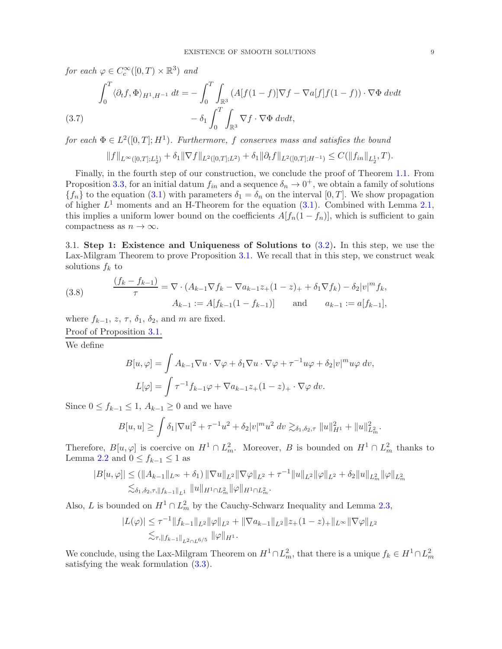for each  $\varphi \in C_c^{\infty}([0,T) \times \mathbb{R}^3)$  and

$$
\int_0^T \langle \partial_t f, \Phi \rangle_{H^1, H^{-1}} dt = -\int_0^T \int_{\mathbb{R}^3} \left( A[f(1-f)] \nabla f - \nabla a[f] f(1-f) \right) \cdot \nabla \Phi \, dv dt - \delta_1 \int_0^T \int_{\mathbb{R}^3} \nabla f \cdot \nabla \Phi \, dv dt,
$$

<span id="page-8-0"></span>for each  $\Phi \in L^2([0,T];H^1)$ . Furthermore, f conserves mass and satisfies the bound

$$
||f||_{L^{\infty}([0,T];L_2^1)} + \delta_1 ||\nabla f||_{L^2([0,T];L^2)} + \delta_1 ||\partial_t f||_{L^2([0,T];H^{-1})} \leq C(||f_{in}||_{L_2^1},T).
$$

Finally, in the fourth step of our construction, we conclude the proof of Theorem [1.1.](#page-2-0) From Proposition [3.3,](#page-7-3) for an initial datum  $f_{in}$  and a sequence  $\delta_n \to 0^+$ , we obtain a family of solutions  ${f_n}$  to the equation [\(3.1\)](#page-6-1) with parameters  $\delta_1 = \delta_n$  on the interval [0, T]. We show propagation of higher  $L^1$  moments and an H-Theorem for the equation  $(3.1)$ . Combined with Lemma [2.1,](#page-5-4) this implies a uniform lower bound on the coefficients  $A[f_n(1-f_n)]$ , which is sufficient to gain compactness as  $n \to \infty$ .

3.1. Step 1: Existence and Uniqueness of Solutions to [\(3.2\)](#page-6-2). In this step, we use the Lax-Milgram Theorem to prove Proposition [3.1.](#page-7-0) We recall that in this step, we construct weak solutions  $f_k$  to

(3.8) 
$$
\frac{(f_k - f_{k-1})}{\tau} = \nabla \cdot (A_{k-1} \nabla f_k - \nabla a_{k-1} z_+(1-z)_+ + \delta_1 \nabla f_k) - \delta_2 |v|^m f_k,
$$

$$
A_{k-1} := A[f_{k-1}(1 - f_{k-1})] \quad \text{and} \quad a_{k-1} := a[f_{k-1}],
$$

where  $f_{k-1}$ ,  $z$ ,  $\tau$ ,  $\delta_1$ ,  $\delta_2$ , and m are fixed.

Proof of Proposition [3.1.](#page-7-0)

We define

$$
B[u,\varphi] = \int A_{k-1} \nabla u \cdot \nabla \varphi + \delta_1 \nabla u \cdot \nabla \varphi + \tau^{-1} u \varphi + \delta_2 |v|^m u \varphi \, dv,
$$
  

$$
L[\varphi] = \int \tau^{-1} f_{k-1} \varphi + \nabla a_{k-1} z_+(1-z)_+ \cdot \nabla \varphi \, dv.
$$

Since  $0 \le f_{k-1} \le 1$ ,  $A_{k-1} \ge 0$  and we have

$$
B[u, u] \ge \int \delta_1 |\nabla u|^2 + \tau^{-1} u^2 + \delta_2 |v|^m u^2 dv \gtrsim_{\delta_1, \delta_2, \tau} ||u||_{H^1}^2 + ||u||_{L^2_m}^2.
$$

Therefore,  $B[u,\varphi]$  is coercive on  $H^1 \cap L^2_m$ . Moreover, B is bounded on  $H^1 \cap L^2_m$  thanks to Lemma [2.2](#page-5-3) and  $0 \le f_{k-1} \le 1$  as

$$
|B[u,\varphi]| \leq (||A_{k-1}||_{L^{\infty}} + \delta_1) ||\nabla u||_{L^2} ||\nabla \varphi||_{L^2} + \tau^{-1} ||u||_{L^2} ||\varphi||_{L^2} + \delta_2 ||u||_{L^2_m} ||\varphi||_{L^2_m}
$$
  

$$
\lesssim_{\delta_1, \delta_2, \tau, ||f_{k-1}||_{L^1} } ||u||_{H^1 \cap L^2_m} ||\varphi||_{H^1 \cap L^2_m}.
$$

Also, L is bounded on  $H^1 \cap L^2_m$  by the Cauchy-Schwarz Inequality and Lemma [2.3,](#page-6-3)

$$
|L(\varphi)| \leq \tau^{-1} ||f_{k-1}||_{L^{2}} ||\varphi||_{L^{2}} + ||\nabla a_{k-1}||_{L^{2}} ||z_{+}(1-z)_{+}||_{L^{\infty}} ||\nabla \varphi||_{L^{2}} \lesssim_{\tau, ||f_{k-1}||_{L^{2} \cap L^{6/5}}} ||\varphi||_{H^{1}}.
$$

We conclude, using the Lax-Milgram Theorem on  $H^1 \cap L^2_m$ , that there is a unique  $f_k \in H^1 \cap L^2_m$ satisfying the weak formulation [\(3.3\)](#page-7-4).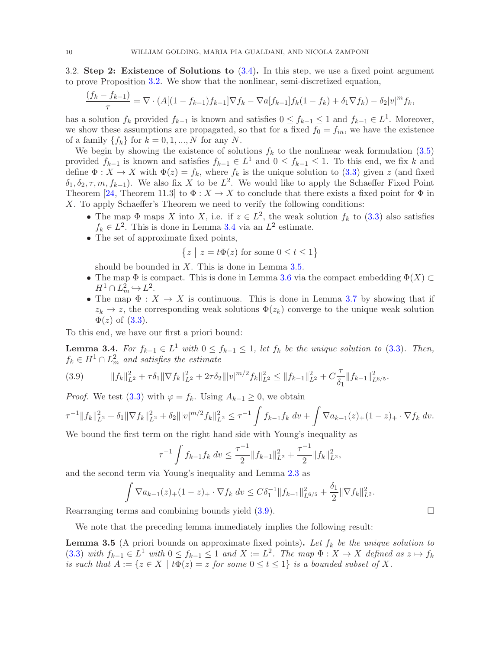3.2. Step 2: Existence of Solutions to [\(3.4\)](#page-7-1). In this step, we use a fixed point argument to prove Proposition [3.2.](#page-7-2) We show that the nonlinear, semi-discretized equation,

$$
\frac{(f_k - f_{k-1})}{\tau} = \nabla \cdot (A[(1 - f_{k-1})f_{k-1}]\nabla f_k - \nabla a[f_{k-1}]f_k(1 - f_k) + \delta_1 \nabla f_k) - \delta_2 |v|^m f_k,
$$

has a solution  $f_k$  provided  $f_{k-1}$  is known and satisfies  $0 \le f_{k-1} \le 1$  and  $f_{k-1} \in L^1$ . Moreover, we show these assumptions are propagated, so that for a fixed  $f_0 = f_{in}$ , we have the existence of a family  $\{f_k\}$  for  $k = 0, 1, ..., N$  for any N.

We begin by showing the existence of solutions  $f_k$  to the nonlinear weak formulation [\(3.5\)](#page-7-5) provided  $f_{k-1}$  is known and satisfies  $f_{k-1} \in L^1$  and  $0 \le f_{k-1} \le 1$ . To this end, we fix k and define  $\Phi: X \to X$  with  $\Phi(z) = f_k$ , where  $f_k$  is the unique solution to [\(3.3\)](#page-7-4) given z (and fixed  $\delta_1, \delta_2, \tau, m, f_{k-1}$ ). We also fix X to be  $L^2$ . We would like to apply the Schaeffer Fixed Point Theorem [\[24,](#page-48-19) Theorem 11.3] to  $\Phi: X \to X$  to conclude that there exists a fixed point for  $\Phi$  in X. To apply Schaeffer's Theorem we need to verify the following conditions:

- The map  $\Phi$  maps X into X, i.e. if  $z \in L^2$ , the weak solution  $f_k$  to [\(3.3\)](#page-7-4) also satisfies  $f_k \in L^2$ . This is done in Lemma [3.4](#page-9-0) via an  $L^2$  estimate.
- The set of approximate fixed points,

$$
\left\{z \ \middle| \ z = t \Phi(z) \text{ for some } 0 \leq t \leq 1 \right\}
$$

should be bounded in  $X$ . This is done in Lemma [3.5.](#page-9-1)

- The map  $\Phi$  is compact. This is done in Lemma [3.6](#page-10-0) via the compact embedding  $\Phi(X) \subset$  $H^1 \cap L^2_m \hookrightarrow L^2.$
- The map  $\Phi: X \to X$  is continuous. This is done in Lemma [3.7](#page-10-1) by showing that if  $z_k \to z$ , the corresponding weak solutions  $\Phi(z_k)$  converge to the unique weak solution  $\Phi(z)$  of  $(3.3)$ .

To this end, we have our first a priori bound:

<span id="page-9-0"></span>**Lemma 3.4.** For  $f_{k-1} \in L^1$  with  $0 \leq f_{k-1} \leq 1$ , let  $f_k$  be the unique solution to [\(3.3\)](#page-7-4). Then,  $f_k \in H^1 \cap L^2_m$  and satisfies the estimate

<span id="page-9-2"></span>
$$
(3.9) \t||f_k||_{L^2}^2 + \tau \delta_1 \|\nabla f_k\|_{L^2}^2 + 2\tau \delta_2 \||v|^{m/2} f_k\|_{L^2}^2 \le \|f_{k-1}\|_{L^2}^2 + C \frac{\tau}{\delta_1} \|f_{k-1}\|_{L^{6/5}}^2.
$$

*Proof.* We test [\(3.3\)](#page-7-4) with  $\varphi = f_k$ . Using  $A_{k-1} \geq 0$ , we obtain

$$
\tau^{-1} \|f_k\|_{L^2}^2 + \delta_1 \|\nabla f_k\|_{L^2}^2 + \delta_2 \||v|^{m/2} f_k\|_{L^2}^2 \leq \tau^{-1} \int f_{k-1} f_k \, dv + \int \nabla a_{k-1}(z)_+(1-z)_+ \cdot \nabla f_k \, dv.
$$

We bound the first term on the right hand side with Young's inequality as

$$
\tau^{-1} \int f_{k-1} f_k \, dv \le \frac{\tau^{-1}}{2} \|f_{k-1}\|_{L^2}^2 + \frac{\tau^{-1}}{2} \|f_k\|_{L^2}^2,
$$

and the second term via Young's inequality and Lemma [2.3](#page-6-3) as

$$
\int \nabla a_{k-1}(z)_{+}(1-z)_{+} \cdot \nabla f_k \ dv \leq C \delta_1^{-1} \|f_{k-1}\|_{L^{6/5}}^2 + \frac{\delta_1}{2} \|\nabla f_k\|_{L^2}^2.
$$

Rearranging terms and combining bounds yield  $(3.9)$ .

We note that the preceding lemma immediately implies the following result:

<span id="page-9-1"></span>**Lemma 3.5** (A priori bounds on approximate fixed points). Let  $f_k$  be the unique solution to [\(3.3\)](#page-7-4) with  $f_{k-1} \in L^1$  with  $0 \le f_{k-1} \le 1$  and  $X := L^2$ . The map  $\Phi : X \to X$  defined as  $z \mapsto f_k$ is such that  $A := \{z \in X \mid t\Phi(z) = z \text{ for some } 0 \le t \le 1\}$  is a bounded subset of X.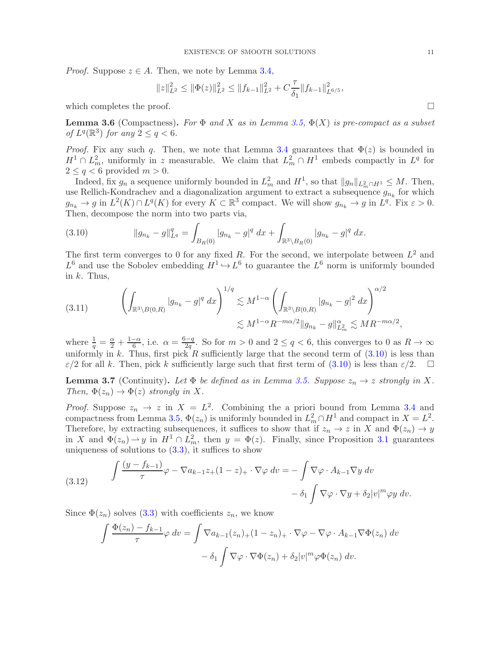*Proof.* Suppose  $z \in A$ . Then, we note by Lemma [3.4,](#page-9-0)

$$
||z||_{L^2}^2 \le ||\Phi(z)||_{L^2}^2 \le ||f_{k-1}||_{L^2}^2 + C\frac{\tau}{\delta_1}||f_{k-1}||_{L^{6/5}}^2,
$$

which completes the proof.  $\Box$ 

<span id="page-10-0"></span>**Lemma 3.6** (Compactness). For  $\Phi$  and X as in Lemma [3.5,](#page-9-1)  $\Phi(X)$  is pre-compact as a subset of  $L^q(\mathbb{R}^3)$  for any  $2 \leq q < 6$ .

*Proof.* Fix any such q. Then, we note that Lemma [3.4](#page-9-0) guarantees that  $\Phi(z)$  is bounded in  $H^1 \cap L^2_m$ , uniformly in z measurable. We claim that  $L^2_m \cap H^1$  embeds compactly in  $L^q$  for  $2 \leq q < 6$  provided  $m > 0$ .

Indeed, fix  $g_n$  a sequence uniformly bounded in  $L_m^2$  and  $H^1$ , so that  $||g_n||_{L_m^2 \cap H^1} \leq M$ . Then, use Rellich-Kondrachev and a diagonalization argument to extract a subsequence  $g_{n_k}$  for which  $g_{n_k} \to g$  in  $L^2(K) \cap L^q(K)$  for every  $K \subset \mathbb{R}^3$  compact. We will show  $g_{n_k} \to g$  in  $L^q$ . Fix  $\varepsilon > 0$ . Then, decompose the norm into two parts via,

<span id="page-10-2"></span>(3.10) 
$$
\|g_{n_k} - g\|_{L^q}^q = \int_{B_R(0)} |g_{n_k} - g|^q dx + \int_{\mathbb{R}^3 \setminus B_R(0)} |g_{n_k} - g|^q dx.
$$

The first term converges to 0 for any fixed R. For the second, we interpolate between  $L^2$  and  $L^6$  and use the Sobolev embedding  $H^1 \hookrightarrow L^6$  to guarantee the  $L^6$  norm is uniformly bounded in  $k$ . Thus,

$$
(3.11) \qquad \left(\int_{\mathbb{R}^3 \setminus B(0,R)} |g_{n_k} - g|^q dx\right)^{1/q} \lesssim M^{1-\alpha} \left(\int_{\mathbb{R}^3 \setminus B(0,R)} |g_{n_k} - g|^2 dx\right)^{\alpha/2} \lesssim M^{1-\alpha} R^{-m\alpha/2} \|g_{n_k} - g\|_{L^2_m}^{\alpha} \lesssim M R^{-m\alpha/2},
$$

where  $\frac{1}{q} = \frac{\alpha}{2} + \frac{1-\alpha}{6}$  $\frac{-\alpha}{6}$ , i.e.  $\alpha = \frac{6-q}{2q}$  $\frac{q-q}{2q}$ . So for  $m > 0$  and  $2 \le q < 6$ , this converges to 0 as  $R \to \infty$ uniformly in k. Thus, first pick R sufficiently large that the second term of  $(3.10)$  is less than  $\varepsilon/2$  for all k. Then, pick k sufficiently large such that first term of  $(3.10)$  is less than  $\varepsilon/2$ .  $\square$ 

<span id="page-10-1"></span>**Lemma 3.7** (Continuity). Let  $\Phi$  be defined as in Lemma [3.5.](#page-9-1) Suppose  $z_n \to z$  strongly in X. Then,  $\Phi(z_n) \to \Phi(z)$  strongly in X.

*Proof.* Suppose  $z_n \to z$  in  $X = L^2$ . Combining the a priori bound from Lemma [3.4](#page-9-0) and compactness from Lemma [3.5,](#page-9-1)  $\Phi(z_n)$  is uniformly bounded in  $L^2_m \cap H^1$  and compact in  $X = L^2$ . Therefore, by extracting subsequences, it suffices to show that if  $z_n \to z$  in X and  $\Phi(z_n) \to y$ in X and  $\Phi(z_n) \to y$  in  $H^1 \cap L^2_m$ , then  $y = \Phi(z)$ . Finally, since Proposition [3.1](#page-7-0) guarantees uniqueness of solutions to  $(3.3)$ , it suffices to show

<span id="page-10-3"></span>(3.12) 
$$
\int \frac{(y - f_{k-1})}{\tau} \varphi - \nabla a_{k-1} z_+(1 - z)_+ \cdot \nabla \varphi \, dv = - \int \nabla \varphi \cdot A_{k-1} \nabla y \, dv - \delta_1 \int \nabla \varphi \cdot \nabla y + \delta_2 |v|^m \varphi y \, dv.
$$

Since  $\Phi(z_n)$  solves [\(3.3\)](#page-7-4) with coefficients  $z_n$ , we know

$$
\int \frac{\Phi(z_n) - f_{k-1}}{\tau} \varphi \, dv = \int \nabla a_{k-1}(z_n) + (1 - z_n) + \nabla \varphi - \nabla \varphi \cdot A_{k-1} \nabla \Phi(z_n) \, dv - \delta_1 \int \nabla \varphi \cdot \nabla \Phi(z_n) + \delta_2 |v|^m \varphi \Phi(z_n) \, dv.
$$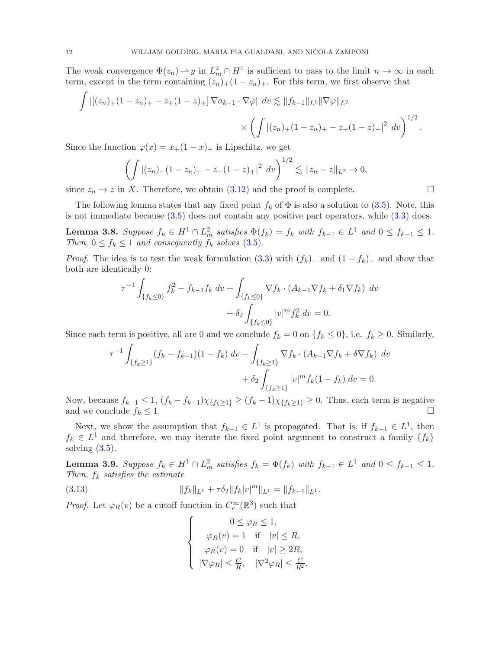The weak convergence  $\Phi(z_n) \to y$  in  $L^2_m \cap H^1$  is sufficient to pass to the limit  $n \to \infty$  in each term, except in the term containing  $(z_n)_+(1-z_n)_+$ . For this term, we first observe that

$$
\int \left| \left[ (z_n)_+ (1 - z_n)_+ - z_+ (1 - z)_+ \right] \nabla a_{k-1} \cdot \nabla \varphi \right| \, dv \lesssim \| f_{k-1} \|_{L^1} \| \nabla \varphi \|_{L^2}
$$
\n
$$
\times \left( \int \left| (z_n)_+ (1 - z_n)_+ - z_+ (1 - z)_+ \right|^2 \, dv \right)^{1/2}.
$$

Since the function  $\varphi(x) = x_+(1-x)_+$  is Lipschitz, we get

$$
\left(\int |(z_n)_{+}(1-z_n)_{+}-z_{+}(1-z)_{+}|^2 dv\right)^{1/2} \lesssim ||z_n-z||_{L^2} \to 0,
$$

since  $z_n \to z$  in X. Therefore, we obtain [\(3.12\)](#page-10-3) and the proof is complete.

The following lemma states that any fixed point  $f_k$  of  $\Phi$  is also a solution to [\(3.5\)](#page-7-5). Note, this is not immediate because [\(3.5\)](#page-7-5) does not contain any positive part operators, while [\(3.3\)](#page-7-4) does.

<span id="page-11-0"></span>**Lemma 3.8.** Suppose  $f_k \in H^1 \cap L^2_m$  satisfies  $\Phi(f_k) = f_k$  with  $f_{k-1} \in L^1$  and  $0 \le f_{k-1} \le 1$ . Then,  $0 \le f_k \le 1$  and consequently  $f_k$  solves [\(3.5\)](#page-7-5).

*Proof.* The idea is to test the weak formulation  $(3.3)$  with  $(f_k)_-$  and  $(1 - f_k)_-$  and show that both are identically 0:

$$
\tau^{-1} \int_{\{f_k \le 0\}} f_k^2 - f_{k-1} f_k \, dv + \int_{\{f_k \le 0\}} \nabla f_k \cdot (A_{k-1} \nabla f_k + \delta_1 \nabla f_k) \, dv + \delta_2 \int_{\{f_k \le 0\}} |v|^m f_k^2 \, dv = 0.
$$

Since each term is positive, all are 0 and we conclude  $f_k = 0$  on  $\{f_k \le 0\}$ , i.e.  $f_k \ge 0$ . Similarly,

$$
\tau^{-1} \int_{\{f_k \ge 1\}} (f_k - f_{k-1})(1 - f_k) dv - \int_{\{f_k \ge 1\}} \nabla f_k \cdot (A_{k-1} \nabla f_k + \delta \nabla f_k) dv \n+ \delta_2 \int_{\{f_k \ge 1\}} |v|^m f_k (1 - f_k) dv = 0.
$$

Now, because  $f_{k-1} \leq 1$ ,  $(f_k - f_{k-1})\chi_{\{f_k \geq 1\}} \geq (f_k - 1)\chi_{\{f_k \geq 1\}} \geq 0$ . Thus, each term is negative and we conclude  $f_k \leq 1$ .

Next, we show the assumption that  $f_{k-1} \in L^1$  is propagated. That is, if  $f_{k-1} \in L^1$ , then  $f_k \in L^1$  and therefore, we may iterate the fixed point argument to construct a family  $\{f_k\}$ solving  $(3.5)$ .

<span id="page-11-1"></span>**Lemma 3.9.** Suppose  $f_k \in H^1 \cap L^2_m$  satisfies  $f_k = \Phi(f_k)$  with  $f_{k-1} \in L^1$  and  $0 \le f_{k-1} \le 1$ . Then,  $f_k$  satisfies the estimate

(3.13) 
$$
||f_k||_{L^1} + \tau \delta_2 ||f_k| v|^m ||_{L^1} = ||f_{k-1}||_{L^1}.
$$

*Proof.* Let  $\varphi_R(v)$  be a cutoff function in  $C_c^{\infty}(\mathbb{R}^3)$  such that

$$
\left\{\begin{array}{c}0\leq\varphi_R\leq 1,\\\varphi_R(v)=1\quad\text{if}\quad|v|\leq R,\\\varphi_R(v)=0\quad\text{if}\quad|v|\geq 2R,\\\left|\nabla\varphi_R\right|\leq\frac{C}{R},\quad|\nabla^2\varphi_R|\leq\frac{C}{R^2}.\end{array}\right.
$$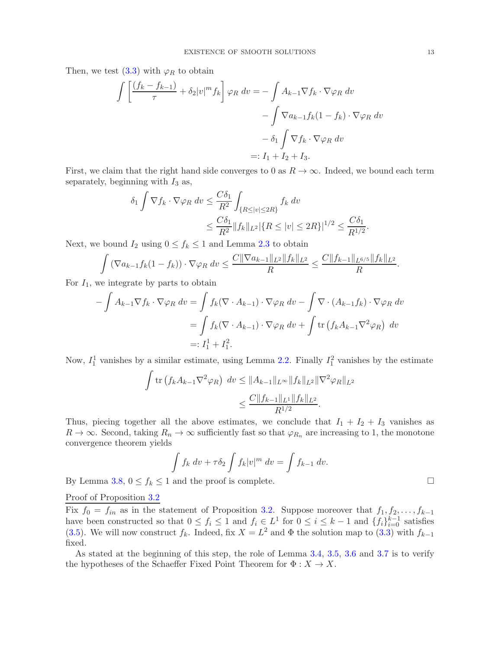Then, we test  $(3.3)$  with  $\varphi_R$  to obtain

$$
\int \left[ \frac{(f_k - f_{k-1})}{\tau} + \delta_2 |v|^m f_k \right] \varphi_R dv = - \int A_{k-1} \nabla f_k \cdot \nabla \varphi_R dv
$$

$$
- \int \nabla a_{k-1} f_k (1 - f_k) \cdot \nabla \varphi_R dv
$$

$$
- \delta_1 \int \nabla f_k \cdot \nabla \varphi_R dv
$$

$$
=: I_1 + I_2 + I_3.
$$

First, we claim that the right hand side converges to 0 as  $R \to \infty$ . Indeed, we bound each term separately, beginning with  $I_3$  as,

$$
\delta_1 \int \nabla f_k \cdot \nabla \varphi_R \, dv \le \frac{C \delta_1}{R^2} \int_{\{R \le |v| \le 2R\}} f_k \, dv
$$
  

$$
\le \frac{C \delta_1}{R^2} \|f_k\|_{L^2} |\{R \le |v| \le 2R\}|^{1/2} \le \frac{C \delta_1}{R^{1/2}}.
$$

Next, we bound  $I_2$  using  $0 \le f_k \le 1$  and Lemma [2.3](#page-6-3) to obtain

$$
\int \left( \nabla a_{k-1} f_k(1-f_k) \right) \cdot \nabla \varphi_R \ dv \leq \frac{C \|\nabla a_{k-1}\|_{L^2} \|f_k\|_{L^2}}{R} \leq \frac{C \|f_{k-1}\|_{L^{6/5}} \|f_k\|_{L^2}}{R}.
$$

For  $I_1$ , we integrate by parts to obtain

$$
-\int A_{k-1} \nabla f_k \cdot \nabla \varphi_R dv = \int f_k (\nabla \cdot A_{k-1}) \cdot \nabla \varphi_R dv - \int \nabla \cdot (A_{k-1} f_k) \cdot \nabla \varphi_R dv
$$
  
=  $\int f_k (\nabla \cdot A_{k-1}) \cdot \nabla \varphi_R dv + \int \text{tr} (f_k A_{k-1} \nabla^2 \varphi_R) dv$   
=:  $I_1^1 + I_1^2$ .

Now,  $I_1^1$  vanishes by a similar estimate, using Lemma [2.2.](#page-5-3) Finally  $I_1^2$  vanishes by the estimate

$$
\int \operatorname{tr} (f_k A_{k-1} \nabla^2 \varphi_R) \, dv \le \|A_{k-1}\|_{L^\infty} \|f_k\|_{L^2} \|\nabla^2 \varphi_R\|_{L^2}
$$
\n
$$
\le \frac{C \|f_{k-1}\|_{L^1} \|f_k\|_{L^2}}{R^{1/2}}.
$$

Thus, piecing together all the above estimates, we conclude that  $I_1 + I_2 + I_3$  vanishes as  $R \to \infty$ . Second, taking  $R_n \to \infty$  sufficiently fast so that  $\varphi_{R_n}$  are increasing to 1, the monotone convergence theorem yields

$$
\int f_k dv + \tau \delta_2 \int f_k |v|^m dv = \int f_{k-1} dv.
$$

By Lemma [3.8,](#page-11-0)  $0 \le f_k \le 1$  and the proof is complete.

Proof of Proposition [3.2](#page-7-2)

Fix  $f_0 = f_{in}$  as in the statement of Proposition [3.2.](#page-7-2) Suppose moreover that  $f_1, f_2, \ldots, f_{k-1}$ have been constructed so that  $0 \le f_i \le 1$  and  $f_i \in L^1$  for  $0 \le i \le k-1$  and  $\{f_i\}_{i=0}^{k-1}$  satisfies [\(3.5\)](#page-7-5). We will now construct  $f_k$ . Indeed, fix  $X = L^2$  and  $\Phi$  the solution map to [\(3.3\)](#page-7-4) with  $f_{k-1}$ fixed.

As stated at the beginning of this step, the role of Lemma [3.4,](#page-9-0) [3.5,](#page-9-1) [3.6](#page-10-0) and [3.7](#page-10-1) is to verify the hypotheses of the Schaeffer Fixed Point Theorem for  $\Phi: X \to X$ .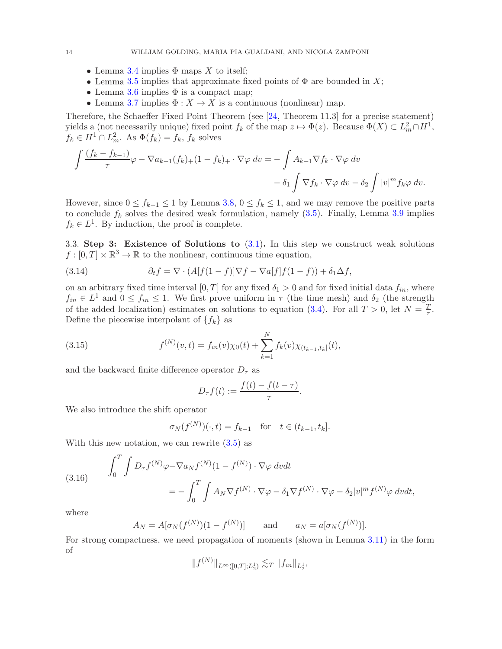- Lemma [3.4](#page-9-0) implies  $\Phi$  maps X to itself;
- Lemma [3.5](#page-9-1) implies that approximate fixed points of  $\Phi$  are bounded in X;
- Lemma [3.6](#page-10-0) implies  $\Phi$  is a compact map;
- Lemma [3.7](#page-10-1) implies  $\Phi: X \to X$  is a continuous (nonlinear) map.

Therefore, the Schaeffer Fixed Point Theorem (see [\[24,](#page-48-19) Theorem 11.3] for a precise statement) yields a (not necessarily unique) fixed point  $f_k$  of the map  $z \mapsto \Phi(z)$ . Because  $\Phi(X) \subset L^2_m \cap H^1$ ,  $f_k \in H^1 \cap L^2_m$ . As  $\Phi(f_k) = f_k$ ,  $f_k$  solves

$$
\int \frac{(f_k - f_{k-1})}{\tau} \varphi - \nabla a_{k-1}(f_k)_+ (1 - f_k)_+ \cdot \nabla \varphi \, dv = - \int A_{k-1} \nabla f_k \cdot \nabla \varphi \, dv - \delta_2 \int |v|^m f_k \varphi \, dv.
$$

However, since  $0 \le f_{k-1} \le 1$  by Lemma [3.8,](#page-11-0)  $0 \le f_k \le 1$ , and we may remove the positive parts to conclude  $f_k$  solves the desired weak formulation, namely  $(3.5)$ . Finally, Lemma [3.9](#page-11-1) implies  $f_k \in L^1$ . By induction, the proof is complete.

3.3. Step 3: Existence of Solutions to  $(3.1)$ . In this step we construct weak solutions  $f: [0, T] \times \mathbb{R}^3 \to \mathbb{R}$  to the nonlinear, continuous time equation,

(3.14) 
$$
\partial_t f = \nabla \cdot (A[f(1-f)]\nabla f - \nabla a[f]f(1-f)) + \delta_1 \Delta f,
$$

on an arbitrary fixed time interval  $[0, T]$  for any fixed  $\delta_1 > 0$  and for fixed initial data  $f_{in}$ , where  $f_{in} \in L^1$  and  $0 \le f_{in} \le 1$ . We first prove uniform in  $\tau$  (the time mesh) and  $\delta_2$  (the strength of the added localization) estimates on solutions to equation [\(3.4\)](#page-7-1). For all  $T > 0$ , let  $N = \frac{T}{\tau}$  $\frac{T}{\tau}$ . Define the piecewise interpolant of  $\{f_k\}$  as

(3.15) 
$$
f^{(N)}(v,t) = f_{in}(v)\chi_0(t) + \sum_{k=1}^N f_k(v)\chi_{(t_{k-1},t_k]}(t),
$$

and the backward finite difference operator  $D_{\tau}$  as

<span id="page-13-0"></span>
$$
D_{\tau}f(t) := \frac{f(t) - f(t - \tau)}{\tau}.
$$

We also introduce the shift operator

$$
\sigma_N(f^{(N)})(\cdot, t) = f_{k-1}
$$
 for  $t \in (t_{k-1}, t_k]$ .

With this new notation, we can rewrite  $(3.5)$  as

<span id="page-13-1"></span>(3.16) 
$$
\int_0^T \int D_{\tau} f^{(N)} \varphi - \nabla a_N f^{(N)} (1 - f^{(N)}) \cdot \nabla \varphi \, dv dt
$$

$$
= - \int_0^T \int A_N \nabla f^{(N)} \cdot \nabla \varphi - \delta_1 \nabla f^{(N)} \cdot \nabla \varphi - \delta_2 |v|^m f^{(N)} \varphi \, dv dt,
$$

where

$$
A_N = A[\sigma_N(f^{(N)})(1 - f^{(N)})]
$$
 and  $a_N = a[\sigma_N(f^{(N)})].$ 

For strong compactness, we need propagation of moments (shown in Lemma [3.11\)](#page-15-0) in the form of

$$
||f^{(N)}||_{L^{\infty}([0,T];L_2^1)} \lesssim_T ||f_{in}||_{L_2^1},
$$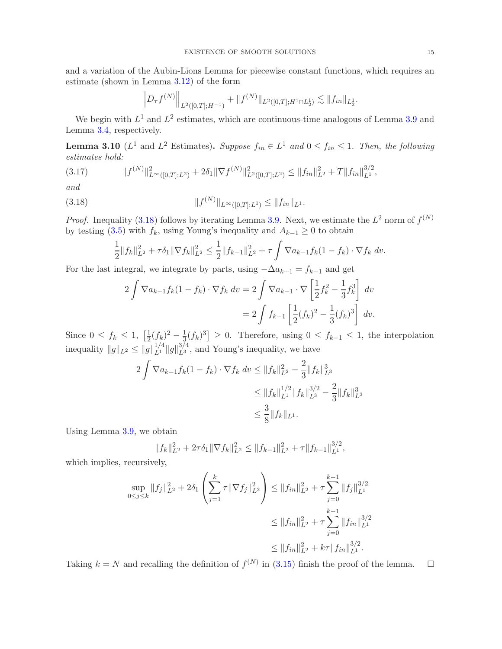and a variation of the Aubin-Lions Lemma for piecewise constant functions, which requires an estimate (shown in Lemma [3.12\)](#page-16-0) of the form

$$
\left\| D_{\tau} f^{(N)} \right\|_{L^2([0,T];H^{-1})} + \| f^{(N)} \|_{L^2([0,T];H^1 \cap L^1_2)} \lesssim \| f_{in} \|_{L^1_2}.
$$

We begin with  $L^1$  and  $L^2$  estimates, which are continuous-time analogous of Lemma [3.9](#page-11-1) and Lemma [3.4,](#page-9-0) respectively.

<span id="page-14-1"></span>**Lemma 3.10** ( $L^1$  and  $L^2$  Estimates). Suppose  $f_{in} \in L^1$  and  $0 \le f_{in} \le 1$ . Then, the following estimates hold:

<span id="page-14-2"></span>
$$
(3.17) \t\t\t\t||f^{(N)}||_{L^{\infty}([0,T];L^2)}^2 + 2\delta_1 \|\nabla f^{(N)}\|_{L^2([0,T];L^2)}^2 \leq \|f_{in}\|_{L^2}^2 + T \|f_{in}\|_{L^1}^{3/2},
$$

and

(3.18) 
$$
||f^{(N)}||_{L^{\infty}([0,T];L^{1})} \leq ||f_{in}||_{L^{1}}.
$$

*Proof.* Inequality [\(3.18\)](#page-14-0) follows by iterating Lemma [3.9.](#page-11-1) Next, we estimate the  $L^2$  norm of  $f^{(N)}$ by testing [\(3.5\)](#page-7-5) with  $f_k$ , using Young's inequality and  $A_{k-1} \geq 0$  to obtain

<span id="page-14-0"></span>
$$
\frac{1}{2}||f_k||_{L^2}^2 + \tau \delta_1 ||\nabla f_k||_{L^2}^2 \le \frac{1}{2}||f_{k-1}||_{L^2}^2 + \tau \int \nabla a_{k-1} f_k(1-f_k) \cdot \nabla f_k dv.
$$

For the last integral, we integrate by parts, using  $-\Delta a_{k-1} = f_{k-1}$  and get

$$
2\int \nabla a_{k-1} f_k(1-f_k) \cdot \nabla f_k \, dv = 2\int \nabla a_{k-1} \cdot \nabla \left[\frac{1}{2} f_k^2 - \frac{1}{3} f_k^3\right] \, dv
$$

$$
= 2\int f_{k-1} \left[\frac{1}{2} (f_k)^2 - \frac{1}{3} (f_k)^3\right] \, dv.
$$

Since  $0 \leq f_k \leq 1$ ,  $\left[\frac{1}{2}\right]$  $\frac{1}{2}(f_k)^2 - \frac{1}{3}(f_k)^3$  ≥ 0. Therefore, using  $0 \le f_{k-1} \le 1$ , the interpolation inequality  $||g||_{L^2} \le ||g||_{L^1}^{1/4} ||g||_{L^3}^{3/4}$  $L_3^{3/4}$ , and Young's inequality, we have

$$
2\int \nabla a_{k-1} f_k(1-f_k) \cdot \nabla f_k \, dv \le \|f_k\|_{L^2}^2 - \frac{2}{3} \|f_k\|_{L^3}^3
$$
  
\n
$$
\le \|f_k\|_{L^1}^{1/2} \|f_k\|_{L^3}^{3/2} - \frac{2}{3} \|f_k\|_{L^3}^3
$$
  
\n
$$
\le \frac{3}{8} \|f_k\|_{L^1}.
$$

Using Lemma [3.9,](#page-11-1) we obtain

$$
||f_k||_{L^2}^2 + 2\tau \delta_1 ||\nabla f_k||_{L^2}^2 \le ||f_{k-1}||_{L^2}^2 + \tau ||f_{k-1}||_{L^1}^{3/2},
$$

which implies, recursively,

$$
\sup_{0 \le j \le k} \|f_j\|_{L^2}^2 + 2\delta_1 \left(\sum_{j=1}^k \tau \|\nabla f_j\|_{L^2}^2\right) \le \|f_{in}\|_{L^2}^2 + \tau \sum_{j=0}^{k-1} \|f_j\|_{L^1}^{3/2}
$$
  

$$
\le \|f_{in}\|_{L^2}^2 + \tau \sum_{j=0}^{k-1} \|f_{in}\|_{L^1}^{3/2}
$$
  

$$
\le \|f_{in}\|_{L^2}^2 + k\tau \|f_{in}\|_{L^1}^{3/2}.
$$

Taking  $k = N$  and recalling the definition of  $f^{(N)}$  in [\(3.15\)](#page-13-0) finish the proof of the lemma.  $\square$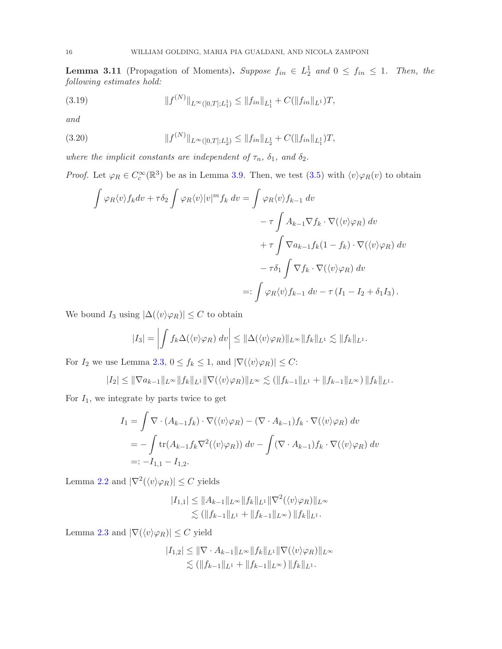<span id="page-15-0"></span>**Lemma 3.11** (Propagation of Moments). Suppose  $f_{in} \in L_2^1$  and  $0 \leq f_{in} \leq 1$ . Then, the following estimates hold:

<span id="page-15-1"></span>(3.19) 
$$
||f^{(N)}||_{L^{\infty}([0,T];L_1^1)} \leq ||f_{in}||_{L_1^1} + C(||f_{in}||_{L^1})T,
$$

and

(3.20) 
$$
||f^{(N)}||_{L^{\infty}([0,T];L_2^1)} \leq ||f_{in}||_{L_2^1} + C(||f_{in}||_{L_1^1})T,
$$

where the implicit constants are independent of  $\tau_n$ ,  $\delta_1$ , and  $\delta_2$ .

*Proof.* Let  $\varphi_R \in C_c^{\infty}(\mathbb{R}^3)$  be as in Lemma [3.9.](#page-11-1) Then, we test [\(3.5\)](#page-7-5) with  $\langle v \rangle \varphi_R(v)$  to obtain

<span id="page-15-2"></span>
$$
\int \varphi_R \langle v \rangle f_k dv + \tau \delta_2 \int \varphi_R \langle v \rangle |v|^m f_k dv = \int \varphi_R \langle v \rangle f_{k-1} dv
$$
  

$$
- \tau \int A_{k-1} \nabla f_k \cdot \nabla (\langle v \rangle \varphi_R) dv
$$
  

$$
+ \tau \int \nabla a_{k-1} f_k (1 - f_k) \cdot \nabla (\langle v \rangle \varphi_R) dv
$$
  

$$
- \tau \delta_1 \int \nabla f_k \cdot \nabla (\langle v \rangle \varphi_R) dv
$$
  

$$
=: \int \varphi_R \langle v \rangle f_{k-1} dv - \tau (I_1 - I_2 + \delta_1 I_3).
$$

We bound  $I_3$  using  $|\Delta(\langle v \rangle \varphi_R)| \leq C$  to obtain

$$
|I_3| = \left| \int f_k \Delta(\langle v \rangle \varphi_R) \ dv \right| \leq ||\Delta(\langle v \rangle \varphi_R)||_{L^{\infty}} ||f_k||_{L^1} \lesssim ||f_k||_{L^1}.
$$

For  $I_2$  we use Lemma [2.3,](#page-6-3)  $0 \le f_k \le 1$ , and  $|\nabla(\langle v \rangle \varphi_R)| \le C$ :

$$
|I_2| \leq \|\nabla a_{k-1}\|_{L^\infty} \|f_k\|_{L^1} \|\nabla(\langle v \rangle \varphi_R)\|_{L^\infty} \lesssim (\|f_{k-1}\|_{L^1} + \|f_{k-1}\|_{L^\infty}) \, \|f_k\|_{L^1}.
$$

For  $I_1$ , we integrate by parts twice to get

$$
I_1 = \int \nabla \cdot (A_{k-1} f_k) \cdot \nabla (\langle v \rangle \varphi_R) - (\nabla \cdot A_{k-1}) f_k \cdot \nabla (\langle v \rangle \varphi_R) dv
$$
  
= 
$$
- \int \text{tr}(A_{k-1} f_k \nabla^2 (\langle v \rangle \varphi_R)) dv - \int (\nabla \cdot A_{k-1}) f_k \cdot \nabla (\langle v \rangle \varphi_R) dv
$$
  
=: 
$$
-I_{1,1} - I_{1,2}.
$$

Lemma [2.2](#page-5-3) and  $|\nabla^2(\langle v \rangle \varphi_R)| \leq C$  yields

$$
|I_{1,1}| \leq \|A_{k-1}\|_{L^{\infty}} \|f_k\|_{L^1} \|\nabla^2(\langle v \rangle \varphi_R)\|_{L^{\infty}}
$$
  

$$
\lesssim (\|f_{k-1}\|_{L^1} + \|f_{k-1}\|_{L^{\infty}}) \|f_k\|_{L^1}.
$$

Lemma [2.3](#page-6-3) and  $|\nabla(\langle v \rangle \varphi_R)| \leq C$  yield

$$
|I_{1,2}| \leq ||\nabla \cdot A_{k-1}||_{L^{\infty}}||f_k||_{L^1}||\nabla(\langle v \rangle \varphi_R)||_{L^{\infty}}\lesssim (||f_{k-1}||_{L^1} + ||f_{k-1}||_{L^{\infty}})||f_k||_{L^1}.
$$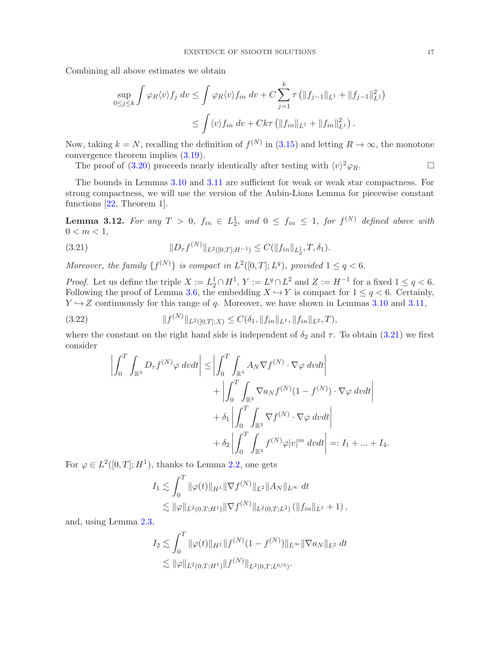Combining all above estimates we obtain

$$
\sup_{0 \le j \le k} \int \varphi_R \langle v \rangle f_j \, dv \le \int \varphi_R \langle v \rangle f_{in} \, dv + C \sum_{j=1}^k \tau \left( \|f_{j-1}\|_{L^1} + \|f_{j-1}\|_{L^1}^2 \right) \le \int \langle v \rangle f_{in} \, dv + Ck\tau \left( \|f_{in}\|_{L^1} + \|f_{in}\|_{L^1}^2 \right).
$$

Now, taking  $k = N$ , recalling the definition of  $f^{(N)}$  in  $(3.15)$  and letting  $R \to \infty$ , the monotone convergence theorem implies [\(3.19\)](#page-15-1).

The proof of [\(3.20\)](#page-15-2) proceeds nearly identically after testing with  $\langle v \rangle^2 \varphi_R$ .

The bounds in Lemmas [3.10](#page-14-1) and [3.11](#page-15-0) are sufficient for weak or weak star compactness. For strong compactness, we will use the version of the Aubin-Lions Lemma for piecewise constant functions [\[22,](#page-48-20) Theorem 1].

<span id="page-16-0"></span>**Lemma 3.12.** For any  $T > 0$ ,  $f_{in} \in L_2^1$ , and  $0 \leq f_{in} \leq 1$ , for  $f^{(N)}$  defined above with  $0 < m < 1$ ,

<span id="page-16-1"></span>(3.21) 
$$
||D_{\tau}f^{(N)}||_{L^{2}([0,T];H^{-1})} \leq C(||f_{in}||_{L_{2}^{1}},T,\delta_{1}).
$$

Moreover, the family  $\{f^{(N)}\}$  is compact in  $L^2([0,T];L^q)$ , provided  $1 \leq q < 6$ .

*Proof.* Let us define the triple  $X := L_2^1 \cap H^1$ ,  $Y := L^q \cap L^2$  and  $Z := H^{-1}$  for a fixed  $1 \le q < 6$ . Following the proof of Lemma [3.6,](#page-10-0) the embedding  $X \hookrightarrow Y$  is compact for  $1 \leq q < 6$ . Certainly,  $Y \hookrightarrow Z$  continuously for this range of q. Moreover, we have shown in Lemmas [3.10](#page-14-1) and [3.11,](#page-15-0)

(3.22) 
$$
||f^{(N)}||_{L^2([0,T];X)} \leq C(\delta_1, ||f_{in}||_{L^1}, ||f_{in}||_{L^2}, T),
$$

where the constant on the right hand side is independent of  $\delta_2$  and  $\tau$ . To obtain [\(3.21\)](#page-16-1) we first consider

<span id="page-16-2"></span>
$$
\left| \int_{0}^{T} \int_{\mathbb{R}^{3}} D_{\tau} f^{(N)} \varphi \, dvdt \right| \leq \left| \int_{0}^{T} \int_{\mathbb{R}^{3}} A_{N} \nabla f^{(N)} \cdot \nabla \varphi \, dvdt \right| \n+ \left| \int_{0}^{T} \int_{\mathbb{R}^{3}} \nabla a_{N} f^{(N)} (1 - f^{(N)}) \cdot \nabla \varphi \, dvdt \right| \n+ \delta_{1} \left| \int_{0}^{T} \int_{\mathbb{R}^{3}} \nabla f^{(N)} \cdot \nabla \varphi \, dvdt \right| \n+ \delta_{2} \left| \int_{0}^{T} \int_{\mathbb{R}^{3}} f^{(N)} \varphi |v|^{m} dvdt \right| =: I_{1} + ... + I_{4}.
$$

For  $\varphi \in L^2([0,T];H^1)$ , thanks to Lemma [2.2,](#page-5-3) one gets

$$
I_1 \lesssim \int_0^T \|\varphi(t)\|_{H^1} \|\nabla f^{(N)}\|_{L^2} \|A_N\|_{L^\infty} dt
$$
  

$$
\lesssim \|\varphi\|_{L^2(0,T;H^1)} \|\nabla f^{(N)}\|_{L^2(0,T;L^2)} (\|f_{in}\|_{L^1} + 1),
$$

and, using Lemma [2.3,](#page-6-3)

$$
I_2 \lesssim \int_0^T \|\varphi(t)\|_{H^1} \|f^{(N)}(1 - f^{(N)})\|_{L^\infty} \|\nabla a_N\|_{L^2} dt
$$
  

$$
\lesssim \|\varphi\|_{L^2(0,T;H^1)} \|f^{(N)}\|_{L^2(0,T;L^{6/5})}.
$$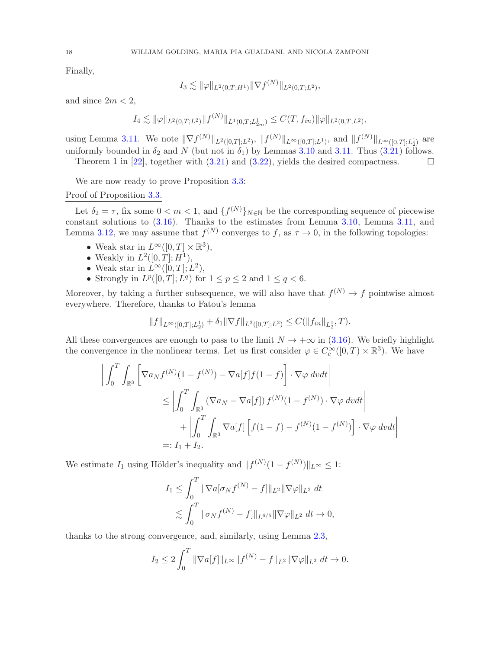Finally,

$$
I_3 \lesssim \|\varphi\|_{L^2(0,T;H^1)} \|\nabla f^{(N)}\|_{L^2(0,T;L^2)},
$$

and since  $2m < 2$ ,

$$
I_4 \lesssim \|\varphi\|_{L^2(0,T;L^2)} \|f^{(N)}\|_{L^1(0,T;L^1_{2m})} \leq C(T,f_{in}) \|\varphi\|_{L^2(0,T;L^2)},
$$

using Lemma [3.11.](#page-15-0) We note  $\|\nabla f^{(N)}\|_{L^2([0,T];L^2)}$ ,  $\|f^{(N)}\|_{L^{\infty}([0,T];L^1)}$ , and  $\|f^{(N)}\|_{L^{\infty}([0,T];L^1_2)}$  are uniformly bounded in  $\delta_2$  and N (but not in  $\delta_1$ ) by Lemmas [3.10](#page-14-1) and [3.11.](#page-15-0) Thus [\(3.21\)](#page-16-1) follows. Theorem 1 in [\[22\]](#page-48-20), together with  $(3.21)$  and  $(3.22)$ , yields the desired compactness.

We are now ready to prove Proposition [3.3:](#page-7-3)

# Proof of Proposition [3.3.](#page-7-3)

Let  $\delta_2 = \tau$ , fix some  $0 < m < 1$ , and  $\{f^{(N)}\}_{N \in \mathbb{N}}$  be the corresponding sequence of piecewise constant solutions to [\(3.16\)](#page-13-1). Thanks to the estimates from Lemma [3.10,](#page-14-1) Lemma [3.11,](#page-15-0) and Lemma [3.12,](#page-16-0) we may assume that  $f^{(N)}$  converges to f, as  $\tau \to 0$ , in the following topologies:

- Weak star in  $L^{\infty}([0,T] \times \mathbb{R}^3)$ ,
- Weakly in  $L^2([0,T];H^1)$ ,
- Weak star in  $L^{\infty}([0,T]; L^2)$ ,
- Strongly in  $L^p([0,T]; L^q)$  for  $1 \leq p \leq 2$  and  $1 \leq q < 6$ .

Moreover, by taking a further subsequence, we will also have that  $f^{(N)} \to f$  pointwise almost everywhere. Therefore, thanks to Fatou's lemma

$$
||f||_{L^{\infty}([0,T];L_2^1)} + \delta_1 ||\nabla f||_{L^2([0,T];L^2)} \leq C(||f_{in}||_{L_2^1},T).
$$

All these convergences are enough to pass to the limit  $N \to +\infty$  in [\(3.16\)](#page-13-1). We briefly highlight the convergence in the nonlinear terms. Let us first consider  $\varphi \in C_c^{\infty}([0,T) \times \mathbb{R}^3)$ . We have

$$
\left| \int_0^T \int_{\mathbb{R}^3} \left[ \nabla a_N f^{(N)} (1 - f^{(N)}) - \nabla a[f] f(1 - f) \right] \cdot \nabla \varphi \, dvdt \right|
$$
  
\n
$$
\leq \left| \int_0^T \int_{\mathbb{R}^3} \left( \nabla a_N - \nabla a[f] \right) f^{(N)} (1 - f^{(N)}) \cdot \nabla \varphi \, dvdt \right|
$$
  
\n
$$
+ \left| \int_0^T \int_{\mathbb{R}^3} \nabla a[f] \left[ f(1 - f) - f^{(N)} (1 - f^{(N)}) \right] \cdot \nabla \varphi \, dvdt \right|
$$
  
\n
$$
=: I_1 + I_2.
$$

We estimate  $I_1$  using Hölder's inequality and  $|| f^{(N)}(1 - f^{(N)}) ||_{L^{\infty}} \leq 1$ :

$$
I_1 \leq \int_0^T \|\nabla a[\sigma_N f^{(N)} - f] \|_{L^2} \|\nabla \varphi\|_{L^2} dt
$$
  

$$
\lesssim \int_0^T \|\sigma_N f^{(N)} - f\|_{L^{6/5}} \|\nabla \varphi\|_{L^2} dt \to 0,
$$

thanks to the strong convergence, and, similarly, using Lemma [2.3,](#page-6-3)

$$
I_2 \le 2 \int_0^T \|\nabla a[f]\|_{L^\infty} \|f^{(N)} - f\|_{L^2} \|\nabla \varphi\|_{L^2} dt \to 0.
$$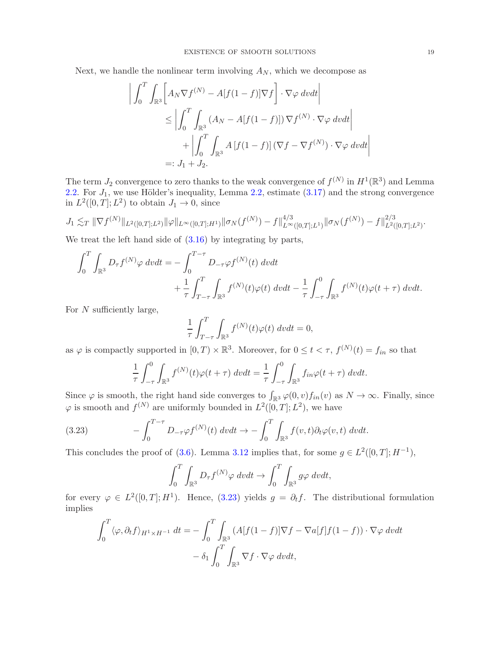Next, we handle the nonlinear term involving  $A_N$ , which we decompose as

$$
\left| \int_0^T \int_{\mathbb{R}^3} \left[ A_N \nabla f^{(N)} - A[f(1-f)] \nabla f \right] \cdot \nabla \varphi \, dvdt \right|
$$
  
\n
$$
\leq \left| \int_0^T \int_{\mathbb{R}^3} (A_N - A[f(1-f)]) \nabla f^{(N)} \cdot \nabla \varphi \, dvdt \right|
$$
  
\n
$$
+ \left| \int_0^T \int_{\mathbb{R}^3} A[f(1-f)] (\nabla f - \nabla f^{(N)}) \cdot \nabla \varphi \, dvdt \right|
$$
  
\n
$$
=: J_1 + J_2.
$$

The term  $J_2$  convergence to zero thanks to the weak convergence of  $f^{(N)}$  in  $H^1(\mathbb{R}^3)$  and Lemma [2.2.](#page-5-3) For  $J_1$ , we use Hölder's inequality, Lemma [2.2,](#page-5-3) estimate  $(3.17)$  and the strong convergence in  $L^2([0,T];L^2)$  to obtain  $J_1 \to 0$ , since

$$
J_1 \lesssim_T \|\nabla f^{(N)}\|_{L^2([0,T];L^2)} \|\varphi\|_{L^\infty([0,T];H^1)} \|\sigma_N(f^{(N)})-f\|_{L^\infty([0,T];L^1)}^{4/3} \|\sigma_N(f^{(N)})-f\|_{L^2([0,T];L^2)}^{2/3}.
$$

We treat the left hand side of  $(3.16)$  by integrating by parts,

$$
\int_0^T \int_{\mathbb{R}^3} D_{\tau} f^{(N)} \varphi \, dv dt = - \int_0^{T-\tau} D_{-\tau} \varphi f^{(N)}(t) \, dv dt \n+ \frac{1}{\tau} \int_{T-\tau}^T \int_{\mathbb{R}^3} f^{(N)}(t) \varphi(t) \, dv dt - \frac{1}{\tau} \int_{-\tau}^0 \int_{\mathbb{R}^3} f^{(N)}(t) \varphi(t+\tau) \, dv dt.
$$

For  $N$  sufficiently large,

$$
\frac{1}{\tau} \int_{T-\tau}^{T} \int_{\mathbb{R}^3} f^{(N)}(t) \varphi(t) \, dv dt = 0,
$$

as  $\varphi$  is compactly supported in  $[0, T) \times \mathbb{R}^3$ . Moreover, for  $0 \le t < \tau$ ,  $f^{(N)}(t) = f_{in}$  so that

$$
\frac{1}{\tau} \int_{-\tau}^{0} \int_{\mathbb{R}^3} f^{(N)}(t) \varphi(t+\tau) \, dv dt = \frac{1}{\tau} \int_{-\tau}^{0} \int_{\mathbb{R}^3} f_{in} \varphi(t+\tau) \, dv dt.
$$

Since  $\varphi$  is smooth, the right hand side converges to  $\int_{\mathbb{R}^3} \varphi(0, v) f_{in}(v)$  as  $N \to \infty$ . Finally, since  $\varphi$  is smooth and  $f^{(N)}$  are uniformly bounded in  $L^2([0,T];L^2)$ , we have

(3.23) 
$$
- \int_0^{T-\tau} D_{-\tau} \varphi f^{(N)}(t) dv dt \to - \int_0^T \int_{\mathbb{R}^3} f(v,t) \partial_t \varphi(v,t) dv dt.
$$

This concludes the proof of [\(3.6\)](#page-7-6). Lemma [3.12](#page-16-0) implies that, for some  $g \in L^2([0,T];H^{-1})$ ,

<span id="page-18-0"></span>
$$
\int_0^T \int_{\mathbb{R}^3} D_{\tau} f^{(N)} \varphi \, dv dt \to \int_0^T \int_{\mathbb{R}^3} g \varphi \, dv dt,
$$

for every  $\varphi \in L^2([0,T];H^1)$ . Hence, [\(3.23\)](#page-18-0) yields  $g = \partial_t f$ . The distributional formulation implies

$$
\int_0^T \langle \varphi, \partial_t f \rangle_{H^1 \times H^{-1}} dt = - \int_0^T \int_{\mathbb{R}^3} (A[f(1-f)] \nabla f - \nabla a[f] f(1-f)) \cdot \nabla \varphi dv dt \n- \delta_1 \int_0^T \int_{\mathbb{R}^3} \nabla f \cdot \nabla \varphi dv dt,
$$

 $\bigg\}$  $\mathbf{I}$  $\left| \right|$  $\frac{1}{2}$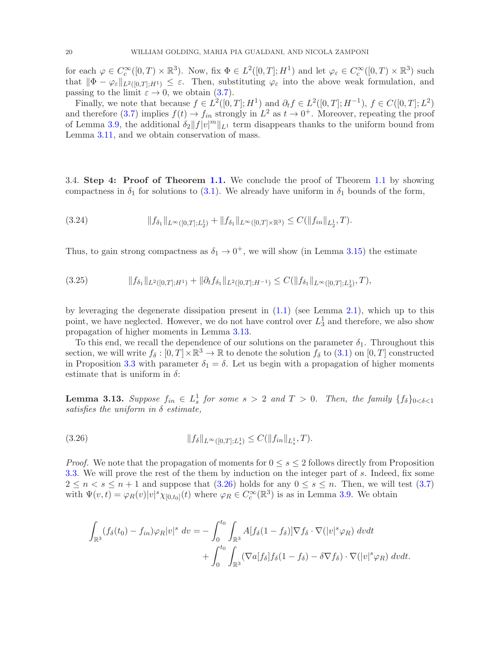for each  $\varphi \in C_c^{\infty}([0,T) \times \mathbb{R}^3)$ . Now, fix  $\Phi \in L^2([0,T]; H^1)$  and let  $\varphi_{\varepsilon} \in C_c^{\infty}([0,T) \times \mathbb{R}^3)$  such that  $\|\Phi - \varphi_{\varepsilon}\|_{L^2([0,T];H^1)} \leq \varepsilon$ . Then, substituting  $\varphi_{\varepsilon}$  into the above weak formulation, and passing to the limit  $\varepsilon \to 0$ , we obtain [\(3.7\)](#page-8-0).

Finally, we note that because  $f \in L^2([0,T];H^1)$  and  $\partial_t f \in L^2([0,T];H^{-1}),$   $f \in C([0,T];L^2)$ and therefore [\(3.7\)](#page-8-0) implies  $f(t) \to f_{in}$  strongly in  $L^2$  as  $t \to 0^+$ . Moreover, repeating the proof of Lemma [3.9,](#page-11-1) the additional  $\delta_2 ||f|| v ||^m ||_{L^1}$  term disappears thanks to the uniform bound from Lemma [3.11,](#page-15-0) and we obtain conservation of mass.

3.4. Step 4: Proof of Theorem [1.1.](#page-2-0) We conclude the proof of Theorem [1.1](#page-2-0) by showing compactness in  $\delta_1$  for solutions to [\(3.1\)](#page-6-1). We already have uniform in  $\delta_1$  bounds of the form,

$$
(3.24) \t\t\t\t||f_{\delta_1}||_{L^{\infty}([0,T];L_2^1)} + ||f_{\delta_1}||_{L^{\infty}([0,T]\times\mathbb{R}^3)} \leq C(||f_{in}||_{L_2^1},T).
$$

Thus, to gain strong compactness as  $\delta_1 \rightarrow 0^+$ , we will show (in Lemma [3.15\)](#page-22-0) the estimate

$$
(3.25) \t\t\t\t||f_{\delta_1}||_{L^2([0,T];H^1)} + ||\partial_t f_{\delta_1}||_{L^2([0,T];H^{-1})} \leq C(||f_{\delta_1}||_{L^{\infty}([0,T];L^1_3)},T),
$$

by leveraging the degenerate dissipation present in  $(1.1)$  (see Lemma [2.1\)](#page-5-4), which up to this point, we have neglected. However, we do not have control over  $L_3^1$  and therefore, we also show propagation of higher moments in Lemma [3.13.](#page-19-0)

To this end, we recall the dependence of our solutions on the parameter  $\delta_1$ . Throughout this section, we will write  $f_{\delta} : [0, T] \times \mathbb{R}^3 \to \mathbb{R}$  to denote the solution  $f_{\delta}$  to  $(3.1)$  on  $[0, T]$  constructed in Proposition [3.3](#page-7-3) with parameter  $\delta_1 = \delta$ . Let us begin with a propagation of higher moments estimate that is uniform in  $\delta$ :

<span id="page-19-0"></span>**Lemma 3.13.** Suppose  $f_{in} \in L_s^1$  for some  $s > 2$  and  $T > 0$ . Then, the family  $\{f_{\delta}\}_{0 < \delta < 1}$ satisfies the uniform in  $\delta$  estimate,

<span id="page-19-1"></span>
$$
(3.26) \t\t\t\t ||f_{\delta}||_{L^{\infty}([0,T];L^{1}_{s})} \leq C(||f_{in}||_{L^{1}_{s}},T).
$$

*Proof.* We note that the propagation of moments for  $0 \leq s \leq 2$  follows directly from Proposition [3.3.](#page-7-3) We will prove the rest of the them by induction on the integer part of s. Indeed, fix some  $2 \leq n < s \leq n+1$  and suppose that  $(3.26)$  holds for any  $0 \leq s \leq n$ . Then, we will test  $(3.7)$ with  $\Psi(v,t) = \varphi_R(v) |v|^s \chi_{[0,t_0]}(t)$  where  $\varphi_R \in C_c^{\infty}(\mathbb{R}^3)$  is as in Lemma [3.9.](#page-11-1) We obtain

$$
\int_{\mathbb{R}^3} (f_\delta(t_0) - f_{in}) \varphi_R |v|^s dv = - \int_0^{t_0} \int_{\mathbb{R}^3} A[f_\delta(1 - f_\delta)] \nabla f_\delta \cdot \nabla (|v|^s \varphi_R) dv dt + \int_0^{t_0} \int_{\mathbb{R}^3} (\nabla a[f_\delta] f_\delta(1 - f_\delta) - \delta \nabla f_\delta) \cdot \nabla (|v|^s \varphi_R) dv dt.
$$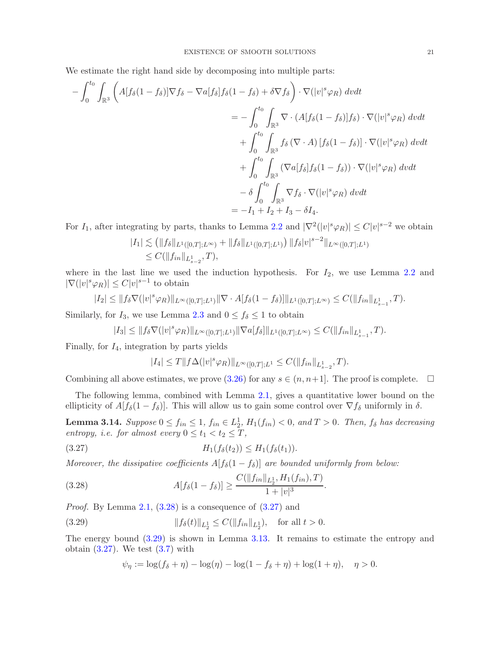We estimate the right hand side by decomposing into multiple parts:

$$
-\int_{0}^{t_{0}}\int_{\mathbb{R}^{3}}\left(A[f_{\delta}(1-f_{\delta})]\nabla f_{\delta}-\nabla a[f_{\delta}]f_{\delta}(1-f_{\delta})+\delta\nabla f_{\delta}\right)\cdot\nabla(|v|^{s}\varphi_{R})\ dvdt
$$
  

$$
=-\int_{0}^{t_{0}}\int_{\mathbb{R}^{3}}\nabla\cdot(A[f_{\delta}(1-f_{\delta})]f_{\delta})\cdot\nabla(|v|^{s}\varphi_{R})\ dvdt
$$
  

$$
+\int_{0}^{t_{0}}\int_{\mathbb{R}^{3}}f_{\delta}\left(\nabla\cdot A\right)[f_{\delta}(1-f_{\delta})]\cdot\nabla(|v|^{s}\varphi_{R})\ dvdt
$$
  

$$
+\int_{0}^{t_{0}}\int_{\mathbb{R}^{3}}\left(\nabla a[f_{\delta}]f_{\delta}(1-f_{\delta})\right)\cdot\nabla(|v|^{s}\varphi_{R})\ dvdt
$$
  

$$
-\delta\int_{0}^{t_{0}}\int_{\mathbb{R}^{3}}\nabla f_{\delta}\cdot\nabla(|v|^{s}\varphi_{R})\ dvdt
$$
  

$$
=-I_{1}+I_{2}+I_{3}-\delta I_{4}.
$$

For  $I_1$ , after integrating by parts, thanks to Lemma [2.2](#page-5-3) and  $|\nabla^2(|v|^s \varphi_R)| \leq C |v|^{s-2}$  we obtain

$$
|I_1| \lesssim (||f_\delta||_{L^1([0,T];L^\infty)} + ||f_\delta||_{L^1([0,T];L^1)}) ||f_\delta|v|^{s-2}||_{L^\infty([0,T];L^1)}
$$
  

$$
\leq C(||f_{in}||_{L^1_{s-2}},T),
$$

where in the last line we used the induction hypothesis. For  $I_2$ , we use Lemma [2.2](#page-5-3) and  $|\nabla(|v|^s \varphi_R)| \leq C |v|^{s-1}$  to obtain

$$
|I_2| \leq \|f_\delta \nabla (|v|^s \varphi_R)\|_{L^\infty([0,T];L^1)} \|\nabla \cdot A[f_\delta(1-f_\delta)]\|_{L^1([0,T];L^\infty)} \leq C(\|f_{in}\|_{L^1_{s-1}},T).
$$

Similarly, for  $I_3$ , we use Lemma [2.3](#page-6-3) and  $0 \le f_\delta \le 1$  to obtain

$$
|I_3| \leq ||f_\delta \nabla (|v|^s \varphi_R)||_{L^\infty([0,T];L^1)} ||\nabla a[f_\delta]||_{L^1([0,T];L^\infty)} \leq C(||f_{in}||_{L^1_{s-1}},T).
$$

Finally, for  $I_4$ , integration by parts yields

<span id="page-20-1"></span>
$$
|I_4| \le T \|f\Delta(|v|^s \varphi_R)\|_{L^\infty([0,T];L^1} \le C(\|f_{in}\|_{L^1_{s-2}},T).
$$

Combining all above estimates, we prove [\(3.26\)](#page-19-1) for any  $s \in (n, n+1]$ . The proof is complete.  $\Box$ 

The following lemma, combined with Lemma [2.1,](#page-5-4) gives a quantitative lower bound on the ellipticity of  $A[f_\delta(1 - f_\delta)]$ . This will allow us to gain some control over  $\nabla f_\delta$  uniformly in  $\delta$ .

<span id="page-20-3"></span>**Lemma 3.14.** Suppose  $0 \le f_{in} \le 1$ ,  $f_{in} \in L_2^1$ ,  $H_1(f_{in}) < 0$ , and  $T > 0$ . Then,  $f_{\delta}$  has decreasing entropy, i.e. for almost every  $0 \le t_1 < t_2 \le T$ ,

(3.27) H1(fδ(t2)) ≤ H1(fδ(t1)).

Moreover, the dissipative coefficients  $A[f_\delta(1-f_\delta)]$  are bounded uniformly from below:

(3.28) 
$$
A[f_{\delta}(1-f_{\delta})] \geq \frac{C(\|f_{in}\|_{L_2^1}, H_1(f_{in}), T)}{1+|v|^3}.
$$

*Proof.* By Lemma [2.1,](#page-5-4)  $(3.28)$  is a consequence of  $(3.27)$  and

(3.29) 
$$
||f_{\delta}(t)||_{L_2^1} \leq C(||f_{in}||_{L_2^1}), \text{ for all } t > 0.
$$

The energy bound [\(3.29\)](#page-20-2) is shown in Lemma [3.13.](#page-19-0) It remains to estimate the entropy and obtain  $(3.27)$ . We test  $(3.7)$  with

<span id="page-20-2"></span><span id="page-20-0"></span>
$$
\psi_{\eta} := \log(f_{\delta} + \eta) - \log(\eta) - \log(1 - f_{\delta} + \eta) + \log(1 + \eta), \quad \eta > 0.
$$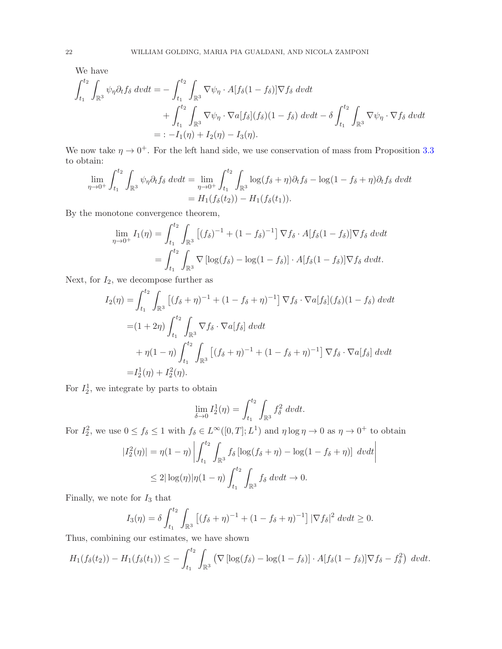We have

$$
\int_{t_1}^{t_2} \int_{\mathbb{R}^3} \psi_{\eta} \partial_t f_{\delta} dv dt = - \int_{t_1}^{t_2} \int_{\mathbb{R}^3} \nabla \psi_{\eta} \cdot A[f_{\delta}(1 - f_{\delta})] \nabla f_{\delta} dv dt \n+ \int_{t_1}^{t_2} \int_{\mathbb{R}^3} \nabla \psi_{\eta} \cdot \nabla a[f_{\delta}](f_{\delta})(1 - f_{\delta}) dv dt - \delta \int_{t_1}^{t_2} \int_{\mathbb{R}^3} \nabla \psi_{\eta} \cdot \nabla f_{\delta} dv dt \n= \, -I_1(\eta) + I_2(\eta) - I_3(\eta).
$$

We now take  $\eta \to 0^+$ . For the left hand side, we use conservation of mass from Proposition [3.3](#page-7-3) to obtain:

$$
\lim_{\eta \to 0^+} \int_{t_1}^{t_2} \int_{\mathbb{R}^3} \psi_{\eta} \partial_t f_{\delta} dv dt = \lim_{\eta \to 0^+} \int_{t_1}^{t_2} \int_{\mathbb{R}^3} \log(f_{\delta} + \eta) \partial_t f_{\delta} - \log(1 - f_{\delta} + \eta) \partial_t f_{\delta} dv dt
$$

$$
= H_1(f_{\delta}(t_2)) - H_1(f_{\delta}(t_1)).
$$

By the monotone convergence theorem,

$$
\lim_{\eta \to 0^+} I_1(\eta) = \int_{t_1}^{t_2} \int_{\mathbb{R}^3} \left[ (f_\delta)^{-1} + (1 - f_\delta)^{-1} \right] \nabla f_\delta \cdot A[f_\delta(1 - f_\delta)] \nabla f_\delta \, dvdt
$$

$$
= \int_{t_1}^{t_2} \int_{\mathbb{R}^3} \nabla \left[ \log(f_\delta) - \log(1 - f_\delta) \right] \cdot A[f_\delta(1 - f_\delta)] \nabla f_\delta \, dvdt.
$$

Next, for  $I_2$ , we decompose further as

$$
I_2(\eta) = \int_{t_1}^{t_2} \int_{\mathbb{R}^3} \left[ (f_{\delta} + \eta)^{-1} + (1 - f_{\delta} + \eta)^{-1} \right] \nabla f_{\delta} \cdot \nabla a[f_{\delta}](f_{\delta})(1 - f_{\delta}) \, dvdt
$$
  
\n
$$
= (1 + 2\eta) \int_{t_1}^{t_2} \int_{\mathbb{R}^3} \nabla f_{\delta} \cdot \nabla a[f_{\delta}] \, dvdt
$$
  
\n
$$
+ \eta(1 - \eta) \int_{t_1}^{t_2} \int_{\mathbb{R}^3} \left[ (f_{\delta} + \eta)^{-1} + (1 - f_{\delta} + \eta)^{-1} \right] \nabla f_{\delta} \cdot \nabla a[f_{\delta}] \, dvdt
$$
  
\n
$$
= I_2^1(\eta) + I_2^2(\eta).
$$

For  $I_2^1$ , we integrate by parts to obtain

$$
\lim_{\delta \to 0} I_2^1(\eta) = \int_{t_1}^{t_2} \int_{\mathbb{R}^3} f_\delta^2 dv dt.
$$

For  $I_2^2$ , we use  $0 \le f_\delta \le 1$  with  $f_\delta \in L^\infty([0,T]; L^1)$  and  $\eta \log \eta \to 0$  as  $\eta \to 0^+$  to obtain

$$
|I_2^2(\eta)| = \eta(1-\eta) \left| \int_{t_1}^{t_2} \int_{\mathbb{R}^3} f_\delta \left[ \log(f_\delta + \eta) - \log(1 - f_\delta + \eta) \right] dv dt \right|
$$
  

$$
\leq 2|\log(\eta)|\eta(1-\eta) \int_{t_1}^{t_2} \int_{\mathbb{R}^3} f_\delta dv dt \to 0.
$$

Finally, we note for  $\mathcal{I}_3$  that

$$
I_3(\eta) = \delta \int_{t_1}^{t_2} \int_{\mathbb{R}^3} \left[ (f_\delta + \eta)^{-1} + (1 - f_\delta + \eta)^{-1} \right] |\nabla f_\delta|^2 \, dv dt \ge 0.
$$

Thus, combining our estimates, we have shown

$$
H_1(f_\delta(t_2)) - H_1(f_\delta(t_1)) \leq -\int_{t_1}^{t_2} \int_{\mathbb{R}^3} \left( \nabla \left[ \log(f_\delta) - \log(1 - f_\delta) \right] \cdot A[f_\delta(1 - f_\delta)] \nabla f_\delta - f_\delta^2 \right) dv dt.
$$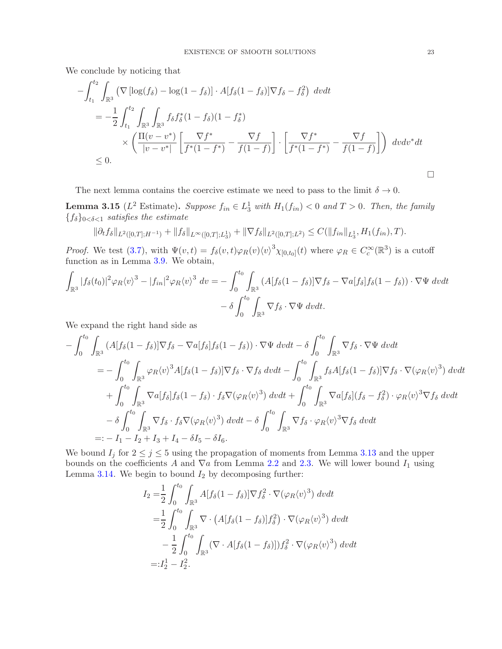We conclude by noticing that

$$
-\int_{t_1}^{t_2} \int_{\mathbb{R}^3} \left( \nabla \left[ \log(f_{\delta}) - \log(1 - f_{\delta}) \right] \cdot A[f_{\delta}(1 - f_{\delta})] \nabla f_{\delta} - f_{\delta}^2 \right) dv dt
$$
  
\n
$$
= -\frac{1}{2} \int_{t_1}^{t_2} \int_{\mathbb{R}^3} \int_{\mathbb{R}^3} f_{\delta} f_{\delta}^*(1 - f_{\delta}) (1 - f_{\delta}^*)
$$
  
\n
$$
\times \left( \frac{\Pi(v - v^*)}{|v - v^*|} \left[ \frac{\nabla f^*}{f^*(1 - f^*)} - \frac{\nabla f}{f(1 - f)} \right] \cdot \left[ \frac{\nabla f^*}{f^*(1 - f^*)} - \frac{\nabla f}{f(1 - f)} \right] \right) dv dv^* dt
$$
  
\n
$$
\leq 0.
$$

The next lemma contains the coercive estimate we need to pass to the limit  $\delta \to 0$ .

<span id="page-22-0"></span>**Lemma 3.15** ( $L^2$  Estimate). Suppose  $f_{in} \in L_3^1$  with  $H_1(f_{in}) < 0$  and  $T > 0$ . Then, the family  ${f_\delta}_{0<\delta<1}$  satisfies the estimate

$$
\|\partial_t f_\delta\|_{L^2([0,T];H^{-1})} + \|f_\delta\|_{L^\infty([0,T];L^1_3)} + \|\nabla f_\delta\|_{L^2([0,T];L^2)} \leq C(\|f_{in}\|_{L^1_3}, H_1(f_{in}),T).
$$

*Proof.* We test [\(3.7\)](#page-8-0), with  $\Psi(v,t) = f_{\delta}(v,t)\varphi_R(v)\langle v \rangle^3 \chi_{[0,t_0]}(t)$  where  $\varphi_R \in C_c^{\infty}(\mathbb{R}^3)$  is a cutoff function as in Lemma [3.9.](#page-11-1) We obtain,

$$
\int_{\mathbb{R}^3} |f_\delta(t_0)|^2 \varphi_R \langle v \rangle^3 - |f_{in}|^2 \varphi_R \langle v \rangle^3 dv = -\int_0^{t_0} \int_{\mathbb{R}^3} (A[f_\delta(1 - f_\delta)] \nabla f_\delta - \nabla a[f_\delta] f_\delta(1 - f_\delta)) \cdot \nabla \Psi dv dt \n- \delta \int_0^{t_0} \int_{\mathbb{R}^3} \nabla f_\delta \cdot \nabla \Psi dv dt.
$$

We expand the right hand side as

$$
-\int_{0}^{t_{0}} \int_{\mathbb{R}^{3}} (A[f_{\delta}(1-f_{\delta})] \nabla f_{\delta} - \nabla a[f_{\delta}] f_{\delta}(1-f_{\delta})) \cdot \nabla \Psi \, dvdt - \delta \int_{0}^{t_{0}} \int_{\mathbb{R}^{3}} \nabla f_{\delta} \cdot \nabla \Psi \, dvdt
$$
  
\n
$$
= -\int_{0}^{t_{0}} \int_{\mathbb{R}^{3}} \varphi_{R} \langle v \rangle^{3} A[f_{\delta}(1-f_{\delta})] \nabla f_{\delta} \cdot \nabla f_{\delta} \, dvdt - \int_{0}^{t_{0}} \int_{\mathbb{R}^{3}} f_{\delta} A[f_{\delta}(1-f_{\delta})] \nabla f_{\delta} \cdot \nabla (\varphi_{R} \langle v \rangle^{3}) \, dvdt
$$
  
\n
$$
+ \int_{0}^{t_{0}} \int_{\mathbb{R}^{3}} \nabla a[f_{\delta}] f_{\delta}(1-f_{\delta}) \cdot f_{\delta} \nabla (\varphi_{R} \langle v \rangle^{3}) \, dvdt + \int_{0}^{t_{0}} \int_{\mathbb{R}^{3}} \nabla a[f_{\delta}] (f_{\delta} - f_{\delta}^{2}) \cdot \varphi_{R} \langle v \rangle^{3} \nabla f_{\delta} \, dvdt
$$
  
\n
$$
- \delta \int_{0}^{t_{0}} \int_{\mathbb{R}^{3}} \nabla f_{\delta} \cdot f_{\delta} \nabla (\varphi_{R} \langle v \rangle^{3}) \, dvdt - \delta \int_{0}^{t_{0}} \int_{\mathbb{R}^{3}} \nabla f_{\delta} \cdot \varphi_{R} \langle v \rangle^{3} \nabla f_{\delta} \, dvdt
$$
  
\n
$$
=: -I_{1} - I_{2} + I_{3} + I_{4} - \delta I_{5} - \delta I_{6}.
$$

We bound  $I_j$  for  $2 \leq j \leq 5$  using the propagation of moments from Lemma [3.13](#page-19-0) and the upper bounds on the coefficients A and  $\nabla a$  from Lemma [2.2](#page-5-3) and [2.3.](#page-6-3) We will lower bound  $I_1$  using Lemma [3.14.](#page-20-3) We begin to bound  $I_2$  by decomposing further:

$$
I_2 = \frac{1}{2} \int_0^{t_0} \int_{\mathbb{R}^3} A[f_\delta(1 - f_\delta)] \nabla f_\delta^2 \cdot \nabla(\varphi_R \langle v \rangle^3) dv dt
$$
  
\n
$$
= \frac{1}{2} \int_0^{t_0} \int_{\mathbb{R}^3} \nabla \cdot \left( A[f_\delta(1 - f_\delta)] f_\delta^2 \right) \cdot \nabla(\varphi_R \langle v \rangle^3) dv dt
$$
  
\n
$$
- \frac{1}{2} \int_0^{t_0} \int_{\mathbb{R}^3} (\nabla \cdot A[f_\delta(1 - f_\delta)]) f_\delta^2 \cdot \nabla(\varphi_R \langle v \rangle^3) dv dt
$$
  
\n
$$
= :I_2^1 - I_2^2.
$$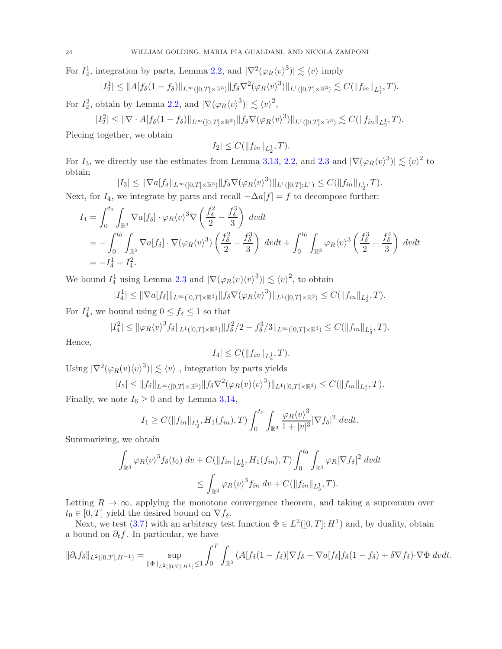For  $I_2^1$ , integration by parts, Lemma [2.2,](#page-5-3) and  $|\nabla^2(\varphi_R\langle v \rangle^3)| \lesssim \langle v \rangle$  imply

$$
|I_2^1| \leq \|A[f_\delta(1-f_\delta)\|_{L^\infty([0,T]\times\mathbb{R}^3)} \|f_\delta \nabla^2(\varphi_R \langle v \rangle^3) \|_{L^1([0,T]\times\mathbb{R}^3)} \lesssim C(\|f_{in}\|_{L_1^1}, T).
$$

For  $I_2^2$ , obtain by Lemma [2.2,](#page-5-3) and  $|\nabla(\varphi_R \langle v \rangle^3)| \lesssim \langle v \rangle^2$ ,

$$
|I_2^2| \leq \|\nabla \cdot A[f_\delta(1-f_\delta)\|_{L^\infty([0,T]\times\mathbb{R}^3)} \|f_\delta \nabla (\varphi_R \langle v \rangle^3)\|_{L^1([0,T]\times\mathbb{R}^3)} \lesssim C(\|f_{in}\|_{L_2^1},T).
$$

Piecing together, we obtain

$$
|I_2| \leq C(||f_{in}||_{L_2^1}, T).
$$

For  $I_3$ , we directly use the estimates from Lemma [3.13,](#page-19-0) [2.2,](#page-5-3) and [2.3](#page-6-3) and  $|\nabla(\varphi_R\langle v\rangle^3)| \lesssim \langle v\rangle^2$  to obtain

$$
|I_3| \leq \|\nabla a[f_\delta\|_{L^\infty([0,T]\times\mathbb{R}^3)} \|f_\delta \nabla(\varphi_R \langle v \rangle^3) \|_{L^1([0,T];L^1)} \leq C(\|f_{in}\|_{L_2^1}, T).
$$

Next, for  $I_4$ , we integrate by parts and recall  $-\Delta a[f] = f$  to decompose further:

$$
I_4 = \int_0^{t_0} \int_{\mathbb{R}^3} \nabla a[f_\delta] \cdot \varphi_R \langle v \rangle^3 \nabla \left( \frac{f_\delta^2}{2} - \frac{f_\delta^3}{3} \right) dv dt
$$
  
=  $-\int_0^{t_0} \int_{\mathbb{R}^3} \nabla a[f_\delta] \cdot \nabla (\varphi_R \langle v \rangle^3) \left( \frac{f_\delta^2}{2} - \frac{f_\delta^3}{3} \right) dv dt + \int_0^{t_0} \int_{\mathbb{R}^3} \varphi_R \langle v \rangle^3 \left( \frac{f_\delta^3}{2} - \frac{f_\delta^4}{3} \right) dv dt$   
=  $-I_4^1 + I_4^2$ .

We bound  $I_4^1$  using Lemma [2.3](#page-6-3) and  $|\nabla(\varphi_R(v)\langle v \rangle^3)| \lesssim \langle v \rangle^2$ , to obtain

$$
|I_4^1| \leq \|\nabla a[f_\delta]\|_{L^\infty([0,T]\times\mathbb{R}^3)} \|f_\delta \nabla (\varphi_R \langle v \rangle^3)\|_{L^1([0,T]\times\mathbb{R}^3)} \leq C(\|f_{in}\|_{L_2^1}, T).
$$

For  $I_4^2$ , we bound using  $0 \le f_\delta \le 1$  so that

$$
|I_4^2| \leq \|\varphi_R\langle v \rangle^3 f_\delta\|_{L^1([0,T]\times\mathbb{R}^3)} \|f_\delta^2/2 - f_\delta^3/3\|_{L^\infty([0,T]\times\mathbb{R}^3)} \leq C(\|f_{in}\|_{L_3^1}, T).
$$

Hence,

$$
|I_4|\leq C(\|f_{in}\|_{L^1_3},T).
$$

Using  $|\nabla^2(\varphi_R(v)\langle v \rangle^3)| \lesssim \langle v \rangle$ , integration by parts yields

$$
|I_5| \leq \|f_\delta\|_{L^\infty([0,T]\times\mathbb{R}^3)} \|f_\delta \nabla^2 (\varphi_R(v) \langle v \rangle^3) \|_{L^1([0,T]\times\mathbb{R}^3)} \leq C(\|f_{in}\|_{L_1^1}, T).
$$

Finally, we note  $I_6 \geq 0$  and by Lemma [3.14,](#page-20-3)

$$
I_1 \geq C(||f_{in}||_{L_2^1}, H_1(f_{in}), T) \int_0^{t_0} \int_{\mathbb{R}^3} \frac{\varphi_R \langle v \rangle^3}{1 + |v|^3} |\nabla f_\delta|^2 dv dt.
$$

Summarizing, we obtain

$$
\int_{\mathbb{R}^3} \varphi_R \langle v \rangle^3 f_\delta(t_0) \, dv + C(||f_{in}||_{L_2^1}, H_1(f_{in}), T) \int_0^{t_0} \int_{\mathbb{R}^3} \varphi_R |\nabla f_\delta|^2 \, dvdt
$$
  

$$
\leq \int_{\mathbb{R}^3} \varphi_R \langle v \rangle^3 f_{in} \, dv + C(||f_{in}||_{L_3^1}, T).
$$

Letting  $R \to \infty$ , applying the monotone convergence theorem, and taking a supremum over  $t_0 \in [0, T]$  yield the desired bound on  $\nabla f_\delta$ .

Next, we test [\(3.7\)](#page-8-0) with an arbitrary test function  $\Phi \in L^2([0,T];H^1)$  and, by duality, obtain a bound on  $\partial_t f$ . In particular, we have

$$
\|\partial_t f_{\delta}\|_{L^2([0,T];H^{-1})} = \sup_{\|\Phi\|_{L^2([0,T];H^1)} \le 1} \int_0^T \int_{\mathbb{R}^3} (A[f_{\delta}(1-f_{\delta})] \nabla f_{\delta} - \nabla a[f_{\delta}] f_{\delta}(1-f_{\delta}) + \delta \nabla f_{\delta}) \cdot \nabla \Phi \, dvdt.
$$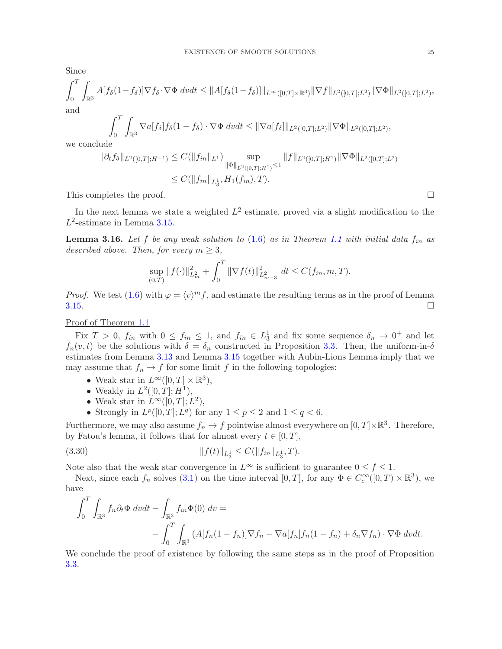Since

$$
\int_0^T \int_{\mathbb{R}^3} A[f_\delta(1 - f_\delta)] \nabla f_\delta \cdot \nabla \Phi \, dvdt \leq \|A[f_\delta(1 - f_\delta)]\|_{L^\infty([0, T] \times \mathbb{R}^3)} \|\nabla f\|_{L^2([0, T]; L^2)} \|\nabla \Phi\|_{L^2([0, T]; L^2)},
$$
 and

$$
\int_0^T \int_{\mathbb{R}^3} \nabla a[f_\delta] f_\delta(1-f_\delta) \cdot \nabla \Phi \, dvdt \leq \|\nabla a[f_\delta]\|_{L^2([0,T];L^2)} \|\nabla \Phi\|_{L^2([0,T];L^2)},
$$

we conclude

$$
\begin{aligned} \|\partial_t f_\delta\|_{L^2([0,T];H^{-1})} &\leq C(\|f_{in}\|_{L^1}) \sup_{\|\Phi\|_{L^2([0,T];H^1)} \leq 1} \|f\|_{L^2([0,T];H^1)} \|\nabla \Phi\|_{L^2([0,T];L^2)} \\ &\leq C(\|f_{in}\|_{L^1_3}, H_1(f_{in}),T). \end{aligned}
$$

This completes the proof.  $\square$ 

In the next lemma we state a weighted  $L^2$  estimate, proved via a slight modification to the  $L^2$ -estimate in Lemma [3.15.](#page-22-0)

<span id="page-24-0"></span>**Lemma 3.16.** Let f be any weak solution to [\(1.6\)](#page-2-2) as in Theorem [1.1](#page-2-0) with initial data  $f_{in}$  as described above. Then, for every  $m \geq 3$ ,

$$
\sup_{(0,T)} \|f(\cdot)\|_{L^2_m}^2 + \int_0^T \|\nabla f(t)\|_{L^2_{m-3}}^2 \ dt \le C(f_{in}, m, T).
$$

*Proof.* We test  $(1.6)$  with  $\varphi = \langle v \rangle^m f$ , and estimate the resulting terms as in the proof of Lemma  $3.15.$ 

#### Proof of Theorem [1.1](#page-2-0)

Fix  $T > 0$ ,  $f_{in}$  with  $0 \le f_{in} \le 1$ , and  $f_{in} \in L_3^1$  and fix some sequence  $\delta_n \to 0^+$  and let  $f_n(v, t)$  be the solutions with  $\delta = \delta_n$  constructed in Proposition [3.3.](#page-7-3) Then, the uniform-in- $\delta$ estimates from Lemma [3.13](#page-19-0) and Lemma [3.15](#page-22-0) together with Aubin-Lions Lemma imply that we may assume that  $f_n \to f$  for some limit f in the following topologies:

- Weak star in  $L^{\infty}([0,T] \times \mathbb{R}^3)$ ,
- Weakly in  $L^2([0,T];H^1)$ ,
- Weak star in  $L^{\infty}([0,T]; L^2)$ ,
- Strongly in  $L^p([0,T]; L^q)$  for any  $1 \leq p \leq 2$  and  $1 \leq q < 6$ .

Furthermore, we may also assume  $f_n \to f$  pointwise almost everywhere on  $[0,T] \times \mathbb{R}^3$ . Therefore, by Fatou's lemma, it follows that for almost every  $t \in [0, T]$ ,

$$
(3.30) \t\t\t\t ||f(t)||_{L_3^1} \leq C(||f_{in}||_{L_3^1}, T).
$$

Note also that the weak star convergence in  $L^{\infty}$  is sufficient to guarantee  $0 \le f \le 1$ .

Next, since each  $f_n$  solves [\(3.1\)](#page-6-1) on the time interval  $[0, T]$ , for any  $\Phi \in C_c^{\infty}([0, T) \times \mathbb{R}^3)$ , we have

$$
\int_0^T \int_{\mathbb{R}^3} f_n \partial_t \Phi \, dv dt - \int_{\mathbb{R}^3} f_{in} \Phi(0) \, dv =
$$
  
- 
$$
\int_0^T \int_{\mathbb{R}^3} (A[f_n(1 - f_n)] \nabla f_n - \nabla a[f_n] f_n(1 - f_n) + \delta_n \nabla f_n) \cdot \nabla \Phi \, dv dt.
$$

We conclude the proof of existence by following the same steps as in the proof of Proposition [3.3.](#page-7-3)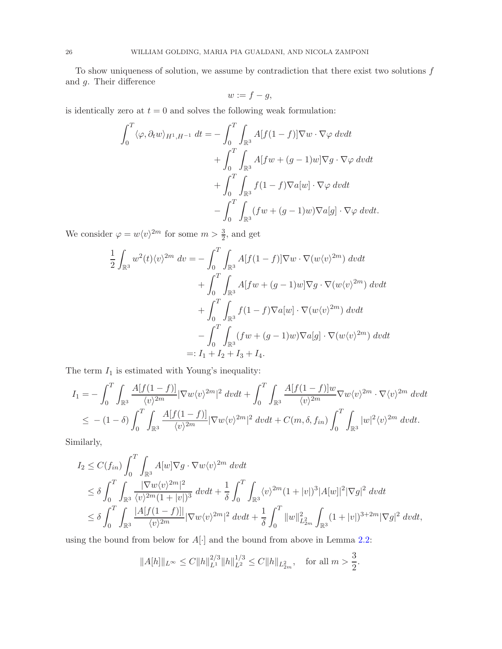To show uniqueness of solution, we assume by contradiction that there exist two solutions  $f$ and g. Their difference

$$
w := f - g,
$$

is identically zero at  $t = 0$  and solves the following weak formulation:

$$
\int_0^T \langle \varphi, \partial_t w \rangle_{H^1, H^{-1}} dt = -\int_0^T \int_{\mathbb{R}^3} A[f(1-f)] \nabla w \cdot \nabla \varphi dv dt \n+ \int_0^T \int_{\mathbb{R}^3} A[fw + (g-1)w] \nabla g \cdot \nabla \varphi dv dt \n+ \int_0^T \int_{\mathbb{R}^3} f(1-f) \nabla a[w] \cdot \nabla \varphi dv dt \n- \int_0^T \int_{\mathbb{R}^3} (fw + (g-1)w) \nabla a[g] \cdot \nabla \varphi dv dt.
$$

We consider  $\varphi = w \langle v \rangle^{2m}$  for some  $m > \frac{3}{2}$ , and get

$$
\frac{1}{2} \int_{\mathbb{R}^3} w^2(t) \langle v \rangle^{2m} dv = -\int_0^T \int_{\mathbb{R}^3} A[f(1-f)] \nabla w \cdot \nabla (w \langle v \rangle^{2m}) dv dt \n+ \int_0^T \int_{\mathbb{R}^3} A[fw + (g-1)w] \nabla g \cdot \nabla (w \langle v \rangle^{2m}) dv dt \n+ \int_0^T \int_{\mathbb{R}^3} f(1-f) \nabla a[w] \cdot \nabla (w \langle v \rangle^{2m}) dv dt \n- \int_0^T \int_{\mathbb{R}^3} (fw + (g-1)w) \nabla a[g] \cdot \nabla (w \langle v \rangle^{2m}) dv dt \n=: I_1 + I_2 + I_3 + I_4.
$$

The term  $\mathcal{I}_1$  is estimated with Young's inequality:

$$
I_{1} = -\int_{0}^{T} \int_{\mathbb{R}^{3}} \frac{A[f(1-f)]}{\langle v \rangle^{2m}} |\nabla w \langle v \rangle^{2m}|^{2} dvdt + \int_{0}^{T} \int_{\mathbb{R}^{3}} \frac{A[f(1-f)]w}{\langle v \rangle^{2m}} \nabla w \langle v \rangle^{2m} \cdot \nabla \langle v \rangle^{2m} dvdt
$$
  

$$
\leq -(1-\delta) \int_{0}^{T} \int_{\mathbb{R}^{3}} \frac{A[f(1-f)]}{\langle v \rangle^{2m}} |\nabla w \langle v \rangle^{2m}|^{2} dvdt + C(m,\delta,f_{in}) \int_{0}^{T} \int_{\mathbb{R}^{3}} |w|^{2} \langle v \rangle^{2m} dvdt.
$$

Similarly,

$$
I_2 \leq C(f_{in}) \int_0^T \int_{\mathbb{R}^3} A[w] \nabla g \cdot \nabla w \langle v \rangle^{2m} dv dt
$$
  
\n
$$
\leq \delta \int_0^T \int_{\mathbb{R}^3} \frac{|\nabla w \langle v \rangle^{2m}|^2}{\langle v \rangle^{2m} (1+|v|)^3} dv dt + \frac{1}{\delta} \int_0^T \int_{\mathbb{R}^3} \langle v \rangle^{2m} (1+|v|)^3 |A[w]|^2 |\nabla g|^2 dv dt
$$
  
\n
$$
\leq \delta \int_0^T \int_{\mathbb{R}^3} \frac{|A[f(1-f)]|}{\langle v \rangle^{2m}} |\nabla w \langle v \rangle^{2m}|^2 dv dt + \frac{1}{\delta} \int_0^T \|w\|_{L_{2m}^2}^2 \int_{\mathbb{R}^3} (1+|v|)^{3+2m} |\nabla g|^2 dv dt,
$$

using the bound from below for  $A[\cdot]$  and the bound from above in Lemma [2.2:](#page-5-3)

$$
||A[h]||_{L^{\infty}} \leq C||h||_{L^{1}}^{2/3}||h||_{L^{2}}^{1/3} \leq C||h||_{L^{2}_{2m}}, \text{ for all } m > \frac{3}{2}.
$$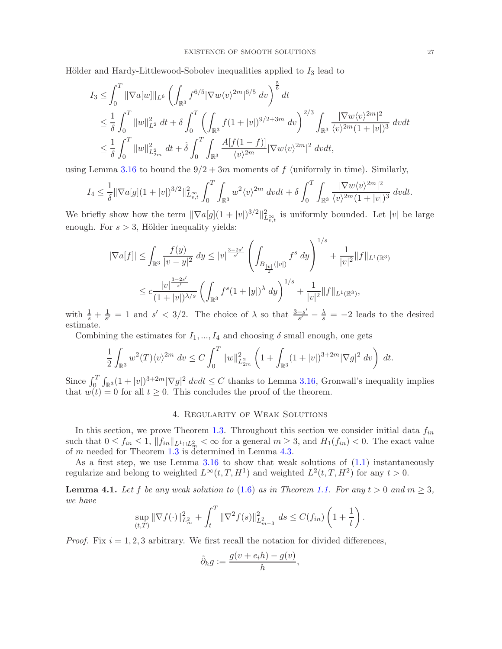Hölder and Hardy-Littlewood-Sobolev inequalities applied to  $I_3$  lead to

$$
I_3 \leq \int_0^T \|\nabla a[w]\|_{L^6} \left( \int_{\mathbb{R}^3} f^{6/5} |\nabla w \langle v \rangle^{2m}|^{6/5} dv \right)^{\frac{5}{6}} dt
$$
  
\n
$$
\leq \frac{1}{\delta} \int_0^T \|w\|_{L^2}^2 dt + \delta \int_0^T \left( \int_{\mathbb{R}^3} f(1+|v|)^{9/2+3m} dv \right)^{2/3} \int_{\mathbb{R}^3} \frac{|\nabla w \langle v \rangle^{2m}|^2}{\langle v \rangle^{2m} (1+|v|)^3} dv dt
$$
  
\n
$$
\leq \frac{1}{\delta} \int_0^T \|w\|_{L^2_{2m}}^2 dt + \tilde{\delta} \int_0^T \int_{\mathbb{R}^3} \frac{A[f(1-f)]}{\langle v \rangle^{2m}} |\nabla w \langle v \rangle^{2m}|^2 dv dt,
$$

using Lemma [3.16](#page-24-0) to bound the  $9/2 + 3m$  moments of f (uniformly in time). Similarly,

$$
I_4 \leq \frac{1}{\delta} \|\nabla a[g](1+|v|)^{3/2}\|_{L^\infty_{v,t}}^2 \int_0^T \int_{\mathbb{R}^3} w^2 \langle v \rangle^{2m} dv dt + \delta \int_0^T \int_{\mathbb{R}^3} \frac{|\nabla w \langle v \rangle^{2m}|^2}{\langle v \rangle^{2m} (1+|v|)^3} dv dt.
$$

We briefly show how the term  $\|\nabla a[g](1 + |v|)^{3/2}\|_{L^{\infty}_{v,t}}^2$  is uniformly bounded. Let  $|v|$  be large enough. For  $s > 3$ , Hölder inequality yields:

$$
|\nabla a[f]| \leq \int_{\mathbb{R}^3} \frac{f(y)}{|v - y|^2} dy \leq |v|^{\frac{3-2s'}{s'}} \left( \int_{B_{\frac{|v|}{2}}(|v|)} f^s dy \right)^{1/s} + \frac{1}{|v|^2} ||f||_{L^1(\mathbb{R}^3)}
$$
  

$$
\leq c \frac{|v|^{\frac{3-2s'}{s'}}}{(1+|v|)^{\lambda/s}} \left( \int_{\mathbb{R}^3} f^s (1+|y|)^{\lambda} dy \right)^{1/s} + \frac{1}{|v|^2} ||f||_{L^1(\mathbb{R}^3)},
$$

with  $\frac{1}{s} + \frac{1}{s'} = 1$  and  $s' < 3/2$ . The choice of  $\lambda$  so that  $\frac{3-s'}{s'}$  $\frac{-s'}{s'} - \frac{\lambda}{s} = -2$  leads to the desired estimate.

Combining the estimates for  $I_1, ..., I_4$  and choosing  $\delta$  small enough, one gets

$$
\frac{1}{2} \int_{\mathbb{R}^3} w^2(T) \langle v \rangle^{2m} dv \le C \int_0^T \|w\|_{L^2_{2m}}^2 \left(1 + \int_{\mathbb{R}^3} (1+|v|)^{3+2m} |\nabla g|^2 dv\right) dt.
$$

Since  $\int_0^T \int_{\mathbb{R}^3} (1+|v|)^{3+2m} |\nabla g|^2 dv dt \leq C$  thanks to Lemma [3.16,](#page-24-0) Gronwall's inequality implies that  $w(t) = 0$  for all  $t \geq 0$ . This concludes the proof of the theorem.

#### 4. Regularity of Weak Solutions

<span id="page-26-0"></span>In this section, we prove Theorem [1.3.](#page-3-0) Throughout this section we consider initial data  $f_{in}$ such that  $0 \le f_{in} \le 1$ ,  $||f_{in}||_{L^1 \cap L^2_m} < \infty$  for a general  $m \ge 3$ , and  $H_1(f_{in}) < 0$ . The exact value of m needed for Theorem [1.3](#page-3-0) is determined in Lemma [4.3.](#page-32-1)

As a first step, we use Lemma  $3.16$  to show that weak solutions of  $(1.1)$  instantaneously regularize and belong to weighted  $L^{\infty}(t, T, H^1)$  and weighted  $L^2(t, T, H^2)$  for any  $t > 0$ .

<span id="page-26-1"></span>**Lemma 4.1.** Let f be any weak solution to [\(1.6\)](#page-2-2) as in Theorem [1.1.](#page-2-0) For any  $t > 0$  and  $m \ge 3$ , we have

$$
\sup_{(t,T)} \|\nabla f(\cdot)\|_{L^2_m}^2 + \int_t^T \|\nabla^2 f(s)\|_{L^2_{m-3}}^2 ds \le C(f_{in}) \left(1 + \frac{1}{t}\right).
$$

*Proof.* Fix  $i = 1, 2, 3$  arbitrary. We first recall the notation for divided differences,

$$
\tilde{\partial}_h g := \frac{g(v + e_i h) - g(v)}{h},
$$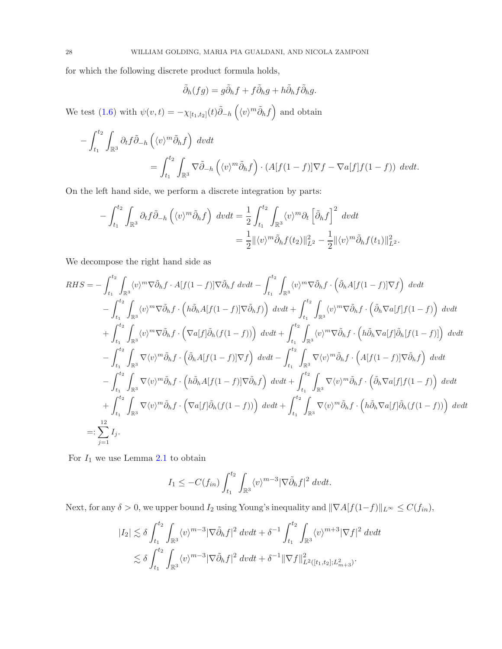for which the following discrete product formula holds,

$$
\tilde{\partial}_h(fg) = g\tilde{\partial}_h f + f\tilde{\partial}_h g + h\tilde{\partial}_h f\tilde{\partial}_h g.
$$

We test [\(1.6\)](#page-2-2) with  $\psi(v,t) = -\chi_{[t_1,t_2]}(t)\tilde{\partial}_{-h}\left(\langle v \rangle^m \tilde{\partial}_h f\right)$  and obtain

$$
-\int_{t_1}^{t_2} \int_{\mathbb{R}^3} \partial_t f \tilde{\partial}_{-h} \left( \langle v \rangle^m \tilde{\partial}_h f \right) dv dt
$$
  
= 
$$
\int_{t_1}^{t_2} \int_{\mathbb{R}^3} \nabla \tilde{\partial}_{-h} \left( \langle v \rangle^m \tilde{\partial}_h f \right) \cdot (A[f(1-f)] \nabla f - \nabla a[f] f(1-f)) dv dt.
$$

On the left hand side, we perform a discrete integration by parts:

$$
-\int_{t_1}^{t_2} \int_{\mathbb{R}^3} \partial_t f \tilde{\partial}_{-h} \left( \langle v \rangle^m \tilde{\partial}_h f \right) dv dt = \frac{1}{2} \int_{t_1}^{t_2} \int_{\mathbb{R}^3} \langle v \rangle^m \partial_t \left[ \tilde{\partial}_h f \right]^2 dv dt
$$
  

$$
= \frac{1}{2} ||\langle v \rangle^m \tilde{\partial}_h f(t_2) ||_{L^2}^2 - \frac{1}{2} ||\langle v \rangle^m \tilde{\partial}_h f(t_1) ||_{L^2}^2.
$$

We decompose the right hand side as

$$
RHS = -\int_{t_1}^{t_2} \int_{\mathbb{R}^3} \langle v \rangle^m \nabla \tilde{\partial}_h f \cdot A[f(1-f)] \nabla \tilde{\partial}_h f dvdt - \int_{t_1}^{t_2} \int_{\mathbb{R}^3} \langle v \rangle^m \nabla \tilde{\partial}_h f \cdot \left( \tilde{\partial}_h A[f(1-f)] \nabla f \right) dvdt - \int_{t_1}^{t_2} \int_{\mathbb{R}^3} \langle v \rangle^m \nabla \tilde{\partial}_h f \cdot \left( h \tilde{\partial}_h A[f(1-f)] \nabla \tilde{\partial}_h f \right) dvdt + \int_{t_1}^{t_2} \int_{\mathbb{R}^3} \langle v \rangle^m \nabla \tilde{\partial}_h f \cdot \left( \tilde{\partial}_h \nabla a[f] f(1-f) \right) dvdt + \int_{t_1}^{t_2} \int_{\mathbb{R}^3} \langle v \rangle^m \nabla \tilde{\partial}_h f \cdot \left( \nabla a[f] \tilde{\partial}_h (f(1-f)) \right) dvdt + \int_{t_1}^{t_2} \int_{\mathbb{R}^3} \langle v \rangle^m \nabla \tilde{\partial}_h f \cdot \left( h \tilde{\partial}_h \nabla a[f] f(1-f) \right) dvdt - \int_{t_1}^{t_2} \int_{\mathbb{R}^3} \nabla \langle v \rangle^m \tilde{\partial}_h f \cdot \left( \tilde{\partial}_h A[f(1-f)] \nabla f \right) dvdt - \int_{t_1}^{t_2} \int_{\mathbb{R}^3} \nabla \langle v \rangle^m \tilde{\partial}_h f \cdot \left( A[f(1-f)] \nabla \tilde{\partial}_h f \right) dvdt - \int_{t_1}^{t_2} \int_{\mathbb{R}^3} \nabla \langle v \rangle^m \tilde{\partial}_h f \cdot \left( h \tilde{\partial}_h A[f(1-f)] \nabla \tilde{\partial}_h f \right) dvdt + \int_{t_1}^{t_2} \int_{\mathbb{R}^3} \nabla \langle v \rangle^m \tilde{\partial}_h f \cdot \left( \tilde{\partial}_h \nabla a[f] f(1-f) \right) dvdt + \int_{t_1}^{t
$$

For  $I_1$  we use Lemma [2.1](#page-5-4) to obtain

$$
I_1 \leq -C(f_{in}) \int_{t_1}^{t_2} \int_{\mathbb{R}^3} \langle v \rangle^{m-3} |\nabla \tilde{\partial}_h f|^2 dv dt.
$$

Next, for any  $\delta > 0$ , we upper bound  $I_2$  using Young's inequality and  $||\nabla A[f(1-f)||_{L^{\infty}} \leq C(f_{in}),$ 

$$
|I_2| \lesssim \delta \int_{t_1}^{t_2} \int_{\mathbb{R}^3} \langle v \rangle^{m-3} |\nabla \tilde{\partial}_h f|^2 \ dv dt + \delta^{-1} \int_{t_1}^{t_2} \int_{\mathbb{R}^3} \langle v \rangle^{m+3} |\nabla f|^2 \ dv dt \n\lesssim \delta \int_{t_1}^{t_2} \int_{\mathbb{R}^3} \langle v \rangle^{m-3} |\nabla \tilde{\partial}_h f|^2 \ dv dt + \delta^{-1} ||\nabla f||^2_{L^2([t_1, t_2]; L^2_{m+3})}.
$$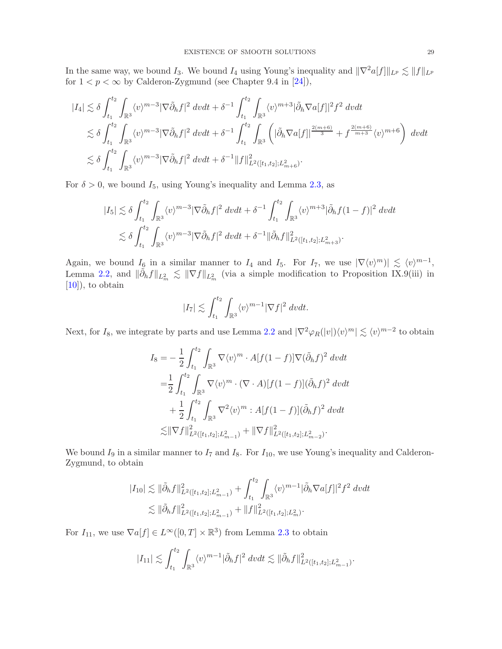In the same way, we bound I<sub>3</sub>. We bound I<sub>4</sub> using Young's inequality and  $\|\nabla^2 a[f]\|_{L^p} \lesssim \|f\|_{L^p}$ for  $1 < p < \infty$  by Calderon-Zygmund (see Chapter 9.4 in [\[24\]](#page-48-19)),

$$
\begin{split} |I_4| \lesssim & \delta \int_{t_1}^{t_2} \int_{\mathbb{R}^3} \langle v \rangle^{m-3} |\nabla \tilde{\partial}_h f|^2 \ dvdt + \delta^{-1} \int_{t_1}^{t_2} \int_{\mathbb{R}^3} \langle v \rangle^{m+3} |\tilde{\partial}_h \nabla a[f]|^2 f^2 \ dvdt \\ & \lesssim \delta \int_{t_1}^{t_2} \int_{\mathbb{R}^3} \langle v \rangle^{m-3} |\nabla \tilde{\partial}_h f|^2 \ dvdt + \delta^{-1} \int_{t_1}^{t_2} \int_{\mathbb{R}^3} \left( |\tilde{\partial}_h \nabla a[f]|^{\frac{2(m+6)}{3}} + f^{\frac{2(m+6)}{m+3}} \langle v \rangle^{m+6} \right) \ dvdt \\ & \lesssim \delta \int_{t_1}^{t_2} \int_{\mathbb{R}^3} \langle v \rangle^{m-3} |\nabla \tilde{\partial}_h f|^2 \ dvdt + \delta^{-1} ||f||^2_{L^2([t_1, t_2]; L^2_{m+6})}. \end{split}
$$

For  $\delta > 0$ , we bound  $I_5$ , using Young's inequality and Lemma [2.3,](#page-6-3) as

$$
|I_5| \lesssim \delta \int_{t_1}^{t_2} \int_{\mathbb{R}^3} \langle v \rangle^{m-3} |\nabla \tilde{\partial}_h f|^2 \ dv dt + \delta^{-1} \int_{t_1}^{t_2} \int_{\mathbb{R}^3} \langle v \rangle^{m+3} |\tilde{\partial}_h f (1-f)|^2 \ dv dt
$$
  

$$
\lesssim \delta \int_{t_1}^{t_2} \int_{\mathbb{R}^3} \langle v \rangle^{m-3} |\nabla \tilde{\partial}_h f|^2 \ dv dt + \delta^{-1} ||\tilde{\partial}_h f||^2_{L^2([t_1, t_2]; L^2_{m+3})}.
$$

Again, we bound  $I_6$  in a similar manner to  $I_4$  and  $I_5$ . For  $I_7$ , we use  $|\nabla \langle v \rangle^m| \leq \langle v \rangle^{m-1}$ , Lemma [2.2,](#page-5-3) and  $\|\tilde{\partial}_h f\|_{L^2_m} \lesssim \|\nabla f\|_{L^2_m}$  (via a simple modification to Proposition IX.9(iii) in [\[10\]](#page-48-21)), to obtain

$$
|I_7| \lesssim \int_{t_1}^{t_2} \int_{\mathbb{R}^3} \langle v \rangle^{m-1} |\nabla f|^2 \ dv dt.
$$

Next, for  $I_8$ , we integrate by parts and use Lemma [2.2](#page-5-3) and  $|\nabla^2 \varphi_R(|v|) \langle v \rangle^m| \lesssim \langle v \rangle^{m-2}$  to obtain

$$
I_8 = -\frac{1}{2} \int_{t_1}^{t_2} \int_{\mathbb{R}^3} \nabla \langle v \rangle^m \cdot A[f(1-f)] \nabla (\tilde{\partial}_h f)^2 dvdt
$$
  
\n
$$
= \frac{1}{2} \int_{t_1}^{t_2} \int_{\mathbb{R}^3} \nabla \langle v \rangle^m \cdot (\nabla \cdot A)[f(1-f)] (\tilde{\partial}_h f)^2 dvdt
$$
  
\n
$$
+ \frac{1}{2} \int_{t_1}^{t_2} \int_{\mathbb{R}^3} \nabla^2 \langle v \rangle^m : A[f(1-f)] (\tilde{\partial}_h f)^2 dvdt
$$
  
\n
$$
\lesssim ||\nabla f||^2_{L^2([t_1, t_2]; L^2_{m-1})} + ||\nabla f||^2_{L^2([t_1, t_2]; L^2_{m-2})}.
$$

We bound  $I_9$  in a similar manner to  $I_7$  and  $I_8$ . For  $I_{10}$ , we use Young's inequality and Calderon-Zygmund, to obtain

$$
|I_{10}| \lesssim \|\tilde{\partial}_h f\|_{L^2([t_1,t_2];L^2_{m-1})}^2 + \int_{t_1}^{t_2} \int_{\mathbb{R}^3} \langle v \rangle^{m-1} |\tilde{\partial}_h \nabla a[f]|^2 f^2 dvdt
$$
  

$$
\lesssim \|\tilde{\partial}_h f\|_{L^2([t_1,t_2];L^2_{m-1})}^2 + \|f\|_{L^2([t_1,t_2];L^2_m)}^2.
$$

For  $I_{11}$ , we use  $\nabla a[f] \in L^{\infty}([0,T] \times \mathbb{R}^3)$  from Lemma [2.3](#page-6-3) to obtain

$$
|I_{11}| \lesssim \int_{t_1}^{t_2} \int_{\mathbb{R}^3} \langle v \rangle^{m-1} |\tilde{\partial}_h f|^2 \ dv dt \lesssim ||\tilde{\partial}_h f||^2_{L^2([t_1,t_2];L^2_{m-1})}.
$$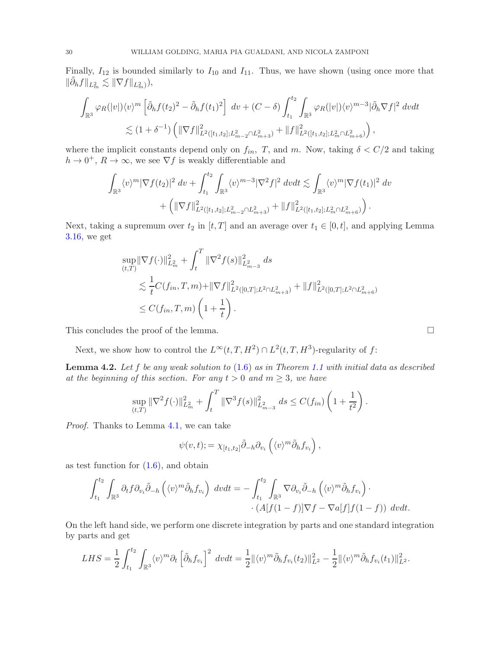Finally,  $I_{12}$  is bounded similarly to  $I_{10}$  and  $I_{11}$ . Thus, we have shown (using once more that  $\|\tilde{\partial}_h f\|_{L^2_m} \lesssim \|\nabla f\|_{L^2_m}),$ 

$$
\int_{\mathbb{R}^3} \varphi_R(|v|) \langle v \rangle^m \left[ \tilde{\partial}_h f(t_2)^2 - \tilde{\partial}_h f(t_1)^2 \right] dv + (C - \delta) \int_{t_1}^{t_2} \int_{\mathbb{R}^3} \varphi_R(|v|) \langle v \rangle^{m-3} |\tilde{\partial}_h \nabla f|^2 dv dt
$$
  

$$
\lesssim (1 + \delta^{-1}) \left( \|\nabla f\|_{L^2([t_1, t_2]; L^2_{m-2} \cap L^2_{m+3})}^2 + \|f\|_{L^2([t_1, t_2]; L^2_m \cap L^2_{m+6})}^2 \right),
$$

where the implicit constants depend only on  $f_{in}$ , T, and m. Now, taking  $\delta < C/2$  and taking  $h \to 0^+, R \to \infty$ , we see  $\nabla f$  is weakly differentiable and

$$
\int_{\mathbb{R}^3} \langle v \rangle^m |\nabla f(t_2)|^2 dv + \int_{t_1}^{t_2} \int_{\mathbb{R}^3} \langle v \rangle^{m-3} |\nabla^2 f|^2 dv dt \lesssim \int_{\mathbb{R}^3} \langle v \rangle^m |\nabla f(t_1)|^2 dv + \left( \|\nabla f\|_{L^2([t_1,t_2];L^2_{m-2} \cap L^2_{m+3})}^2 + \|f\|_{L^2([t_1,t_2];L^2_m \cap L^2_{m+6})}^2 \right).
$$

Next, taking a supremum over  $t_2$  in  $[t, T]$  and an average over  $t_1 \in [0, t]$ , and applying Lemma [3.16,](#page-24-0) we get

$$
\sup_{(t,T)} \|\nabla f(\cdot)\|_{L_m^2}^2 + \int_t^T \|\nabla^2 f(s)\|_{L_{m-3}^2}^2 ds
$$
  
\n
$$
\lesssim \frac{1}{t} C(f_{in}, T, m) + \|\nabla f\|_{L^2([0,T];L^2 \cap L_{m+3}^2)}^2 + \|f\|_{L^2([0,T];L^2 \cap L_{m+6}^2)}^2
$$
  
\n
$$
\leq C(f_{in}, T, m) \left(1 + \frac{1}{t}\right).
$$

This concludes the proof of the lemma.  $\Box$ 

Next, we show how to control the  $L^{\infty}(t,T,H^2) \cap L^2(t,T,H^3)$ -regularity of f:

<span id="page-29-0"></span>**Lemma 4.2.** Let  $f$  be any weak solution to  $(1.6)$  as in Theorem [1.1](#page-2-0) with initial data as described at the beginning of this section. For any  $t > 0$  and  $m \geq 3$ , we have

$$
\sup_{(t,T)} \|\nabla^2 f(\cdot)\|_{L^2_m}^2 + \int_t^T \|\nabla^3 f(s)\|_{L^2_{m-3}}^2 ds \le C(f_{in}) \left(1 + \frac{1}{t^2}\right).
$$

Proof. Thanks to Lemma [4.1,](#page-26-1) we can take

$$
\psi(v,t) := \chi_{[t_1,t_2]} \tilde{\partial}_{-h} \partial_{v_i} \left( \langle v \rangle^m \tilde{\partial}_h f_{v_i} \right),
$$

as test function for  $(1.6)$ , and obtain

$$
\int_{t_1}^{t_2} \int_{\mathbb{R}^3} \partial_t f \partial_{v_i} \tilde{\partial}_{-h} \left( \langle v \rangle^m \tilde{\partial}_h f_{v_i} \right) dv dt = - \int_{t_1}^{t_2} \int_{\mathbb{R}^3} \nabla \partial_{v_i} \tilde{\partial}_{-h} \left( \langle v \rangle^m \tilde{\partial}_h f_{v_i} \right) \cdot \\ \cdot \left( A[f(1-f)] \nabla f - \nabla a[f] f(1-f) \right) dv dt.
$$

On the left hand side, we perform one discrete integration by parts and one standard integration by parts and get

$$
LHS = \frac{1}{2} \int_{t_1}^{t_2} \int_{\mathbb{R}^3} \langle v \rangle^m \partial_t \left[ \tilde{\partial}_h f_{v_i} \right]^2 dv dt = \frac{1}{2} ||\langle v \rangle^m \tilde{\partial}_h f_{v_i}(t_2)||_{L^2}^2 - \frac{1}{2} ||\langle v \rangle^m \tilde{\partial}_h f_{v_i}(t_1)||_{L^2}^2.
$$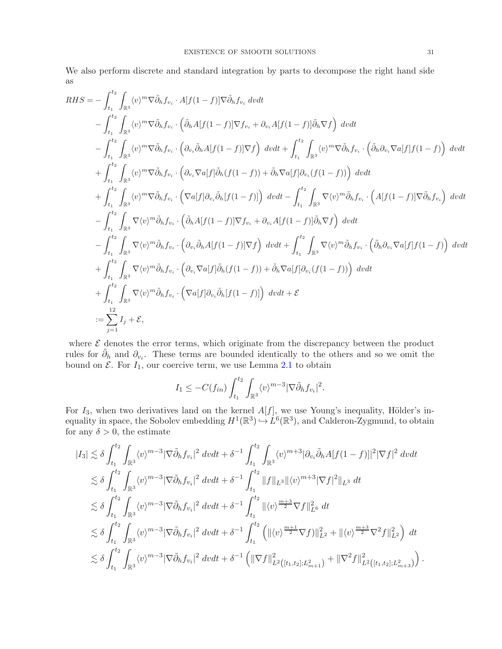We also perform discrete and standard integration by parts to decompose the right hand side as

$$
RHS = -\int_{t_1}^{t_2} \int_{\mathbb{R}^3} \langle v \rangle^m \nabla \tilde{\partial}_h f_{v_i} \cdot A[f(1-f)] \nabla \tilde{\partial}_h f_{v_i} dvdt - \int_{t_1}^{t_2} \int_{\mathbb{R}^3} \langle v \rangle^m \nabla \tilde{\partial}_h f_{v_i} \cdot (\tilde{\partial}_h A[f(1-f)] \nabla f_{v_i} + \partial_{v_i} A[f(1-f)] \tilde{\partial}_h \nabla f) dvdt - \int_{t_1}^{t_2} \int_{\mathbb{R}^3} \langle v \rangle^m \nabla \tilde{\partial}_h f_{v_i} \cdot (\partial_{v_i} \tilde{\partial}_h A[f(1-f)] \nabla f) dvdt + \int_{t_1}^{t_2} \int_{\mathbb{R}^3} \langle v \rangle^m \nabla \tilde{\partial}_h f_{v_i} \cdot (\tilde{\partial}_h \partial_{v_i} \nabla \tilde{\partial}_h f_{v_i} \cdot (\partial_{v_i} \nabla \tilde{\partial}_h f_0 \cdot (\tilde{\partial}_h \tilde{\partial}_h f_1 \cdot (\tilde{\partial}_h \tilde{\partial}_h f_1 \cdot (\tilde{\partial}_h \tilde{\partial}_h f_1 \cdot (\tilde{\partial}_h \tilde{\partial}_h f_1 \cdot (\tilde{\partial}_h f_1 \cdot \tilde{\partial}_h f_0 \cdot \tilde{\partial}_h f_0 \cdot (\tilde{\partial}_h f_1 \cdot \tilde{\partial}_h f_0 \cdot \tilde{\partial}_h f_0 \cdot (\tilde{\partial}_h f_1 \cdot \tilde{\partial}_h f_1 \cdot (\tilde{\partial}_h f_1 \cdot \tilde{\partial}_h f_1 \cdot (\tilde{\partial}_h f_1 \cdot \tilde{\partial}_h f_0 \cdot \tilde{\partial}_h f_0 \cdot \tilde{\partial}_h f_0 \cdot (\tilde{\partial}_h f_1 \cdot \tilde{\partial}_h f_1 \cdot (\tilde{\partial}_h f_1 \cdot \tilde{\partial}_h f_0 \cdot \tilde{\partial}_h f_0 \cdot (\tilde{\partial}_h f_1 \cdot (\tilde{\partial}_h f_1 \cdot \tilde{\partial}_h f_0 \cdot (\tilde{\partial}_h f_1 \cdot \tilde{\partial}_h f_0 \cdot \tilde{\partial}_h f_0 \cdot (\tilde{\partial}_h f_1 \cdot (\tilde{\partial}_h f_1
$$

where  $\mathcal E$  denotes the error terms, which originate from the discrepancy between the product rules for  $\tilde{\partial}_h$  and  $\partial_{v_i}$ . These terms are bounded identically to the others and so we omit the bound on  $\mathcal{E}$ . For  $I_1$ , our coercive term, we use Lemma [2.1](#page-5-4) to obtain

$$
I_1 \leq -C(f_{in}) \int_{t_1}^{t_2} \int_{\mathbb{R}^3} \langle v \rangle^{m-3} |\nabla \tilde{\partial}_h f_{v_i}|^2.
$$

For  $I_3$ , when two derivatives land on the kernel  $A[f]$ , we use Young's inequality, Hölder's inequality in space, the Sobolev embedding  $H^1(\mathbb{R}^3) \hookrightarrow L^6(\mathbb{R}^3)$ , and Calderon-Zygmund, to obtain for any  $\delta > 0$ , the estimate

$$
\begin{split} |I_{3}| &\lesssim \delta \int_{t_{1}}^{t_{2}} \int_{\mathbb{R}^{3}} \langle v \rangle^{m-3} |\nabla \tilde{\partial}_{h} f_{v_{i}}|^{2} dvdt + \delta^{-1} \int_{t_{1}}^{t_{2}} \int_{\mathbb{R}^{3}} \langle v \rangle^{m+3} |\partial_{v_{i}} \tilde{\partial}_{h} A[f(1-f)]|^{2} |\nabla f|^{2} dvdt \\ &\lesssim \delta \int_{t_{1}}^{t_{2}} \int_{\mathbb{R}^{3}} \langle v \rangle^{m-3} |\nabla \tilde{\partial}_{h} f_{v_{i}}|^{2} dvdt + \delta^{-1} \int_{t_{1}}^{t_{2}} ||f||_{L^{3}} ||\langle v \rangle^{m+3} |\nabla f|^{2}||_{L^{3}} dt \\ &\lesssim \delta \int_{t_{1}}^{t_{2}} \int_{\mathbb{R}^{3}} \langle v \rangle^{m-3} |\nabla \tilde{\partial}_{h} f_{v_{i}}|^{2} dvdt + \delta^{-1} \int_{t_{1}}^{t_{2}} ||\langle v \rangle^{\frac{m+3}{2}} \nabla f||_{L^{6}}^{2} dt \\ &\lesssim \delta \int_{t_{1}}^{t_{2}} \int_{\mathbb{R}^{3}} \langle v \rangle^{m-3} |\nabla \tilde{\partial}_{h} f_{v_{i}}|^{2} dvdt + \delta^{-1} \int_{t_{1}}^{t_{2}} \left( ||\langle v \rangle^{\frac{m+1}{2}} \nabla f \rangle ||_{L^{2}}^{2} + ||\langle v \rangle^{\frac{m+3}{2}} \nabla^{2} f||_{L^{2}}^{2} \right) dt \\ &\lesssim \delta \int_{t_{1}}^{t_{2}} \int_{\mathbb{R}^{3}} \langle v \rangle^{m-3} |\nabla \tilde{\partial}_{h} f_{v_{i}}|^{2} dvdt + \delta^{-1} \left( ||\nabla f||_{L^{2}([t_{1},t_{2}];L_{m+1}^{2})}^{2} + ||\nabla^{2} f||_{L^{2}([t_{1},t_{2}];L_{m+3}^{2})}^{2} \right). \end{split}
$$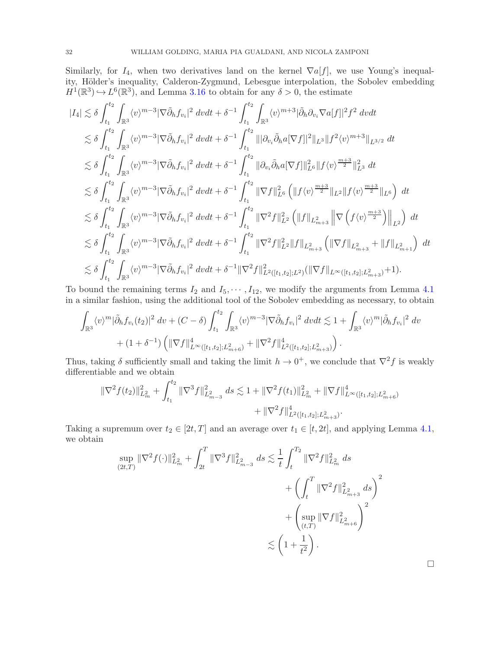Similarly, for  $I_4$ , when two derivatives land on the kernel  $\nabla a[f]$ , we use Young's inequality, Hölder's inequality, Calderon-Zygmund, Lebesgue interpolation, the Sobolev embedding  $H^1(\mathbb{R}^3) \hookrightarrow L^6(\mathbb{R}^3)$ , and Lemma [3.16](#page-24-0) to obtain for any  $\delta > 0$ , the estimate

$$
|I_{4}| \lesssim \delta \int_{t_{1}}^{t_{2}} \int_{\mathbb{R}^{3}} \langle v \rangle^{m-3} |\nabla \tilde{\partial}_{h} f_{v_{i}}|^{2} dvdt + \delta^{-1} \int_{t_{1}}^{t_{2}} \int_{\mathbb{R}^{3}} \langle v \rangle^{m+3} |\tilde{\partial}_{h} \partial_{v_{i}} \nabla a[f]|^{2} f^{2} dvdt
$$
  
\n
$$
\lesssim \delta \int_{t_{1}}^{t_{2}} \int_{\mathbb{R}^{3}} \langle v \rangle^{m-3} |\nabla \tilde{\partial}_{h} f_{v_{i}}|^{2} dvdt + \delta^{-1} \int_{t_{1}}^{t_{2}} |||\partial_{v_{i}} \tilde{\partial}_{h} a [\nabla f]|^{2} ||_{L^{3}} ||f^{2} \langle v \rangle^{m+3} ||_{L^{3/2}} dt
$$
  
\n
$$
\lesssim \delta \int_{t_{1}}^{t_{2}} \int_{\mathbb{R}^{3}} \langle v \rangle^{m-3} |\nabla \tilde{\partial}_{h} f_{v_{i}}|^{2} dvdt + \delta^{-1} \int_{t_{1}}^{t_{2}} ||\partial_{v_{i}} \tilde{\partial}_{h} a [\nabla f]||^{2}_{L^{6}} ||f \langle v \rangle^{\frac{m+3}{2}} ||_{L^{3}} dt
$$
  
\n
$$
\lesssim \delta \int_{t_{1}}^{t_{2}} \int_{\mathbb{R}^{3}} \langle v \rangle^{m-3} |\nabla \tilde{\partial}_{h} f_{v_{i}}|^{2} dvdt + \delta^{-1} \int_{t_{1}}^{t_{2}} ||\nabla f||^{2}_{L^{6}} \left( ||f \langle v \rangle^{\frac{m+3}{2}} ||_{L^{2}} ||f \langle v \rangle^{\frac{m+3}{2}} ||_{L^{6}} \right) dt
$$
  
\n
$$
\lesssim \delta \int_{t_{1}}^{t_{2}} \int_{\mathbb{R}^{3}} \langle v \rangle^{m-3} |\nabla \tilde{\partial}_{h} f_{v_{i}}|^{2} dvdt + \delta^{-1} \int_{t_{1}}^{t_{2}} ||\nabla^{2} f||^{2}_{L^{2}} \left( ||f||_{L^{2}_{m+3}} \right) ||\nabla \left( f \langle v \rangle^{\frac{m+3}{2}} \right) ||_{L^{2}} \
$$

To bound the remaining terms  $I_2$  and  $I_5, \dots, I_{12}$ , we modify the arguments from Lemma [4.1](#page-26-1) in a similar fashion, using the additional tool of the Sobolev embedding as necessary, to obtain

$$
\int_{\mathbb{R}^3} \langle v \rangle^m |\tilde{\partial}_h f_{v_i}(t_2)|^2 dv + (C - \delta) \int_{t_1}^{t_2} \int_{\mathbb{R}^3} \langle v \rangle^{m-3} |\nabla \tilde{\partial}_h f_{v_i}|^2 dv dt \lesssim 1 + \int_{\mathbb{R}^3} \langle v \rangle^m |\tilde{\partial}_h f_{v_i}|^2 dv
$$
  
+  $(1 + \delta^{-1}) \left( \|\nabla f\|_{L^\infty([t_1, t_2]; L^2_{m+6})}^4 + \|\nabla^2 f\|_{L^2([t_1, t_2]; L^2_{m+3})}^4 \right).$ 

Thus, taking  $\delta$  sufficiently small and taking the limit  $h \to 0^+$ , we conclude that  $\nabla^2 f$  is weakly differentiable and we obtain

$$
\begin{aligned} \|\nabla^2 f(t_2)\|_{L^2_m}^2 + \int_{t_1}^{t_2} \|\nabla^3 f\|_{L^2_{m-3}}^2 \, ds &\lesssim 1 + \|\nabla^2 f(t_1)\|_{L^2_m}^2 + \|\nabla f\|_{L^\infty([t_1,t_2];L^2_{m+6})}^4 \\ &+ \|\nabla^2 f\|_{L^2([t_1,t_2];L^2_{m+3})}^4. \end{aligned}
$$

Taking a supremum over  $t_2 \in [2t, T]$  and an average over  $t_1 \in [t, 2t]$ , and applying Lemma [4.1,](#page-26-1) we obtain

$$
\sup_{(2t,T)} \|\nabla^2 f(\cdot)\|_{L^2_m}^2 + \int_{2t}^T \|\nabla^3 f\|_{L^2_{m-3}}^2 ds \lesssim \frac{1}{t} \int_t^{T_2} \|\nabla^2 f\|_{L^2_m}^2 ds + \left(\int_t^T \|\nabla^2 f\|_{L^2_{m+3}}^2 ds \right) + \left(\sup_{(t,T)} \|\nabla f\|_{L^2_{m+6}}^2\right)^2 \lesssim \left(1 + \frac{1}{t^2}\right).
$$

 $\Box$ 

 $\overline{2}$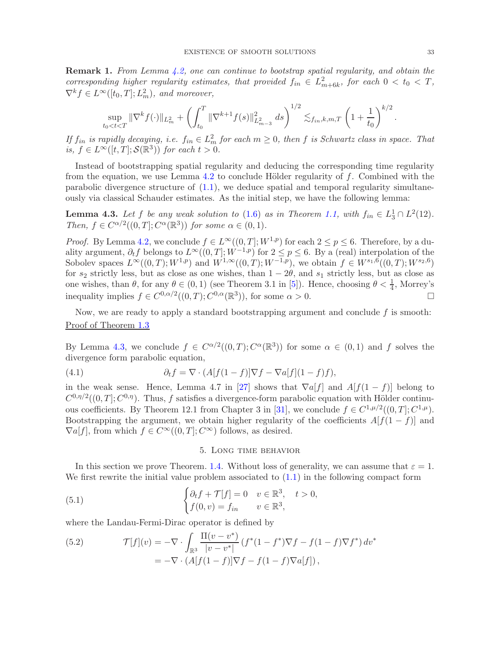Remark 1. From Lemma [4.2,](#page-29-0) one can continue to bootstrap spatial regularity, and obtain the corresponding higher regularity estimates, that provided  $f_{in} \in L^2_{m+6k}$ , for each  $0 < t_0 < T$ ,  $\nabla^k f \in L^{\infty}([t_0, T]; L^2_m)$ , and moreover,

$$
\sup_{t_0 < t < T} \|\nabla^k f(\cdot)\|_{L^2_m} + \left(\int_{t_0}^T \|\nabla^{k+1} f(s)\|_{L^2_{m-3}}^2 ds\right)^{1/2} \lesssim_{f_{in}, k, m, T} \left(1 + \frac{1}{t_0}\right)^{k/2}.
$$

If  $f_{in}$  is rapidly decaying, i.e.  $f_{in} \in L^2_m$  for each  $m \geq 0$ , then f is Schwartz class in space. That is,  $f \in L^{\infty}([t, T]; \mathcal{S}(\mathbb{R}^3))$  for each  $t > 0$ .

Instead of bootstrapping spatial regularity and deducing the corresponding time regularity from the equation, we use Lemma  $4.2$  to conclude Hölder regularity of f. Combined with the parabolic divergence structure of [\(1.1\)](#page-0-0), we deduce spatial and temporal regularity simultaneously via classical Schauder estimates. As the initial step, we have the following lemma:

<span id="page-32-1"></span>**Lemma 4.3.** Let f be any weak solution to [\(1.6\)](#page-2-2) as in Theorem [1.1,](#page-2-0) with  $f_{in} \in L_3^1 \cap L^2(12)$ . Then,  $f \in C^{\alpha/2}((0,T]; C^{\alpha}(\mathbb{R}^3))$  for some  $\alpha \in (0,1)$ .

*Proof.* By Lemma [4.2,](#page-29-0) we conclude  $f \in L^{\infty}((0,T];W^{1,p})$  for each  $2 \le p \le 6$ . Therefore, by a duality argument,  $\partial_t f$  belongs to  $L^{\infty}((0,T]; W^{-1,p})$  for  $2 \leq p \leq 6$ . By a (real) interpolation of the Sobolev spaces  $L^{\infty}((0,T);W^{1,p})$  and  $W^{1,\infty}((0,T);W^{-1,p})$ , we obtain  $f \in W^{s_1,6}((0,T);W^{s_2,6})$ for  $s_2$  strictly less, but as close as one wishes, than  $1 - 2\theta$ , and  $s_1$  strictly less, but as close as one wishes, than  $\theta$ , for any  $\theta \in (0,1)$  (see Theorem 3.1 in [\[5\]](#page-48-22)). Hence, choosing  $\theta < \frac{1}{4}$ , Morrey's inequality implies  $f \in C^{0,\alpha/2}((0,T); C^{0,\alpha}(\mathbb{R}^3))$ , for some  $\alpha > 0$ .

Now, we are ready to apply a standard bootstrapping argument and conclude  $f$  is smooth: Proof of Theorem [1.3](#page-3-0)

By Lemma [4.3,](#page-32-1) we conclude  $f \in C^{\alpha/2}((0,T); C^{\alpha}(\mathbb{R}^3))$  for some  $\alpha \in (0,1)$  and f solves the divergence form parabolic equation,

(4.1) 
$$
\partial_t f = \nabla \cdot (A[f(1-f)]\nabla f - \nabla a[f](1-f)f),
$$

in the weak sense. Hence, Lemma 4.7 in [\[27\]](#page-48-23) shows that  $\nabla a[f]$  and  $A[f(1-f)]$  belong to  $C^{0,\eta/2}((0,T];C^{0,\eta})$ . Thus, f satisfies a divergence-form parabolic equation with Hölder continu-ous coefficients. By Theorem 12.1 from Chapter 3 in [\[31\]](#page-49-5), we conclude  $f \in C^{1,\mu/2}((0,T]; C^{1,\mu}).$ Bootstrapping the argument, we obtain higher regularity of the coefficients  $A[f(1-f)]$  and  $\nabla a[f]$ , from which  $f \in C^{\infty}((0,T]; C^{\infty})$  follows, as desired.

### <span id="page-32-2"></span>5. Long time behavior

<span id="page-32-0"></span>In this section we prove Theorem. [1.4.](#page-4-0) Without loss of generality, we can assume that  $\varepsilon = 1$ . We first rewrite the initial value problem associated to  $(1.1)$  in the following compact form

(5.1) 
$$
\begin{cases} \partial_t f + \mathcal{T}[f] = 0 & v \in \mathbb{R}^3, \quad t > 0, \\ f(0, v) = f_{in} & v \in \mathbb{R}^3, \end{cases}
$$

where the Landau-Fermi-Dirac operator is defined by

(5.2) 
$$
\mathcal{T}[f](v) = -\nabla \cdot \int_{\mathbb{R}^3} \frac{\Pi(v - v^*)}{|v - v^*|} (f^*(1 - f^*) \nabla f - f(1 - f) \nabla f^*) dv^*
$$

$$
= -\nabla \cdot (A[f(1 - f)] \nabla f - f(1 - f) \nabla a[f]),
$$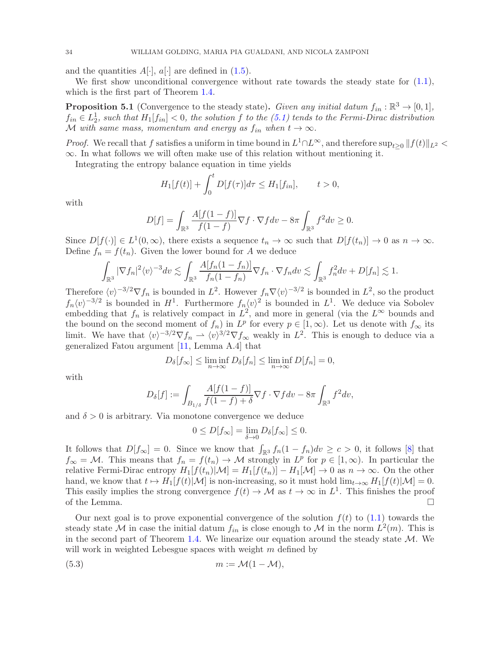and the quantities  $A[\cdot]$ ,  $a[\cdot]$  are defined in [\(1.5\)](#page-2-1).

We first show unconditional convergence without rate towards the steady state for  $(1.1)$ , which is the first part of Theorem [1.4.](#page-4-0)

**Proposition 5.1** (Convergence to the steady state). Given any initial datum  $f_{in} : \mathbb{R}^3 \to [0,1],$  $f_{in} \in L_2^1$ , such that  $H_1[f_{in}] < 0$ , the solution f to the  $(5.1)$  tends to the Fermi-Dirac distribution M with same mass, momentum and energy as  $f_{in}$  when  $t \to \infty$ .

*Proof.* We recall that f satisfies a uniform in time bound in  $L^1 \cap L^{\infty}$ , and therefore  $\sup_{t\geq 0} ||f(t)||_{L^2}$ ∞. In what follows we will often make use of this relation without mentioning it.

Integrating the entropy balance equation in time yields

$$
H_1[f(t)] + \int_0^t D[f(\tau)]d\tau \le H_1[f_{in}], \qquad t > 0,
$$

with

$$
D[f] = \int_{\mathbb{R}^3} \frac{A[f(1-f)]}{f(1-f)} \nabla f \cdot \nabla f dv - 8\pi \int_{\mathbb{R}^3} f^2 dv \ge 0.
$$

Since  $D[f(\cdot)] \in L^1(0,\infty)$ , there exists a sequence  $t_n \to \infty$  such that  $D[f(t_n)] \to 0$  as  $n \to \infty$ . Define  $f_n = f(t_n)$ . Given the lower bound for A we deduce

$$
\int_{\mathbb{R}^3} |\nabla f_n|^2 \langle v \rangle^{-3} dv \lesssim \int_{\mathbb{R}^3} \frac{A[f_n(1-f_n)]}{f_n(1-f_n)} \nabla f_n \cdot \nabla f_n dv \lesssim \int_{\mathbb{R}^3} f_n^2 dv + D[f_n] \lesssim 1.
$$

Therefore  $\langle v \rangle^{-3/2} \nabla f_n$  is bounded in  $L^2$ . However  $f_n \nabla \langle v \rangle^{-3/2}$  is bounded in  $L^2$ , so the product  $f_n \langle v \rangle^{-3/2}$  is bounded in  $H^1$ . Furthermore  $f_n \langle v \rangle^2$  is bounded in  $L^1$ . We deduce via Sobolev embedding that  $f_n$  is relatively compact in  $L^2$ , and more in general (via the  $L^{\infty}$  bounds and the bound on the second moment of  $f_n$ ) in  $L^p$  for every  $p \in [1,\infty)$ . Let us denote with  $f_\infty$  its limit. We have that  $\langle v \rangle^{-3/2} \nabla f_n \rightharpoonup \langle v \rangle^{3/2} \nabla f_\infty$  weakly in  $L^2$ . This is enough to deduce via a generalized Fatou argument [\[11,](#page-48-24) Lemma A.4] that

$$
D_{\delta}[f_{\infty}] \le \liminf_{n \to \infty} D_{\delta}[f_n] \le \liminf_{n \to \infty} D[f_n] = 0,
$$

with

$$
D_{\delta}[f] := \int_{B_{1/\delta}} \frac{A[f(1-f)]}{f(1-f) + \delta} \nabla f \cdot \nabla f dv - 8\pi \int_{\mathbb{R}^3} f^2 dv,
$$

and  $\delta > 0$  is arbitrary. Via monotone convergence we deduce

$$
0 \le D[f_{\infty}] = \lim_{\delta \to 0} D_{\delta}[f_{\infty}] \le 0.
$$

It follows that  $D[f_\infty] = 0$ . Since we know that  $\int_{\mathbb{R}^3} f_n(1 - f_n) dv \geq c > 0$ , it follows [\[8\]](#page-48-8) that  $f_{\infty} = \mathcal{M}$ . This means that  $f_n = f(t_n) \to \mathcal{M}$  strongly in  $L^p$  for  $p \in [1, \infty)$ . In particular the relative Fermi-Dirac entropy  $H_1[f(t_n)|M] = H_1[f(t_n)] - H_1[M] \to 0$  as  $n \to \infty$ . On the other hand, we know that  $t \mapsto H_1[f(t)|\mathcal{M}]$  is non-increasing, so it must hold  $\lim_{t\to\infty} H_1[f(t)|\mathcal{M}] = 0$ . This easily implies the strong convergence  $f(t) \to \mathcal{M}$  as  $t \to \infty$  in  $L^1$ . This finishes the proof of the Lemma.  $\Box$ 

Our next goal is to prove exponential convergence of the solution  $f(t)$  to [\(1.1\)](#page-0-0) towards the steady state M in case the initial datum  $f_{in}$  is close enough to M in the norm  $L^2(m)$ . This is in the second part of Theorem [1.4.](#page-4-0) We linearize our equation around the steady state  $M$ . We will work in weighted Lebesgue spaces with weight  $m$  defined by

$$
(5.3) \t\t m := \mathcal{M}(1 - \mathcal{M}),
$$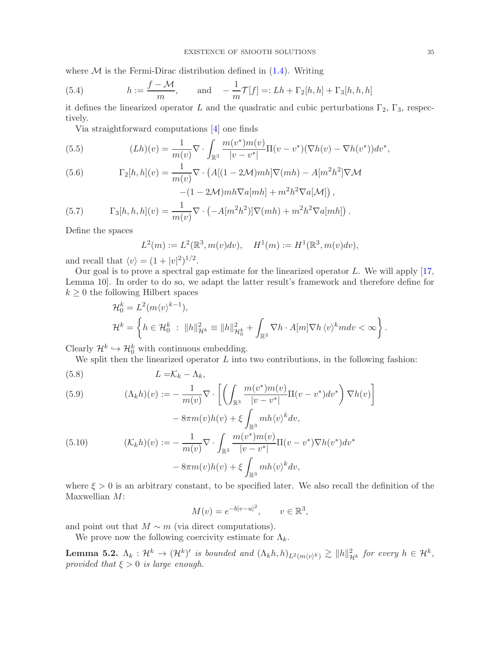where  $M$  is the Fermi-Dirac distribution defined in  $(1.4)$ . Writing

<span id="page-34-2"></span>(5.4) 
$$
h := \frac{f - \mathcal{M}}{m}, \quad \text{and} \quad -\frac{1}{m}\mathcal{T}[f] =: Lh + \Gamma_2[h, h] + \Gamma_3[h, h, h]
$$

it defines the linearized operator L and the quadratic and cubic perturbations  $\Gamma_2$ ,  $\Gamma_3$ , respectively.

Via straightforward computations [\[4\]](#page-48-6) one finds

(5.5) 
$$
(Lh)(v) = \frac{1}{m(v)} \nabla \cdot \int_{\mathbb{R}^3} \frac{m(v^*)m(v)}{|v - v^*|} \Pi(v - v^*)(\nabla h(v) - \nabla h(v^*)) dv^*,
$$

(5.6) 
$$
\Gamma_2[h, h](v) = \frac{1}{m(v)} \nabla \cdot \left( A[(1 - 2\mathcal{M})mh] \nabla (mh) - A[m^2h^2] \nabla \mathcal{M} - (1 - 2\mathcal{M})mh \nabla a[mh] + m^2h^2 \nabla a[\mathcal{M}]\right),
$$

(5.7) 
$$
\Gamma_3[h, h, h](v) = \frac{1}{m(v)} \nabla \cdot \left( -A[m^2 h^2] \right) \nabla (mh) + m^2 h^2 \nabla a[mh] \right).
$$

Define the spaces

$$
L^{2}(m) := L^{2}(\mathbb{R}^{3}, m(v)dv), \quad H^{1}(m) := H^{1}(\mathbb{R}^{3}, m(v)dv),
$$

and recall that  $\langle v \rangle = (1 + |v|^2)^{1/2}$ .

Our goal is to prove a spectral gap estimate for the linearized operator  $L$ . We will apply [\[17,](#page-48-25) Lemma 10]. In order to do so, we adapt the latter result's framework and therefore define for  $k \geq 0$  the following Hilbert spaces

$$
\mathcal{H}_0^k = L^2(m \langle v \rangle^{k-1}),
$$
  
\n
$$
\mathcal{H}^k = \left\{ h \in \mathcal{H}_0^k : ||h||_{\mathcal{H}_0^k}^2 = ||h||_{\mathcal{H}_0^k}^2 + \int_{\mathbb{R}^3} \nabla h \cdot A[m] \nabla h \langle v \rangle^k m dv < \infty \right\}.
$$

Clearly  $\mathcal{H}^k \hookrightarrow \mathcal{H}_0^k$  with continuous embedding.

We split then the linearized operator  $L$  into two contributions, in the following fashion:

$$
(5.8) \tL = \mathcal{K}_k - \Lambda_k,
$$

<span id="page-34-0"></span>(5.9) 
$$
(\Lambda_k h)(v) := -\frac{1}{m(v)} \nabla \cdot \left[ \left( \int_{\mathbb{R}^3} \frac{m(v^*)m(v)}{|v - v^*|} \Pi(v - v^*) dv^* \right) \nabla h(v) \right] - 8\pi m(v)h(v) + \xi \int_{\mathbb{R}^3} m h \langle v \rangle^k dv,
$$
  
(5.10) 
$$
(\mathcal{K}_k h)(v) := -\frac{1}{m(v)} \nabla \cdot \int_{\mathbb{R}^3} \frac{m(v^*)m(v)}{|v - v^*|} \Pi(v - v^*) \nabla h(v^*) dv^* - 8\pi m(v)h(v) + \xi \int_{\mathbb{R}^3} m h \langle v \rangle^k dv,
$$

where  $\xi > 0$  is an arbitrary constant, to be specified later. We also recall the definition of the Maxwellian M:

$$
M(v) = e^{-b|v-u|^2}, \qquad v \in \mathbb{R}^3,
$$

and point out that  $M \sim m$  (via direct computations).

We prove now the following coercivity estimate for  $\Lambda_k$ .

<span id="page-34-1"></span>**Lemma 5.2.**  $\Lambda_k: \mathcal{H}^k \to (\mathcal{H}^k)'$  is bounded and  $(\Lambda_k h, h)_{L^2(m\langle v \rangle^k)} \gtrsim ||h||_{\mathcal{H}^k}^2$  for every  $h \in \mathcal{H}^k$ , provided that  $\xi > 0$  is large enough.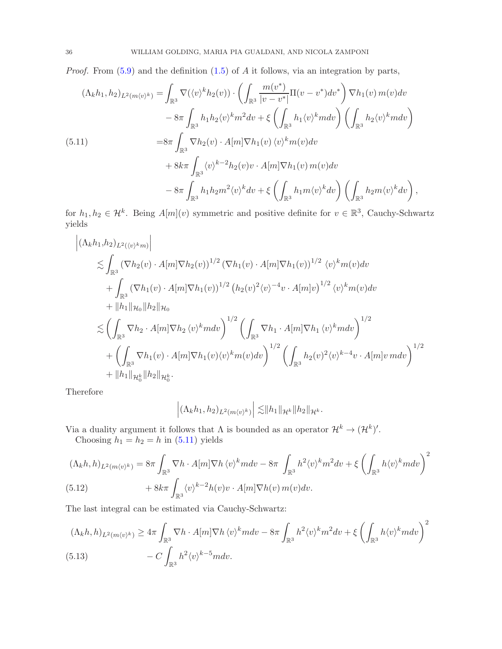*Proof.* From  $(5.9)$  and the definition  $(1.5)$  of A it follows, via an integration by parts,

<span id="page-35-0"></span>
$$
(\Lambda_k h_1, h_2)_{L^2(m\langle v\rangle^k)} = \int_{\mathbb{R}^3} \nabla(\langle v \rangle^k h_2(v)) \cdot \left( \int_{\mathbb{R}^3} \frac{m(v^*)}{|v - v^*|} \Pi(v - v^*) dv^* \right) \nabla h_1(v) \, m(v) dv - 8\pi \int_{\mathbb{R}^3} h_1 h_2 \langle v \rangle^k m^2 dv + \xi \left( \int_{\mathbb{R}^3} h_1 \langle v \rangle^k m dv \right) \left( \int_{\mathbb{R}^3} h_2 \langle v \rangle^k m dv \right) = 8\pi \int_{\mathbb{R}^3} \nabla h_2(v) \cdot A[m] \nabla h_1(v) \langle v \rangle^k m(v) dv + 8k\pi \int_{\mathbb{R}^3} \langle v \rangle^{k-2} h_2(v) v \cdot A[m] \nabla h_1(v) \, m(v) dv - 8\pi \int_{\mathbb{R}^3} h_1 h_2 m^2 \langle v \rangle^k dv + \xi \left( \int_{\mathbb{R}^3} h_1 m \langle v \rangle^k dv \right) \left( \int_{\mathbb{R}^3} h_2 m \langle v \rangle^k dv \right),
$$

for  $h_1, h_2 \in \mathcal{H}^k$ . Being  $A[m](v)$  symmetric and positive definite for  $v \in \mathbb{R}^3$ , Cauchy-Schwartz yields

$$
\begin{split}\n&\left| (\Lambda_k h_1, h_2)_{L^2(\langle v \rangle^k m)} \right| \\
&\lesssim & \int_{\mathbb{R}^3} \left( \nabla h_2(v) \cdot A[m] \nabla h_2(v) \right)^{1/2} \left( \nabla h_1(v) \cdot A[m] \nabla h_1(v) \right)^{1/2} \langle v \rangle^k m(v) dv \\
&+ \int_{\mathbb{R}^3} \left( \nabla h_1(v) \cdot A[m] \nabla h_1(v) \right)^{1/2} \left( h_2(v)^2 \langle v \rangle^{-4} v \cdot A[m] v \right)^{1/2} \langle v \rangle^k m(v) dv \\
&+ \|h_1\|_{\mathcal{H}_0} \|h_2\|_{\mathcal{H}_0} \\
&\lesssim & \left( \int_{\mathbb{R}^3} \nabla h_2 \cdot A[m] \nabla h_2 \langle v \rangle^k m dv \right)^{1/2} \left( \int_{\mathbb{R}^3} \nabla h_1 \cdot A[m] \nabla h_1 \langle v \rangle^k m dv \right)^{1/2} \\
&+ \left( \int_{\mathbb{R}^3} \nabla h_1(v) \cdot A[m] \nabla h_1(v) \langle v \rangle^k m(v) dv \right)^{1/2} \left( \int_{\mathbb{R}^3} h_2(v)^2 \langle v \rangle^{k-4} v \cdot A[m] v \, m dv \right)^{1/2} \\
&+ \|h_1\|_{\mathcal{H}_0^k} \|h_2\|_{\mathcal{H}_0^k}.\n\end{split}
$$

Therefore

 $\begin{array}{c} \hline \end{array}$  $\overline{\phantom{a}}$ 

$$
\left| \left( \Lambda_k h_1, h_2 \right)_{L^2(m\langle v \rangle^k)} \right| \lesssim \|h_1\|_{\mathcal{H}^k} \|h_2\|_{\mathcal{H}^k}.
$$

Via a duality argument it follows that  $\Lambda$  is bounded as an operator  $\mathcal{H}^k \to (\mathcal{H}^k)'$ .

Choosing  $h_1 = h_2 = h$  in [\(5.11\)](#page-35-0) yields

$$
(\Lambda_k h, h)_{L^2(m\langle v\rangle^k)} = 8\pi \int_{\mathbb{R}^3} \nabla h \cdot A[m] \nabla h \langle v \rangle^k m dv - 8\pi \int_{\mathbb{R}^3} h^2 \langle v \rangle^k m^2 dv + \xi \left( \int_{\mathbb{R}^3} h \langle v \rangle^k m dv \right)^2 + 8k\pi \int_{\mathbb{R}^3} \langle v \rangle^{k-2} h(v) v \cdot A[m] \nabla h(v) m(v) dv.
$$

The last integral can be estimated via Cauchy-Schwartz:

<span id="page-35-1"></span>
$$
(\Lambda_k h, h)_{L^2(m\langle v\rangle^k)} \ge 4\pi \int_{\mathbb{R}^3} \nabla h \cdot A[m] \nabla h \langle v\rangle^k m dv - 8\pi \int_{\mathbb{R}^3} h^2 \langle v\rangle^k m^2 dv + \xi \left( \int_{\mathbb{R}^3} h \langle v\rangle^k m dv \right)^2 - C \int_{\mathbb{R}^3} h^2 \langle v\rangle^{k-5} m dv.
$$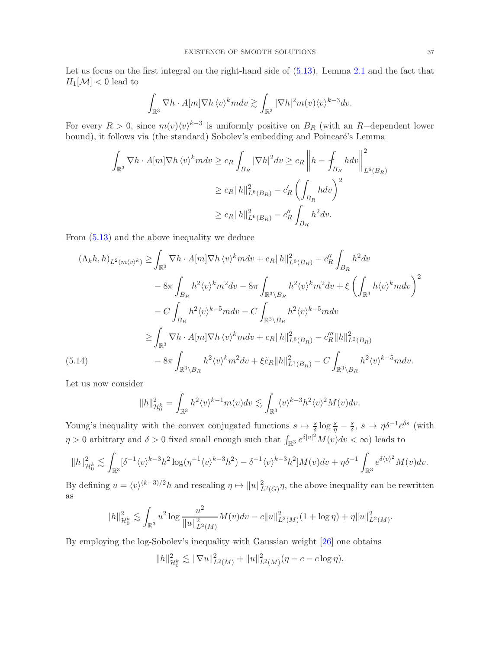Let us focus on the first integral on the right-hand side of  $(5.13)$ . Lemma [2.1](#page-5-4) and the fact that  $H_1[\mathcal{M}] < 0$  lead to

$$
\int_{\mathbb{R}^3} \nabla h \cdot A[m] \nabla h \, \langle v \rangle^k m dv \gtrsim \int_{\mathbb{R}^3} |\nabla h|^2 m(v) \langle v \rangle^{k-3} dv.
$$

For every  $R > 0$ , since  $m(v)\langle v \rangle^{k-3}$  is uniformly positive on  $B_R$  (with an R-dependent lower bound), it follows via (the standard) Sobolev's embedding and Poincaré's Lemma

$$
\int_{\mathbb{R}^3} \nabla h \cdot A[m] \nabla h \langle v \rangle^k m dv \ge c_R \int_{B_R} |\nabla h|^2 dv \ge c_R \left\| h - \int_{B_R} h dv \right\|_{L^6(B_R)}^2
$$
  

$$
\ge c_R \|h\|_{L^6(B_R)}^2 - c'_R \left( \int_{B_R} h dv \right)^2
$$
  

$$
\ge c_R \|h\|_{L^6(B_R)}^2 - c'_R \int_{B_R} h^2 dv.
$$

From [\(5.13\)](#page-35-1) and the above inequality we deduce

$$
(\Lambda_{k}h, h)_{L^{2}(m\langle v\rangle^{k})} \geq \int_{\mathbb{R}^{3}} \nabla h \cdot A[m] \nabla h \langle v\rangle^{k} m dv + c_{R} \|h\|_{L^{6}(B_{R})}^{2} - c_{R}'' \int_{B_{R}} h^{2} dv
$$
  

$$
- 8\pi \int_{B_{R}} h^{2} \langle v\rangle^{k} m^{2} dv - 8\pi \int_{\mathbb{R}^{3} \setminus B_{R}} h^{2} \langle v\rangle^{k} m^{2} dv + \xi \left( \int_{\mathbb{R}^{3}} h \langle v\rangle^{k} m dv \right)^{2}
$$
  

$$
- C \int_{B_{R}} h^{2} \langle v\rangle^{k-5} m dv - C \int_{\mathbb{R}^{3} \setminus B_{R}} h^{2} \langle v\rangle^{k-5} m dv
$$
  

$$
\geq \int_{\mathbb{R}^{3}} \nabla h \cdot A[m] \nabla h \langle v\rangle^{k} m dv + c_{R} \|h\|_{L^{6}(B_{R})}^{2} - c_{R}''' \|h\|_{L^{2}(B_{R})}^{2}
$$
  

$$
(5.14) \qquad - 8\pi \int_{\mathbb{R}^{3} \setminus B_{R}} h^{2} \langle v\rangle^{k} m^{2} dv + \xi \tilde{c}_{R} \|h\|_{L^{1}(B_{R})}^{2} - C \int_{\mathbb{R}^{3} \setminus B_{R}} h^{2} \langle v\rangle^{k-5} m dv.
$$

<span id="page-36-0"></span>Let us now consider

$$
||h||_{\mathcal{H}_0^k}^2 = \int_{\mathbb{R}^3} h^2 \langle v \rangle^{k-1} m(v) dv \lesssim \int_{\mathbb{R}^3} \langle v \rangle^{k-3} h^2 \langle v \rangle^2 M(v) dv.
$$

Young's inequality with the convex conjugated functions  $s \mapsto \frac{s}{\delta} \log \frac{s}{\eta} - \frac{s}{\delta}$  $\frac{s}{\delta}$ ,  $s \mapsto \eta \delta^{-1} e^{\delta s}$  (with  $\eta > 0$  arbitrary and  $\delta > 0$  fixed small enough such that  $\int_{\mathbb{R}^3} e^{\delta |v|^2} M(v) dv < \infty$ ) leads to

$$
||h||^2_{\mathcal{H}^k_0}\lesssim \int_{\mathbb{R}^3}[\delta^{-1}\langle v\rangle^{k-3}h^2\log(\eta^{-1}\langle v\rangle^{k-3}h^2)-\delta^{-1}\langle v\rangle^{k-3}h^2]M(v)dv+\eta\delta^{-1}\int_{\mathbb{R}^3}e^{\delta\langle v\rangle^2}M(v)dv.
$$

By defining  $u = \langle v \rangle^{(k-3)/2} h$  and rescaling  $\eta \mapsto ||u||^2_{L^2(G)} \eta$ , the above inequality can be rewritten as

$$
||h||_{\mathcal{H}_0^k}^2 \lesssim \int_{\mathbb{R}^3} u^2 \log \frac{u^2}{||u||_{L^2(M)}^2} M(v) dv - c||u||_{L^2(M)}^2 (1 + \log \eta) + \eta ||u||_{L^2(M)}^2.
$$

By employing the log-Sobolev's inequality with Gaussian weight [\[26\]](#page-48-26) one obtains

$$
||h||_{\mathcal{H}_0^k}^2 \lesssim ||\nabla u||_{L^2(M)}^2 + ||u||_{L^2(M)}^2(\eta - c - c \log \eta).
$$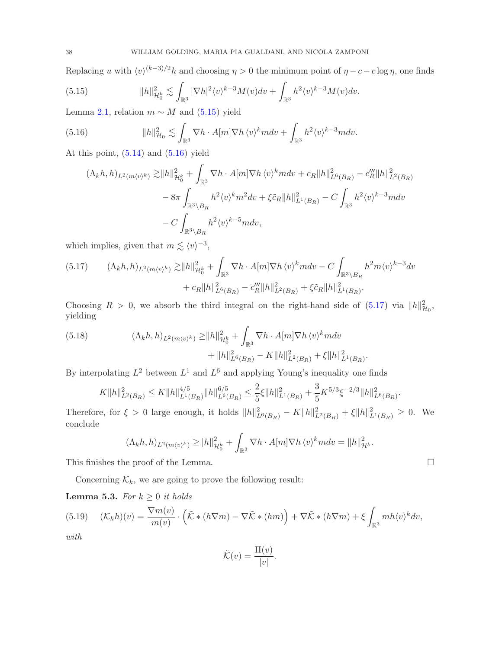Replacing u with  $\langle v \rangle^{(k-3)/2} h$  and choosing  $\eta > 0$  the minimum point of  $\eta - c - c \log \eta$ , one finds

<span id="page-37-0"></span>(5.15) 
$$
||h||_{\mathcal{H}_0^k}^2 \lesssim \int_{\mathbb{R}^3} |\nabla h|^2 \langle v \rangle^{k-3} M(v) dv + \int_{\mathbb{R}^3} h^2 \langle v \rangle^{k-3} M(v) dv.
$$

Lemma [2.1,](#page-5-4) relation  $m \sim M$  and [\(5.15\)](#page-37-0) yield

<span id="page-37-1"></span>(5.16) 
$$
||h||_{\mathcal{H}_0}^2 \lesssim \int_{\mathbb{R}^3} \nabla h \cdot A[m] \nabla h \langle v \rangle^k m dv + \int_{\mathbb{R}^3} h^2 \langle v \rangle^{k-3} m dv.
$$

At this point,  $(5.14)$  and  $(5.16)$  yield

$$
(\Lambda_k h, h)_{L^2(m\langle v \rangle^k)} \gtrsim \|h\|_{\mathcal{H}_0^k}^2 + \int_{\mathbb{R}^3} \nabla h \cdot A[m] \nabla h \langle v \rangle^k m dv + c_R \|h\|_{L^6(B_R)}^2 - c_R''' \|h\|_{L^2(B_R)}^2
$$
  

$$
- 8\pi \int_{\mathbb{R}^3 \setminus B_R} h^2 \langle v \rangle^k m^2 dv + \xi \tilde{c}_R \|h\|_{L^1(B_R)}^2 - C \int_{\mathbb{R}^3} h^2 \langle v \rangle^{k-3} m dv
$$
  

$$
- C \int_{\mathbb{R}^3 \setminus B_R} h^2 \langle v \rangle^{k-5} m dv,
$$

which implies, given that  $m \lesssim \langle v \rangle^{-3}$ ,

<span id="page-37-2"></span>
$$
(5.17) \qquad (\Lambda_k h, h)_{L^2(m\langle v \rangle^k)} \gtrsim \|h\|_{\mathcal{H}_0^k}^2 + \int_{\mathbb{R}^3} \nabla h \cdot A[m] \nabla h \langle v \rangle^k m dv - C \int_{\mathbb{R}^3 \setminus B_R} h^2 m \langle v \rangle^{k-3} dv + c_R \|h\|_{L^6(B_R)}^2 - c_R''' \|h\|_{L^2(B_R)}^2 + \xi \tilde{c}_R \|h\|_{L^1(B_R)}^2.
$$

Choosing  $R > 0$ , we absorb the third integral on the right-hand side of  $(5.17)$  via  $||h||_{\mathcal{H}_0}^2$ , yielding

(5.18) 
$$
(\Lambda_k h, h)_{L^2(m\langle v \rangle^k)} \ge ||h||_{\mathcal{H}_0^k}^2 + \int_{\mathbb{R}^3} \nabla h \cdot A[m] \nabla h \langle v \rangle^k m dv + ||h||_{L^6(B_R)}^2 - K||h||_{L^2(B_R)}^2 + \xi ||h||_{L^1(B_R)}^2
$$

By interpolating  $L^2$  between  $L^1$  and  $L^6$  and applying Young's inequality one finds

$$
K \|h\|_{L^2(B_R)}^2 \leq K \|h\|_{L^1(B_R)}^{4/5} \|h\|_{L^6(B_R)}^{6/5} \leq \frac{2}{5} \xi \|h\|_{L^1(B_R)}^2 + \frac{3}{5} K^{5/3} \xi^{-2/3} \|h\|_{L^6(B_R)}^2.
$$

Therefore, for  $\xi > 0$  large enough, it holds  $||h||_{L^6(B_R)}^2 - K||h||_{L^2(B_R)}^2 + \xi ||h||_{L^1(B_R)}^2 \geq 0$ . We conclude

$$
(\Lambda_k h, h)_{L^2(m\langle v \rangle^k)} \geq ||h||^2_{\mathcal{H}_0^k} + \int_{\mathbb{R}^3} \nabla h \cdot A[m] \nabla h \langle v \rangle^k m dv = ||h||^2_{\mathcal{H}^k}.
$$

This finishes the proof of the Lemma.  $\Box$ 

Concerning  $\mathcal{K}_k$ , we are going to prove the following result:

<span id="page-37-4"></span>**Lemma 5.3.** For  $k \geq 0$  it holds

<span id="page-37-3"></span>(5.19) 
$$
(\mathcal{K}_k h)(v) = \frac{\nabla m(v)}{m(v)} \cdot (\tilde{\mathcal{K}} * (h\nabla m) - \nabla \tilde{\mathcal{K}} * (hm)) + \nabla \tilde{\mathcal{K}} * (h\nabla m) + \xi \int_{\mathbb{R}^3} mh \langle v \rangle^k dv,
$$

with

$$
\tilde{\mathcal{K}}(v) = \frac{\Pi(v)}{|v|}.
$$

.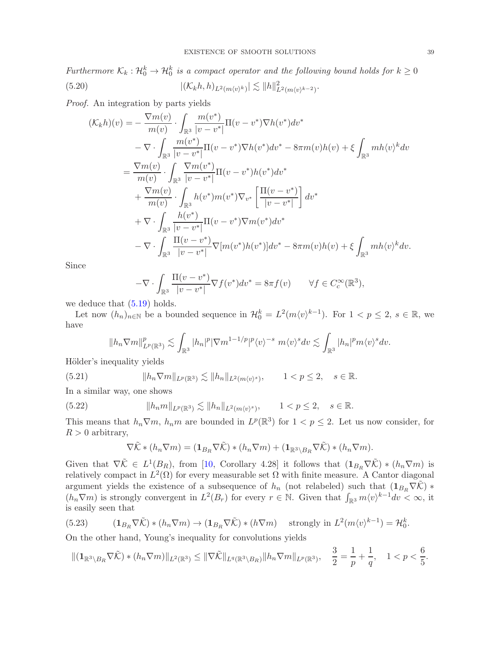<span id="page-38-1"></span>Furthermore  $\mathcal{K}_k: \mathcal{H}_0^k \to \mathcal{H}_0^k$  is a compact operator and the following bound holds for  $k \geq 0$ (5.20)  $|(\mathcal{K}_k h, h)_{L^2(m\langle v\rangle^k)}| \lesssim ||h||^2_{L^2(m\langle v\rangle^{k-2})}.$ 

Proof. An integration by parts yields

$$
(\mathcal{K}_{k}h)(v) = -\frac{\nabla m(v)}{m(v)} \cdot \int_{\mathbb{R}^{3}} \frac{m(v^{*})}{|v - v^{*}|} \Pi(v - v^{*}) \nabla h(v^{*}) dv^{*} - \nabla \cdot \int_{\mathbb{R}^{3}} \frac{m(v^{*})}{|v - v^{*}|} \Pi(v - v^{*}) \nabla h(v^{*}) dv^{*} - 8\pi m(v) h(v) + \xi \int_{\mathbb{R}^{3}} m h(v)^{k} dv = \frac{\nabla m(v)}{m(v)} \cdot \int_{\mathbb{R}^{3}} \frac{\nabla m(v^{*})}{|v - v^{*}|} \Pi(v - v^{*}) h(v^{*}) dv^{*} + \frac{\nabla m(v)}{m(v)} \cdot \int_{\mathbb{R}^{3}} h(v^{*}) m(v^{*}) \nabla_{v^{*}} \left[ \frac{\Pi(v - v^{*})}{|v - v^{*}|} \right] dv^{*} + \nabla \cdot \int_{\mathbb{R}^{3}} \frac{h(v^{*})}{|v - v^{*}|} \Pi(v - v^{*}) \nabla m(v^{*}) dv^{*} - \nabla \cdot \int_{\mathbb{R}^{3}} \frac{\Pi(v - v^{*})}{|v - v^{*}|} \nabla [m(v^{*}) h(v^{*})] dv^{*} - 8\pi m(v) h(v) + \xi \int_{\mathbb{R}^{3}} m h \langle v \rangle^{k} dv.
$$

Since

$$
-\nabla \cdot \int_{\mathbb{R}^3} \frac{\Pi(v - v^*)}{|v - v^*|} \nabla f(v^*) dv^* = 8\pi f(v) \qquad \forall f \in C_c^{\infty}(\mathbb{R}^3),
$$

we deduce that  $(5.19)$  holds.

Let now  $(h_n)_{n\in\mathbb{N}}$  be a bounded sequence in  $\mathcal{H}_0^k = L^2(m \langle v \rangle^{k-1})$ . For  $1 < p \le 2$ ,  $s \in \mathbb{R}$ , we have

$$
||h_n \nabla m||^p_{L^p(\mathbb{R}^3)} \lesssim \int_{\mathbb{R}^3} |h_n|^p |\nabla m^{1-1/p}|^p \langle v \rangle^{-s} m \langle v \rangle^s dv \lesssim \int_{\mathbb{R}^3} |h_n|^p m \langle v \rangle^s dv.
$$

Hölder's inequality yields

<span id="page-38-2"></span>(5.21) 
$$
||h_n \nabla m||_{L^p(\mathbb{R}^3)} \lesssim ||h_n||_{L^2(m\langle v \rangle^s)}, \qquad 1 < p \le 2, \quad s \in \mathbb{R}.
$$

In a similar way, one shows

<span id="page-38-3"></span>(5.22) 
$$
||h_n m||_{L^p(\mathbb{R}^3)} \lesssim ||h_n||_{L^2(m\langle v \rangle^s)}, \qquad 1 < p \le 2, \quad s \in \mathbb{R}.
$$

This means that  $h_n \nabla m$ ,  $h_n m$  are bounded in  $L^p(\mathbb{R}^3)$  for  $1 < p \leq 2$ . Let us now consider, for  $R > 0$  arbitrary,

$$
\nabla \tilde{\mathcal{K}} * (h_n \nabla m) = (\mathbf{1}_{B_R} \nabla \tilde{\mathcal{K}}) * (h_n \nabla m) + (\mathbf{1}_{\mathbb{R}^3 \setminus B_R} \nabla \tilde{\mathcal{K}}) * (h_n \nabla m).
$$

Given that  $\nabla \tilde{\mathcal{K}} \in L^1(B_R)$ , from [\[10,](#page-48-21) Corollary 4.28] it follows that  $(1_{B_R} \nabla \tilde{\mathcal{K}}) * (h_n \nabla m)$  is relatively compact in  $L^2(\Omega)$  for every measurable set  $\Omega$  with finite measure. A Cantor diagonal argument yields the existence of a subsequence of  $h_n$  (not relabeled) such that  $(1_{B_R} \nabla \tilde{K})$  \*  $(h_n \nabla m)$  is strongly convergent in  $L^2(B_r)$  for every  $r \in \mathbb{N}$ . Given that  $\int_{\mathbb{R}^3} m \langle v \rangle^{k-1} dv < \infty$ , it is easily seen that

<span id="page-38-0"></span>(5.23) 
$$
(\mathbf{1}_{B_R}\nabla\tilde{\mathcal{K}})*(h_n\nabla m)\to(\mathbf{1}_{B_R}\nabla\tilde{\mathcal{K}})*(h\nabla m)\quad\text{strongly in }L^2(m\langle v\rangle^{k-1})=\mathcal{H}_0^k.
$$

On the other hand, Young's inequality for convolutions yields

$$
\|(\mathbf{1}_{\mathbb{R}^3\setminus B_R}\nabla\tilde{\mathcal{K}})*(h_n\nabla m)\|_{L^2(\mathbb{R}^3)} \le \|\nabla\tilde{\mathcal{K}}\|_{L^q(\mathbb{R}^3\setminus B_R)}\|h_n\nabla m\|_{L^p(\mathbb{R}^3)}, \quad \frac{3}{2} = \frac{1}{p} + \frac{1}{q}, \quad 1 < p < \frac{6}{5}.
$$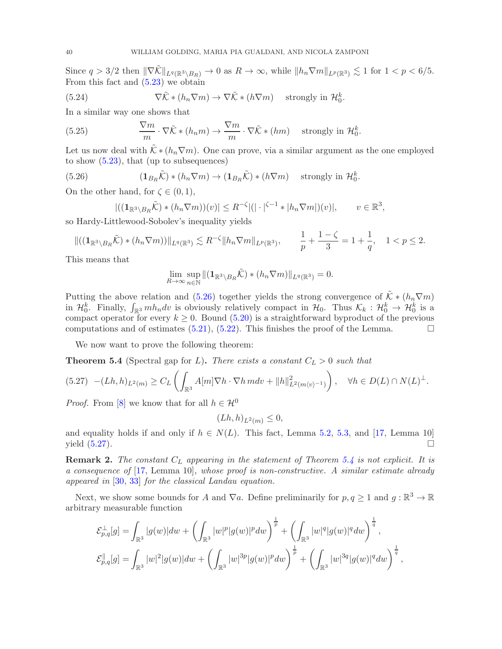Since  $q > 3/2$  then  $\|\nabla \tilde{\mathcal{K}}\|_{L^q(\mathbb{R}^3 \setminus B_R)} \to 0$  as  $R \to \infty$ , while  $\|h_n \nabla m\|_{L^p(\mathbb{R}^3)} \lesssim 1$  for  $1 < p < 6/5$ . From this fact and [\(5.23\)](#page-38-0) we obtain

(5.24) 
$$
\nabla \tilde{\mathcal{K}} * (h_n \nabla m) \to \nabla \tilde{\mathcal{K}} * (h \nabla m) \quad \text{strongly in } \mathcal{H}_0^k.
$$

In a similar way one shows that

(5.25) 
$$
\frac{\nabla m}{m} \cdot \nabla \tilde{\mathcal{K}} * (h_n m) \to \frac{\nabla m}{m} \cdot \nabla \tilde{\mathcal{K}} * (hm) \quad \text{strongly in } \mathcal{H}_0^k.
$$

Let us now deal with  $\tilde{\mathcal{K}} * (h_n \nabla m)$ . One can prove, via a similar argument as the one employed to show  $(5.23)$ , that (up to subsequences)

<span id="page-39-0"></span>(5.26) 
$$
(\mathbf{1}_{B_R}\tilde{\mathcal{K}})*(h_n\nabla m)\to(\mathbf{1}_{B_R}\tilde{\mathcal{K}})*(h\nabla m)\quad\text{ strongly in }\mathcal{H}_0^k.
$$

On the other hand, for  $\zeta \in (0,1)$ ,

$$
|((\mathbf{1}_{\mathbb{R}^3 \setminus B_R} \tilde{\mathcal{K}}) * (h_n \nabla m))(v)| \leq R^{-\zeta} |(|\cdot|^{\zeta-1} * |h_n \nabla m|)(v)|, \qquad v \in \mathbb{R}^3,
$$

so Hardy-Littlewood-Sobolev's inequality yields

$$
\|((\mathbf{1}_{\mathbb{R}^3\setminus B_R}\tilde{\mathcal{K}})*(h_n\nabla m))\|_{L^q(\mathbb{R}^3)}\lesssim R^{-\zeta}\|h_n\nabla m\|_{L^p(\mathbb{R}^3)},\qquad \frac{1}{p}+\frac{1-\zeta}{3}=1+\frac{1}{q},\quad 1
$$

This means that

$$
\lim_{R\to\infty}\sup_{n\in\mathbb{N}}\|(\mathbf{1}_{\mathbb{R}^3\setminus B_R}\tilde{\mathcal{K}})*(h_n\nabla m)\|_{L^q(\mathbb{R}^3)}=0.
$$

Putting the above relation and [\(5.26\)](#page-39-0) together yields the strong convergence of  $\tilde{\mathcal{K}} * (h_n \nabla m)$ in  $\mathcal{H}_0^k$ . Finally,  $\int_{\mathbb{R}^3} m h_n dv$  is obviously relatively compact in  $\mathcal{H}_0$ . Thus  $\mathcal{K}_k : \mathcal{H}_0^k \to \mathcal{H}_0^k$  is a compact operator for every  $k \geq 0$ . Bound [\(5.20\)](#page-38-1) is a straightforward byproduct of the previous computations and of estimates [\(5.21\)](#page-38-2), [\(5.22\)](#page-38-3). This finishes the proof of the Lemma.  $\Box$ 

We now want to prove the following theorem:

<span id="page-39-2"></span>**Theorem 5.4** (Spectral gap for L). There exists a constant  $C_L > 0$  such that

<span id="page-39-1"></span>
$$
(5.27) \quad -(Lh,h)_{L^2(m)} \ge C_L \left( \int_{\mathbb{R}^3} A[m] \nabla h \cdot \nabla h \, m dv + \|h\|_{L^2(m\langle v \rangle^{-1})}^2 \right), \quad \forall h \in D(L) \cap N(L)^{\perp}.
$$

*Proof.* From [\[8\]](#page-48-8) we know that for all  $h \in \mathcal{H}^0$ 

$$
(Lh, h)_{L^2(m)} \le 0,
$$

and equality holds if and only if  $h \in N(L)$ . This fact, Lemma [5.2,](#page-34-1) [5.3,](#page-37-4) and [\[17,](#page-48-25) Lemma 10] yield  $(5.27)$ .

**Remark 2.** The constant  $C<sub>L</sub>$  appearing in the statement of Theorem [5.4](#page-39-2) is not explicit. It is a consequence of [\[17,](#page-48-25) Lemma 10], whose proof is non-constructive. A similar estimate already appeared in [\[30,](#page-49-6) [33\]](#page-49-7) for the classical Landau equation.

Next, we show some bounds for A and  $\nabla a$ . Define preliminarily for  $p, q \ge 1$  and  $g : \mathbb{R}^3 \to \mathbb{R}$ arbitrary measurable function

$$
\mathcal{E}_{p,q}^{\perp}[g] = \int_{\mathbb{R}^3} |g(w)|dw + \left(\int_{\mathbb{R}^3} |w|^p |g(w)|^p dw\right)^{\frac{1}{p}} + \left(\int_{\mathbb{R}^3} |w|^q |g(w)|^q dw\right)^{\frac{1}{q}},
$$
  

$$
\mathcal{E}_{p,q}^{\parallel}[g] = \int_{\mathbb{R}^3} |w|^2 |g(w)|dw + \left(\int_{\mathbb{R}^3} |w|^{3p} |g(w)|^p dw\right)^{\frac{1}{p}} + \left(\int_{\mathbb{R}^3} |w|^{3q} |g(w)|^q dw\right)^{\frac{1}{q}},
$$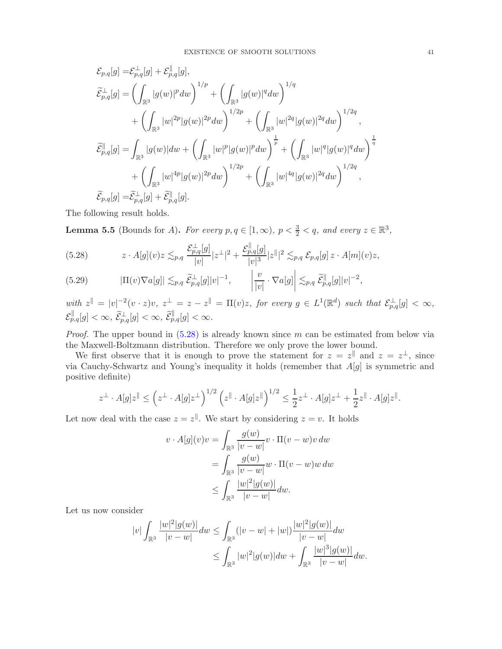$$
\begin{split} \mathcal{E}_{p,q}[g] =& \mathcal{E}_{p,q}^{\perp}[g] + \mathcal{E}_{p,q}^{\parallel}[g],\\ \widetilde{\mathcal{E}}_{p,q}^{\perp}[g] =& \left(\int_{\mathbb{R}^{3}}|g(w)|^{p}dw\right)^{1/p} + \left(\int_{\mathbb{R}^{3}}|g(w)|^{q}dw\right)^{1/q}\\ &+ \left(\int_{\mathbb{R}^{3}}|w|^{2p}|g(w)|^{2p}dw\right)^{1/2p} + \left(\int_{\mathbb{R}^{3}}|w|^{2q}|g(w)|^{2q}dw\right)^{1/2q},\\ \widetilde{\mathcal{E}}_{p,q}^{\parallel}[g] =& \int_{\mathbb{R}^{3}}|g(w)|dw + \left(\int_{\mathbb{R}^{3}}|w|^{p}|g(w)|^{p}dw\right)^{\frac{1}{p}} + \left(\int_{\mathbb{R}^{3}}|w|^{q}|g(w)|^{q}dw\right)^{\frac{1}{q}}\\ &+ \left(\int_{\mathbb{R}^{3}}|w|^{4p}|g(w)|^{2p}dw\right)^{1/2p} + \left(\int_{\mathbb{R}^{3}}|w|^{4q}|g(w)|^{2q}dw\right)^{1/2q},\\ \widetilde{\mathcal{E}}_{p,q}[g] =& \widetilde{\mathcal{E}}_{p,q}^{\perp}[g] + \widetilde{\mathcal{E}}_{p,q}^{\parallel}[g]. \end{split}
$$

The following result holds.

**Lemma 5.5** (Bounds for A). For every  $p, q \in [1, \infty)$ ,  $p < \frac{3}{2} < q$ , and every  $z \in \mathbb{R}^3$ ,

<span id="page-40-0"></span>
$$
(5.28) \t\t z \cdot A[g](v)z \lesssim_{p,q} \frac{\mathcal{E}_{p,q}^{\perp}[g]}{|v|}|z^{\perp}|^2 + \frac{\mathcal{E}_{p,q}^{\parallel}[g]}{|v|^3}|z^{\parallel}|^2 \lesssim_{p,q} \mathcal{E}_{p,q}[g] z \cdot A[m](v)z,
$$

<span id="page-40-1"></span>
$$
(5.29) \t |\Pi(v)\nabla a[g]| \lesssim_{p,q} \widetilde{\mathcal{E}}_{p,q}^{\perp}[g]|v|^{-1}, \t |\t |v|^{-1}\nabla a[g] \lesssim_{p,q} \widetilde{\mathcal{E}}_{p,q}^{\parallel}[g]|v|^{-2},
$$

with  $z^{\parallel} = |v|^{-2} (v \cdot z) v$ ,  $z^{\perp} = z - z^{\parallel} = \Pi(v) z$ , for every  $g \in L^1(\mathbb{R}^d)$  such that  $\mathcal{E}_{p,q}^{\perp}[g] < \infty$ ,  $\mathcal{E}_{p,q}^{\parallel}[g]<\infty, \ \widetilde{\mathcal{E}}_{p,q}^{\perp}[g]<\infty, \ \widetilde{\mathcal{E}}_{p,q}^{\parallel}[g]<\infty.$ 

*Proof.* The upper bound in  $(5.28)$  is already known since m can be estimated from below via the Maxwell-Boltzmann distribution. Therefore we only prove the lower bound.

We first observe that it is enough to prove the statement for  $z = z^{\parallel}$  and  $z = z^{\perp}$ , since via Cauchy-Schwartz and Young's inequality it holds (remember that A[g] is symmetric and positive definite)

$$
z^{\perp} \cdot A[g] z^{\parallel} \leq \left( z^{\perp} \cdot A[g] z^{\perp} \right)^{1/2} \left( z^{\parallel} \cdot A[g] z^{\parallel} \right)^{1/2} \leq \frac{1}{2} z^{\perp} \cdot A[g] z^{\perp} + \frac{1}{2} z^{\parallel} \cdot A[g] z^{\parallel}.
$$

Let now deal with the case  $z = z^{\parallel}$ . We start by considering  $z = v$ . It holds

$$
v \cdot A[g](v)v = \int_{\mathbb{R}^3} \frac{g(w)}{|v - w|} v \cdot \Pi(v - w)v \, dw
$$
  
= 
$$
\int_{\mathbb{R}^3} \frac{g(w)}{|v - w|} w \cdot \Pi(v - w)w \, dw
$$
  

$$
\leq \int_{\mathbb{R}^3} \frac{|w|^2 |g(w)|}{|v - w|} \, dw.
$$

Let us now consider

$$
|v| \int_{\mathbb{R}^3} \frac{|w|^2 |g(w)|}{|v - w|} dw \le \int_{\mathbb{R}^3} (|v - w| + |w|) \frac{|w|^2 |g(w)|}{|v - w|} dw
$$
  

$$
\le \int_{\mathbb{R}^3} |w|^2 |g(w)| dw + \int_{\mathbb{R}^3} \frac{|w|^3 |g(w)|}{|v - w|} dw.
$$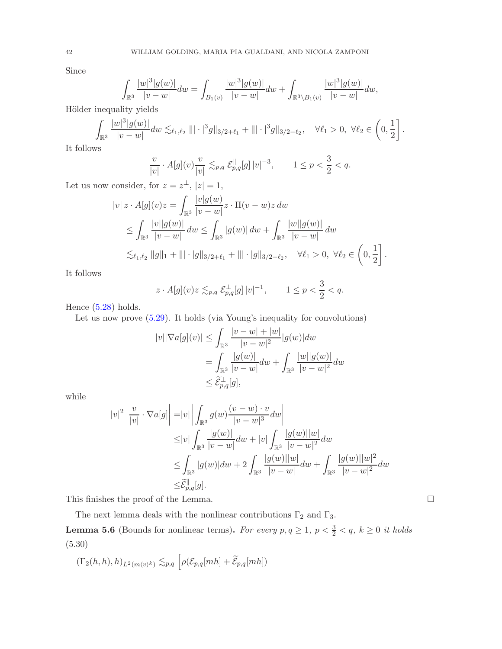Since

$$
\int_{\mathbb{R}^3} \frac{|w|^3 |g(w)|}{|v-w|} dw = \int_{B_1(v)} \frac{|w|^3 |g(w)|}{|v-w|} dw + \int_{\mathbb{R}^3 \setminus B_1(v)} \frac{|w|^3 |g(w)|}{|v-w|} dw,
$$

Hölder inequality yields

$$
\int_{\mathbb{R}^3} \frac{|w|^3 |g(w)|}{|v-w|} dw \lesssim_{\ell_1, \ell_2} ||| \cdot |^3 g||_{3/2 + \ell_1} + ||| \cdot |^3 g||_{3/2 - \ell_2}, \quad \forall \ell_1 > 0, \ \forall \ell_2 \in \left(0, \frac{1}{2}\right].
$$

It follows

$$
\frac{v}{|v|} \cdot A[g](v) \frac{v}{|v|} \lesssim_{p,q} \mathcal{E}_{p,q}^{\parallel}[g] |v|^{-3}, \qquad 1 \le p < \frac{3}{2} < q.
$$

Let us now consider, for  $z = z^{\perp}$ ,  $|z| = 1$ ,

$$
|v| z \cdot A[g](v)z = \int_{\mathbb{R}^3} \frac{|v| g(w)}{|v - w|} z \cdot \Pi(v - w)z dw
$$
  
\n
$$
\leq \int_{\mathbb{R}^3} \frac{|v||g(w)|}{|v - w|} dw \leq \int_{\mathbb{R}^3} |g(w)| dw + \int_{\mathbb{R}^3} \frac{|w||g(w)|}{|v - w|} dw
$$
  
\n
$$
\lesssim_{\ell_1, \ell_2} \|g\|_1 + \| |\cdot|g\|_{3/2 + \ell_1} + \| |\cdot|g\|_{3/2 - \ell_2}, \quad \forall \ell_1 > 0, \ \forall \ell_2 \in \left(0, \frac{1}{2}\right].
$$

It follows

$$
z \cdot A[g](v)z \lesssim_{p,q} \mathcal{E}_{p,q}^{\perp}[g] |v|^{-1}, \qquad 1 \le p < \frac{3}{2} < q.
$$

Hence  $(5.28)$  holds.

Let us now prove  $(5.29)$ . It holds (via Young's inequality for convolutions)

$$
|v||\nabla a[g](v)| \leq \int_{\mathbb{R}^3} \frac{|v - w| + |w|}{|v - w|^2} |g(w)| dw
$$
  
= 
$$
\int_{\mathbb{R}^3} \frac{|g(w)|}{|v - w|} dw + \int_{\mathbb{R}^3} \frac{|w||g(w)|}{|v - w|^2} dw
$$
  

$$
\leq \widetilde{\mathcal{E}}_{p,q}^{\perp}[g],
$$

while

$$
|v|^2 \left| \frac{v}{|v|} \cdot \nabla a[g] \right| = |v| \left| \int_{\mathbb{R}^3} g(w) \frac{(v-w) \cdot v}{|v-w|^3} dw \right|
$$
  
\n
$$
\leq |v| \int_{\mathbb{R}^3} \frac{|g(w)|}{|v-w|} dw + |v| \int_{\mathbb{R}^3} \frac{|g(w)||w|}{|v-w|^2} dw
$$
  
\n
$$
\leq \int_{\mathbb{R}^3} |g(w)| dw + 2 \int_{\mathbb{R}^3} \frac{|g(w)||w|}{|v-w|} dw + \int_{\mathbb{R}^3} \frac{|g(w)||w|^2}{|v-w|^2} dw
$$
  
\n
$$
\leq \tilde{\mathcal{E}}_{p,q}^{\parallel}[g].
$$

This finishes the proof of the Lemma.  $\Box$ 

The next lemma deals with the nonlinear contributions  $\Gamma_2$  and  $\Gamma_3.$ 

<span id="page-41-0"></span>**Lemma 5.6** (Bounds for nonlinear terms). For every  $p, q \ge 1$ ,  $p < \frac{3}{2} < q$ ,  $k \ge 0$  it holds (5.30)

$$
(\Gamma_2(h,h),h)_{L^2(m\langle v\rangle^k)} \lesssim_{p,q} \left[\rho(\mathcal{E}_{p,q}[mh] + \widetilde{\mathcal{E}}_{p,q}[mh])\right]
$$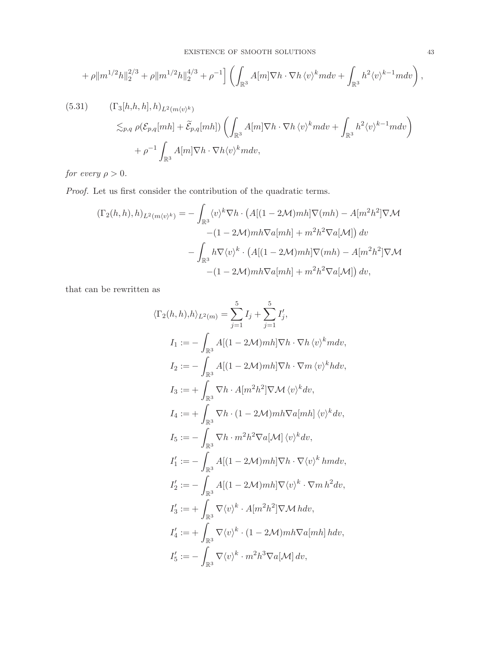$$
+\rho \|m^{1/2}h\|_2^{2/3} + \rho \|m^{1/2}h\|_2^{4/3} + \rho^{-1} \Big] \left( \int_{\mathbb{R}^3} A[m] \nabla h \cdot \nabla h \, \langle v \rangle^k m dv + \int_{\mathbb{R}^3} h^2 \langle v \rangle^{k-1} m dv \right),
$$

<span id="page-42-0"></span>(5.31) 
$$
(\Gamma_3[h,h,h],h)_{L^2(m\langle v\rangle^k)}
$$
  
\n
$$
\lesssim_{p,q} \rho(\mathcal{E}_{p,q}[mh] + \widetilde{\mathcal{E}}_{p,q}[mh]) \left( \int_{\mathbb{R}^3} A[m] \nabla h \cdot \nabla h \langle v \rangle^k m dv + \int_{\mathbb{R}^3} h^2 \langle v \rangle^{k-1} m dv \right)
$$
  
\n
$$
+ \rho^{-1} \int_{\mathbb{R}^3} A[m] \nabla h \cdot \nabla h \langle v \rangle^k m dv,
$$

for every  $\rho > 0$ .

Proof. Let us first consider the contribution of the quadratic terms.

$$
(\Gamma_2(h, h), h)_{L^2(m\langle v\rangle^k)} = -\int_{\mathbb{R}^3} \langle v \rangle^k \nabla h \cdot \left( A[(1 - 2\mathcal{M})mh] \nabla(mh) - A[m^2h^2] \nabla \mathcal{M} \right)
$$

$$
- (1 - 2\mathcal{M})mh \nabla a[mh] + m^2h^2 \nabla a[\mathcal{M}]\right) dv
$$

$$
- \int_{\mathbb{R}^3} h \nabla \langle v \rangle^k \cdot \left( A[(1 - 2\mathcal{M})mh] \nabla(mh) - A[m^2h^2] \nabla \mathcal{M} \right)
$$

$$
- (1 - 2\mathcal{M})mh \nabla a[mh] + m^2h^2 \nabla a[\mathcal{M}]\right) dv,
$$

that can be rewritten as

$$
\langle \Gamma_2(h, h), h \rangle_{L^2(m)} = \sum_{j=1}^5 I_j + \sum_{j=1}^5 I'_j,
$$
  
\n
$$
I_1 := - \int_{\mathbb{R}^3} A[(1 - 2\mathcal{M})mh] \nabla h \cdot \nabla h \langle v \rangle^k m dv,
$$
  
\n
$$
I_2 := - \int_{\mathbb{R}^3} A[(1 - 2\mathcal{M})mh] \nabla h \cdot \nabla m \langle v \rangle^k h dv,
$$
  
\n
$$
I_3 := + \int_{\mathbb{R}^3} \nabla h \cdot A[m^2 h^2] \nabla \mathcal{M} \langle v \rangle^k dv,
$$
  
\n
$$
I_4 := + \int_{\mathbb{R}^3} \nabla h \cdot (1 - 2\mathcal{M})mh \nabla a[mh] \langle v \rangle^k dv,
$$
  
\n
$$
I_5 := - \int_{\mathbb{R}^3} \nabla h \cdot m^2 h^2 \nabla a[\mathcal{M}] \langle v \rangle^k dv,
$$
  
\n
$$
I'_1 := - \int_{\mathbb{R}^3} A[(1 - 2\mathcal{M})mh] \nabla h \cdot \nabla \langle v \rangle^k h m dv,
$$
  
\n
$$
I'_2 := - \int_{\mathbb{R}^3} A[(1 - 2\mathcal{M})mh] \nabla \langle v \rangle^k \cdot \nabla m h^2 dv,
$$
  
\n
$$
I'_3 := + \int_{\mathbb{R}^3} \nabla \langle v \rangle^k \cdot A[m^2 h^2] \nabla \mathcal{M} h dv,
$$
  
\n
$$
I'_4 := + \int_{\mathbb{R}^3} \nabla \langle v \rangle^k \cdot (1 - 2\mathcal{M})mh \nabla a[mh] h dv,
$$
  
\n
$$
I'_5 := - \int_{\mathbb{R}^3} \nabla \langle v \rangle^k \cdot m^2 h^3 \nabla a[\mathcal{M}] dv,
$$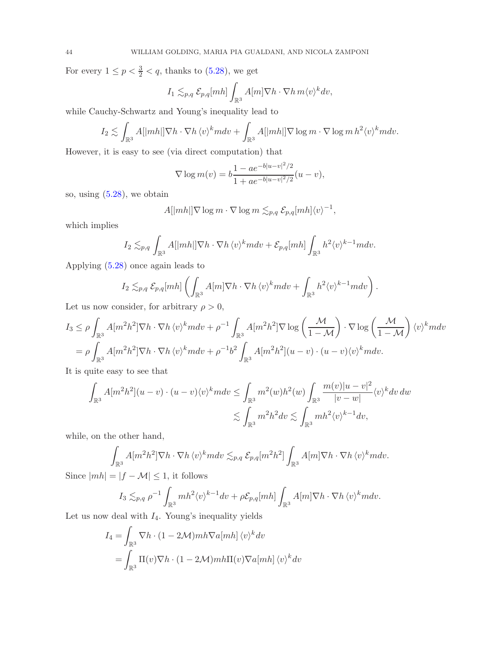For every  $1 \le p < \frac{3}{2} < q$ , thanks to  $(5.28)$ , we get

$$
I_1 \lesssim_{p,q} \mathcal{E}_{p,q}[mh] \int_{\mathbb{R}^3} A[m] \nabla h \cdot \nabla h m \langle v \rangle^k dv,
$$

while Cauchy-Schwartz and Young's inequality lead to

$$
I_2 \lesssim \int_{\mathbb{R}^3} A[|mh|] \nabla h \cdot \nabla h \, \langle v \rangle^k m dv + \int_{\mathbb{R}^3} A[|mh|] \nabla \log m \cdot \nabla \log m h^2 \langle v \rangle^k m dv.
$$

However, it is easy to see (via direct computation) that

$$
\nabla \log m(v) = b \frac{1 - ae^{-b|u - v|^2/2}}{1 + ae^{-b|u - v|^2/2}} (u - v),
$$

so, using [\(5.28\)](#page-40-0), we obtain

$$
A[|mh|] \nabla \log m \cdot \nabla \log m \lesssim_{p,q} \mathcal{E}_{p,q}[mh] \langle v \rangle^{-1},
$$

which implies

$$
I_2 \lesssim_{p,q} \int_{\mathbb{R}^3} A[|mh|] \nabla h \cdot \nabla h \langle v \rangle^k m dv + \mathcal{E}_{p,q}[mh] \int_{\mathbb{R}^3} h^2 \langle v \rangle^{k-1} m dv.
$$

Applying [\(5.28\)](#page-40-0) once again leads to

$$
I_2 \lesssim_{p,q} \mathcal{E}_{p,q}[mh] \left( \int_{\mathbb{R}^3} A[m] \nabla h \cdot \nabla h \langle v \rangle^k m dv + \int_{\mathbb{R}^3} h^2 \langle v \rangle^{k-1} m dv \right).
$$

Let us now consider, for arbitrary  $\rho > 0$ ,

$$
I_3 \leq \rho \int_{\mathbb{R}^3} A[m^2 h^2] \nabla h \cdot \nabla h \langle v \rangle^k m dv + \rho^{-1} \int_{\mathbb{R}^3} A[m^2 h^2] \nabla \log \left( \frac{\mathcal{M}}{1 - \mathcal{M}} \right) \cdot \nabla \log \left( \frac{\mathcal{M}}{1 - \mathcal{M}} \right) \langle v \rangle^k m dv
$$
  
=  $\rho \int_{\mathbb{R}^3} A[m^2 h^2] \nabla h \cdot \nabla h \langle v \rangle^k m dv + \rho^{-1} b^2 \int_{\mathbb{R}^3} A[m^2 h^2] (u - v) \cdot (u - v) \langle v \rangle^k m dv.$ 

It is quite easy to see that

$$
\int_{\mathbb{R}^3} A[m^2 h^2](u-v) \cdot (u-v) \langle v \rangle^k m dv \le \int_{\mathbb{R}^3} m^2(w) h^2(w) \int_{\mathbb{R}^3} \frac{m(v)|u-v|^2}{|v-w|} \langle v \rangle^k dv dw
$$
  

$$
\lesssim \int_{\mathbb{R}^3} m^2 h^2 dv \lesssim \int_{\mathbb{R}^3} m h^2 \langle v \rangle^{k-1} dv,
$$

while, on the other hand,

$$
\int_{\mathbb{R}^3} A[m^2h^2] \nabla h \cdot \nabla h \, \langle v \rangle^k m dv \lesssim_{p,q} \mathcal{E}_{p,q}[m^2h^2] \int_{\mathbb{R}^3} A[m] \nabla h \cdot \nabla h \, \langle v \rangle^k m dv.
$$

Since  $|mh| = |f - M| \leq 1$ , it follows

$$
I_3 \lesssim_{p,q} \rho^{-1} \int_{\mathbb{R}^3} m h^2 \langle v \rangle^{k-1} dv + \rho \mathcal{E}_{p,q}[mh] \int_{\mathbb{R}^3} A[m] \nabla h \cdot \nabla h \langle v \rangle^k m dv.
$$

Let us now deal with  $I_4$ . Young's inequality yields

$$
I_4 = \int_{\mathbb{R}^3} \nabla h \cdot (1 - 2\mathcal{M}) m h \nabla a[mh] \langle v \rangle^k dv
$$
  
= 
$$
\int_{\mathbb{R}^3} \Pi(v) \nabla h \cdot (1 - 2\mathcal{M}) m h \Pi(v) \nabla a[mh] \langle v \rangle^k dv
$$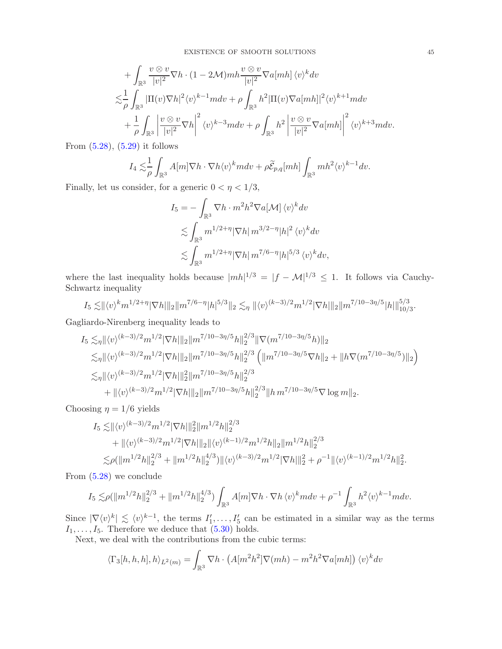+ 
$$
\int_{\mathbb{R}^3} \frac{v \otimes v}{|v|^2} \nabla h \cdot (1 - 2\mathcal{M}) m h \frac{v \otimes v}{|v|^2} \nabla a[mh] \langle v \rangle^k dv
$$
  
\n
$$
\lesssim \frac{1}{\rho} \int_{\mathbb{R}^3} |\Pi(v) \nabla h|^2 \langle v \rangle^{k-1} m dv + \rho \int_{\mathbb{R}^3} h^2 |\Pi(v) \nabla a[mh]|^2 \langle v \rangle^{k+1} m dv
$$
  
\n+ 
$$
\frac{1}{\rho} \int_{\mathbb{R}^3} \left| \frac{v \otimes v}{|v|^2} \nabla h \right|^2 \langle v \rangle^{k-3} m dv + \rho \int_{\mathbb{R}^3} h^2 \left| \frac{v \otimes v}{|v|^2} \nabla a[mh] \right|^2 \langle v \rangle^{k+3} m dv.
$$

From [\(5.28\)](#page-40-0), [\(5.29\)](#page-40-1) it follows

$$
I_4 \lesssim \frac{1}{\rho} \int_{\mathbb{R}^3} A[m] \nabla h \cdot \nabla h \langle v \rangle^k m dv + \rho \widetilde{\mathcal{E}}_{p,q}[mh] \int_{\mathbb{R}^3} mh^2 \langle v \rangle^{k-1} dv.
$$

Finally, let us consider, for a generic  $0 < \eta < 1/3$ ,

$$
I_5 = -\int_{\mathbb{R}^3} \nabla h \cdot m^2 h^2 \nabla a[\mathcal{M}] \langle v \rangle^k dv
$$
  
\n
$$
\lesssim \int_{\mathbb{R}^3} m^{1/2 + \eta} |\nabla h| \, m^{3/2 - \eta} |h|^2 \langle v \rangle^k dv
$$
  
\n
$$
\lesssim \int_{\mathbb{R}^3} m^{1/2 + \eta} |\nabla h| \, m^{7/6 - \eta} |h|^{5/3} \langle v \rangle^k dv,
$$

where the last inequality holds because  $|mh|^{1/3} = |f - M|^{1/3} \le 1$ . It follows via Cauchy-Schwartz inequality

$$
I_5 \lesssim ||\langle v \rangle^k m^{1/2+\eta} |\nabla h||_2 ||m^{7/6-\eta} |h|^{5/3} ||_2 \lesssim_{\eta} ||\langle v \rangle^{(k-3)/2} m^{1/2} |\nabla h||_2 ||m^{7/10-3\eta/5} |h||_{10/3}^{5/3}.
$$

Gagliardo-Nirenberg inequality leads to

$$
I_{5} \lesssim_{\eta} ||\langle v \rangle^{(k-3)/2} m^{1/2} |\nabla h||_{2} ||m^{7/10-3\eta/5} h||_{2}^{2/3} ||\nabla (m^{7/10-3\eta/5} h)||_{2} \lesssim_{\eta} ||\langle v \rangle^{(k-3)/2} m^{1/2} |\nabla h||_{2} ||m^{7/10-3\eta/5} h||_{2}^{2/3} \left( ||m^{7/10-3\eta/5} \nabla h||_{2} + ||h\nabla (m^{7/10-3\eta/5})||_{2} \right) \lesssim_{\eta} ||\langle v \rangle^{(k-3)/2} m^{1/2} |\nabla h||_{2}^{2} ||m^{7/10-3\eta/5} h||_{2}^{2/3} + ||\langle v \rangle^{(k-3)/2} m^{1/2} |\nabla h||_{2} ||m^{7/10-3\eta/5} h||_{2}^{2/3} ||h m^{7/10-3\eta/5} \nabla \log m||_{2}.
$$

Choosing  $\eta = 1/6$  yields

$$
I_5 \lesssim ||\langle v \rangle^{(k-3)/2} m^{1/2} |\nabla h||_2^2 ||m^{1/2} h||_2^{2/3}
$$
  
+  $||\langle v \rangle^{(k-3)/2} m^{1/2} |\nabla h||_2 ||\langle v \rangle^{(k-1)/2} m^{1/2} h ||_2 ||m^{1/2} h||_2^{2/3}$   
 $\lesssim \rho (||m^{1/2} h||_2^{2/3} + ||m^{1/2} h||_2^{4/3}) ||\langle v \rangle^{(k-3)/2} m^{1/2} |\nabla h||_2^2 + \rho^{-1} ||\langle v \rangle^{(k-1)/2} m^{1/2} h||_2^2.$ 

From [\(5.28\)](#page-40-0) we conclude

$$
I_5 \lesssim \rho (\|m^{1/2}h\|_2^{2/3} + \|m^{1/2}h\|_2^{4/3}) \int_{\mathbb{R}^3} A[m]\nabla h \cdot \nabla h \, \langle v \rangle^k m dv + \rho^{-1} \int_{\mathbb{R}^3} h^2 \langle v \rangle^{k-1} m dv.
$$

Since  $|\nabla \langle v \rangle^k| \lesssim \langle v \rangle^{k-1}$ , the terms  $I'_1, \ldots, I'_5$  can be estimated in a similar way as the terms  $I_1, \ldots, I_5$ . Therefore we deduce that  $(5.30)$  holds.

Next, we deal with the contributions from the cubic terms:

$$
\langle \Gamma_3[h, h, h], h \rangle_{L^2(m)} = \int_{\mathbb{R}^3} \nabla h \cdot \left( A[m^2 h^2] \nabla (mh) - m^2 h^2 \nabla a[mh] \right) \langle v \rangle^k dv
$$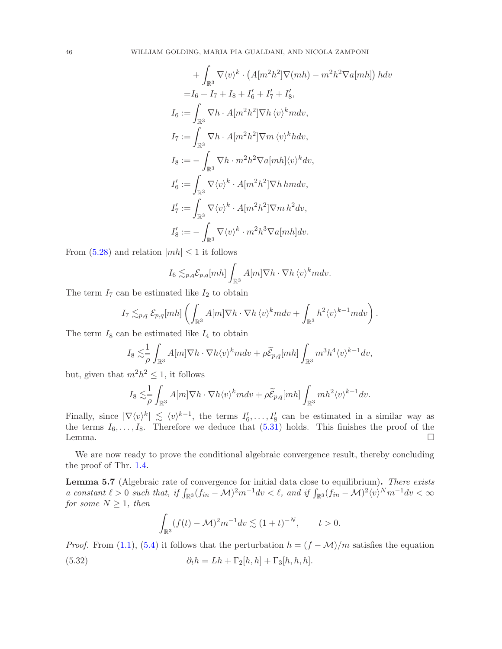$$
+\int_{\mathbb{R}^3} \nabla \langle v \rangle^k \cdot (A[m^2h^2] \nabla(mh) - m^2h^2 \nabla a[mh]) h dv
$$
  
\n
$$
=I_6 + I_7 + I_8 + I'_6 + I'_7 + I'_8,
$$
  
\n
$$
I_6 := \int_{\mathbb{R}^3} \nabla h \cdot A[m^2h^2] \nabla h \langle v \rangle^k m dv,
$$
  
\n
$$
I_7 := \int_{\mathbb{R}^3} \nabla h \cdot A[m^2h^2] \nabla m \langle v \rangle^k h dv,
$$
  
\n
$$
I_8 := -\int_{\mathbb{R}^3} \nabla h \cdot m^2h^2 \nabla a[mh] \langle v \rangle^k dv,
$$
  
\n
$$
I'_6 := \int_{\mathbb{R}^3} \nabla \langle v \rangle^k \cdot A[m^2h^2] \nabla h h m dv,
$$
  
\n
$$
I'_7 := \int_{\mathbb{R}^3} \nabla \langle v \rangle^k \cdot A[m^2h^2] \nabla m h^2 dv,
$$
  
\n
$$
I'_8 := -\int_{\mathbb{R}^3} \nabla \langle v \rangle^k \cdot m^2 h^3 \nabla a[mh] dv.
$$

From  $(5.28)$  and relation  $|mh| \leq 1$  it follows

$$
I_6 \lesssim_{p,q} \mathcal{E}_{p,q}[mh] \int_{\mathbb{R}^3} A[m] \nabla h \cdot \nabla h \, \langle v \rangle^k m dv.
$$

The term  $I_7$  can be estimated like  $I_2$  to obtain

$$
I_7 \lesssim_{p,q} \mathcal{E}_{p,q}[mh] \left( \int_{\mathbb{R}^3} A[m] \nabla h \cdot \nabla h \langle v \rangle^k m dv + \int_{\mathbb{R}^3} h^2 \langle v \rangle^{k-1} m dv \right).
$$

The term  $I_8$  can be estimated like  $I_4$  to obtain

$$
I_8 \lesssim \frac{1}{\rho} \int_{\mathbb{R}^3} A[m] \nabla h \cdot \nabla h \langle v \rangle^k m dv + \rho \widetilde{\mathcal{E}}_{p,q}[mh] \int_{\mathbb{R}^3} m^3 h^4 \langle v \rangle^{k-1} dv,
$$

but, given that  $m^2h^2 \leq 1$ , it follows

$$
I_8 \lesssim \frac{1}{\rho} \int_{\mathbb{R}^3} A[m] \nabla h \cdot \nabla h \langle v \rangle^k m dv + \rho \widetilde{\mathcal{E}}_{p,q}[mh] \int_{\mathbb{R}^3} mh^2 \langle v \rangle^{k-1} dv.
$$

Finally, since  $|\nabla \langle v \rangle^k| \leq \langle v \rangle^{k-1}$ , the terms  $I'_6, \ldots, I'_8$  can be estimated in a similar way as the terms  $I_6, \ldots, I_8$ . Therefore we deduce that  $(5.31)$  holds. This finishes the proof of the Lemma. Lemma.  $\Box$ 

We are now ready to prove the conditional algebraic convergence result, thereby concluding the proof of Thr. [1.4.](#page-4-0)

Lemma 5.7 (Algebraic rate of convergence for initial data close to equilibrium). There exists a constant  $\ell > 0$  such that, if  $\int_{\mathbb{R}^3} (f_{in} - \mathcal{M})^2 m^{-1} dv < \ell$ , and if  $\int_{\mathbb{R}^3} (f_{in} - \mathcal{M})^2 \langle v \rangle^N m^{-1} dv < \infty$ for some  $N \geq 1$ , then

$$
\int_{\mathbb{R}^3} (f(t) - \mathcal{M})^2 m^{-1} dv \lesssim (1+t)^{-N}, \qquad t > 0.
$$

<span id="page-45-0"></span>*Proof.* From [\(1.1\)](#page-0-0), [\(5.4\)](#page-34-2) it follows that the perturbation  $h = (f - M)/m$  satisfies the equation (5.32)  $\partial_t h = Lh + \Gamma_2[h, h] + \Gamma_3[h, h, h].$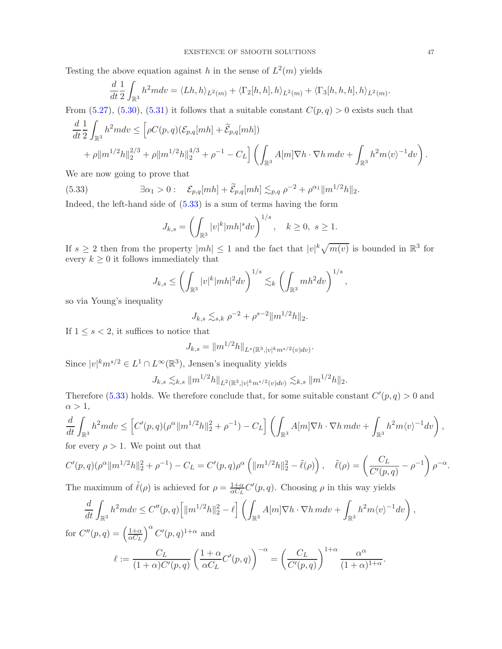Testing the above equation against h in the sense of  $L^2(m)$  yields

$$
\frac{d}{dt}\frac{1}{2}\int_{\mathbb{R}^3}h^2mdv = \langle Lh,h\rangle_{L^2(m)} + \langle \Gamma_2[h,h],h\rangle_{L^2(m)} + \langle \Gamma_3[h,h,h],h\rangle_{L^2(m)}.
$$

From  $(5.27)$ ,  $(5.30)$ ,  $(5.31)$  it follows that a suitable constant  $C(p,q) > 0$  exists such that

$$
\frac{d}{dt} \frac{1}{2} \int_{\mathbb{R}^3} h^2 m dv \le \left[ \rho C(p, q) (\mathcal{E}_{p,q}[mh] + \widetilde{\mathcal{E}}_{p,q}[mh]) + \rho \|m^{1/2}h\|_2^{2/3} + \rho \|m^{1/2}h\|_2^{4/3} + \rho^{-1} - C_L \right] \left( \int_{\mathbb{R}^3} A[m] \nabla h \cdot \nabla h \, m dv + \int_{\mathbb{R}^3} h^2 m \langle v \rangle^{-1} dv \right).
$$

We are now going to prove that

(5.33) 
$$
\exists \alpha_1 > 0: \mathcal{E}_{p,q}[mh] + \widetilde{\mathcal{E}}_{p,q}[mh] \lesssim_{p,q} \rho^{-2} + \rho^{\alpha_1} ||m^{1/2}h||_2.
$$
 Indeed, the left hand side of (5.32) is a sum of terms having the form

Indeed, the left-hand side of [\(5.33\)](#page-46-0) is a sum of terms having the form

<span id="page-46-0"></span>
$$
J_{k,s} = \left(\int_{\mathbb{R}^3} |v|^k |mh|^s dv\right)^{1/s}, \quad k \ge 0, \ s \ge 1.
$$

If  $s \geq 2$  then from the property  $|mh| \leq 1$  and the fact that  $|v|^k \sqrt{m(v)}$  is bounded in  $\mathbb{R}^3$  for every  $k \geq 0$  it follows immediately that

$$
J_{k,s} \le \left(\int_{\mathbb{R}^3} |v|^k |mh|^2 dv\right)^{1/s} \lesssim_k \left(\int_{\mathbb{R}^3} mh^2 dv\right)^{1/s},
$$

so via Young's inequality

$$
J_{k,s} \lesssim_{s,k} \rho^{-2} + \rho^{s-2} ||m^{1/2}h||_2.
$$

If  $1 \leq s < 2$ , it suffices to notice that

$$
J_{k,s} = ||m^{1/2}h||_{L^s(\mathbb{R}^3,|v|^k m^{s/2}(v)dv)}.
$$

Since  $|v|^k m^{s/2} \in L^1 \cap L^\infty(\mathbb{R}^3)$ , Jensen's inequality yields

$$
J_{k,s} \lesssim_{k,s} \|m^{1/2}h\|_{L^2(\mathbb{R}^3,|v|^k m^{s/2}(v)dv)} \lesssim_{k,s} \|m^{1/2}h\|_2.
$$

Therefore [\(5.33\)](#page-46-0) holds. We therefore conclude that, for some suitable constant  $C'(p,q) > 0$  and  $\alpha > 1$ ,

$$
\frac{d}{dt} \int_{\mathbb{R}^3} h^2 m dv \le \left[ C'(p, q) (\rho^{\alpha} ||m^{1/2} h||_2^2 + \rho^{-1}) - C_L \right] \left( \int_{\mathbb{R}^3} A[m] \nabla h \cdot \nabla h \, m dv + \int_{\mathbb{R}^3} h^2 m \langle v \rangle^{-1} dv \right),
$$
for every  $\rho > 1$ . We point out that

for every  $\rho > 1$ . We point out that

$$
C'(p,q)(\rho^{\alpha}||m^{1/2}h||_2^2 + \rho^{-1}) - C_L = C'(p,q)\rho^{\alpha}\left(||m^{1/2}h||_2^2 - \tilde{\ell}(\rho)\right), \quad \tilde{\ell}(\rho) = \left(\frac{C_L}{C'(p,q)} - \rho^{-1}\right)\rho^{-\alpha}.
$$

The maximum of  $\tilde{\ell}(\rho)$  is achieved for  $\rho = \frac{1+\alpha}{\alpha C}$  $\frac{1+\alpha}{\alpha C_L}C'(p,q)$ . Choosing  $\rho$  in this way yields

$$
\frac{d}{dt} \int_{\mathbb{R}^3} h^2 m dv \le C''(p, q) \left[ ||m^{1/2}h||_2^2 - \ell \right] \left( \int_{\mathbb{R}^3} A[m] \nabla h \cdot \nabla h \, m dv + \int_{\mathbb{R}^3} h^2 m \langle v \rangle^{-1} dv \right),
$$
  

$$
W(x) = \left( \frac{1 + \alpha}{2} \right)^{\alpha} C'(x) \left( \frac{1 + \alpha}{2} \right)^{\alpha} C'(x) \left( \frac{1 + \alpha}{2} \right)^{\alpha} C'(x) \left( \frac{1 + \alpha}{2} \right)^{\alpha} C'(x) \left( \frac{1 + \alpha}{2} \right)^{\alpha} C'(x) \left( \frac{1 + \alpha}{2} \right)^{\alpha} C'(x) \left( \frac{1 + \alpha}{2} \right)^{\alpha} C'(x) \left( \frac{1 + \alpha}{2} \right)^{\alpha} C'(x) \left( \frac{1 + \alpha}{2} \right)^{\alpha} C'(x) \left( \frac{1 + \alpha}{2} \right)^{\alpha} C'(x) \left( \frac{1 + \alpha}{2} \right)^{\alpha} C'(x) \left( \frac{1 + \alpha}{2} \right)^{\alpha} C'(x) \left( \frac{1 + \alpha}{2} \right)^{\alpha} C'(x) \left( \frac{1 + \alpha}{2} \right)^{\alpha} C'(x) \left( \frac{1 + \alpha}{2} \right)^{\alpha} C'(x) \left( \frac{1 + \alpha}{2} \right)^{\alpha} C'(x) \left( \frac{1 + \alpha}{2} \right)^{\alpha} C'(x) \left( \frac{1 + \alpha}{2} \right)^{\alpha} C'(x) \left( \frac{1 + \alpha}{2} \right)^{\alpha} C'(x) \left( \frac{1 + \alpha}{2} \right)^{\alpha} C'(x) \left( \frac{1 + \alpha}{2} \right)^{\alpha} C'(x) \left( \frac{1 + \alpha}{2} \right)^{\alpha} C'(x) \left( \frac{1 + \alpha}{2} \right)^{\alpha} C'(x) \left( \frac{1 + \alpha}{2} \right)^{\alpha} C'(x) \left( \frac{1 + \alpha}{2} \right)^{\alpha} C'(x) \left( \frac{1 + \alpha}{2} \right)^{\alpha} C'(x) \left( \frac{1 + \alpha}{2} \right)^{\alpha} C'(x) \left( \frac{1
$$

for  $C''(p,q) = \left(\frac{1+\alpha}{\alpha Cr}\right)$  $\alpha C_L$  $\int_0^{\alpha} C'(p,q)^{1+\alpha}$  and

$$
\ell := \frac{C_L}{(1+\alpha)C'(p,q)} \left(\frac{1+\alpha}{\alpha C_L}C'(p,q)\right)^{-\alpha} = \left(\frac{C_L}{C'(p,q)}\right)^{1+\alpha} \frac{\alpha^{\alpha}}{(1+\alpha)^{1+\alpha}}.
$$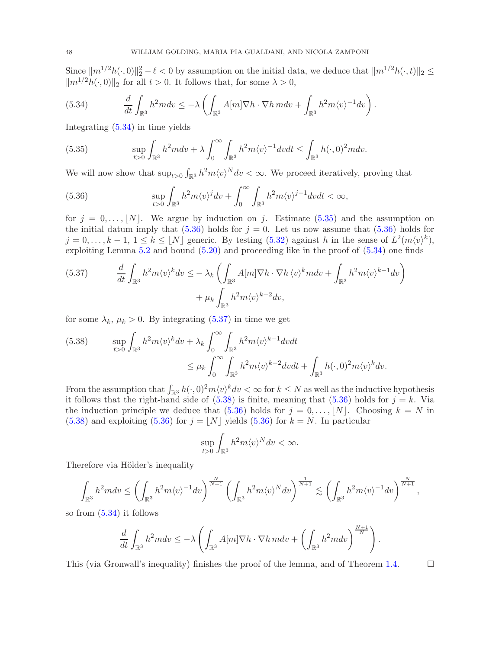Since  $||m^{1/2}h(\cdot, 0)||_2^2 - \ell < 0$  by assumption on the initial data, we deduce that  $||m^{1/2}h(\cdot, t)||_2 \le$  $\|m^{1/2}h(\cdot, 0)\|_2$  for all  $t > 0$ . It follows that, for some  $\lambda > 0$ ,

<span id="page-47-0"></span>(5.34) 
$$
\frac{d}{dt}\int_{\mathbb{R}^3}h^2mdv\leq -\lambda\left(\int_{\mathbb{R}^3}A[m]\nabla h\cdot\nabla h\,mdv+\int_{\mathbb{R}^3}h^2m\langle v\rangle^{-1}dv\right).
$$

Integrating [\(5.34\)](#page-47-0) in time yields

<span id="page-47-1"></span>(5.35) 
$$
\sup_{t>0} \int_{\mathbb{R}^3} h^2 m dv + \lambda \int_0^\infty \int_{\mathbb{R}^3} h^2 m \langle v \rangle^{-1} dv dt \leq \int_{\mathbb{R}^3} h(\cdot, 0)^2 m dv.
$$

We will now show that  $\sup_{t>0} \int_{\mathbb{R}^3} h^2 m \langle v \rangle^N dv < \infty$ . We proceed iteratively, proving that

<span id="page-47-2"></span>(5.36) 
$$
\sup_{t>0} \int_{\mathbb{R}^3} h^2 m \langle v \rangle^j dv + \int_0^\infty \int_{\mathbb{R}^3} h^2 m \langle v \rangle^{j-1} dv dt < \infty,
$$

for  $j = 0, \ldots, |N|$ . We argue by induction on j. Estimate [\(5.35\)](#page-47-1) and the assumption on the initial datum imply that  $(5.36)$  holds for  $j = 0$ . Let us now assume that  $(5.36)$  holds for  $j = 0, \ldots, k - 1, 1 \leq k \leq \lfloor N \rfloor$  generic. By testing  $(5.32)$  against h in the sense of  $L^2(m \langle v \rangle^k)$ , exploiting Lemma [5.2](#page-34-1) and bound [\(5.20\)](#page-38-1) and proceeding like in the proof of [\(5.34\)](#page-47-0) one finds

<span id="page-47-3"></span>(5.37) 
$$
\frac{d}{dt} \int_{\mathbb{R}^3} h^2 m \langle v \rangle^k dv \leq -\lambda_k \left( \int_{\mathbb{R}^3} A[m] \nabla h \cdot \nabla h \langle v \rangle^k m dv + \int_{\mathbb{R}^3} h^2 m \langle v \rangle^{k-1} dv \right) + \mu_k \int_{\mathbb{R}^3} h^2 m \langle v \rangle^{k-2} dv,
$$

for some  $\lambda_k$ ,  $\mu_k > 0$ . By integrating [\(5.37\)](#page-47-3) in time we get

<span id="page-47-4"></span>(5.38) 
$$
\sup_{t>0} \int_{\mathbb{R}^3} h^2 m \langle v \rangle^k dv + \lambda_k \int_0^{\infty} \int_{\mathbb{R}^3} h^2 m \langle v \rangle^{k-1} dv dt
$$
  
 
$$
\leq \mu_k \int_0^{\infty} \int_{\mathbb{R}^3} h^2 m \langle v \rangle^{k-2} dv dt + \int_{\mathbb{R}^3} h(\cdot, 0)^2 m \langle v \rangle^k dv.
$$

From the assumption that  $\int_{\mathbb{R}^3} h(\cdot,0)^2 m \langle v \rangle^k dv < \infty$  for  $k \leq N$  as well as the inductive hypothesis it follows that the right-hand side of  $(5.38)$  is finite, meaning that  $(5.36)$  holds for  $j = k$ . Via the induction principle we deduce that  $(5.36)$  holds for  $j = 0, \ldots, |N|$ . Choosing  $k = N$  in  $(5.38)$  and exploiting  $(5.36)$  for  $j = |N|$  yields  $(5.36)$  for  $k = N$ . In particular

$$
\sup_{t>0} \int_{\mathbb{R}^3} h^2 m \langle v \rangle^N dv < \infty.
$$

Therefore via Hölder's inequality

$$
\int_{\mathbb{R}^3} h^2 m dv \le \left( \int_{\mathbb{R}^3} h^2 m \langle v \rangle^{-1} dv \right)^{\frac{N}{N+1}} \left( \int_{\mathbb{R}^3} h^2 m \langle v \rangle^N dv \right)^{\frac{1}{N+1}} \lesssim \left( \int_{\mathbb{R}^3} h^2 m \langle v \rangle^{-1} dv \right)^{\frac{N}{N+1}},
$$

so from [\(5.34\)](#page-47-0) it follows

$$
\frac{d}{dt} \int_{\mathbb{R}^3} h^2 m dv \le -\lambda \left( \int_{\mathbb{R}^3} A[m] \nabla h \cdot \nabla h m dv + \left( \int_{\mathbb{R}^3} h^2 m dv \right)^{\frac{N+1}{N}} \right).
$$

This (via Gronwall's inequality) finishes the proof of the lemma, and of Theorem [1.4.](#page-4-0)  $\Box$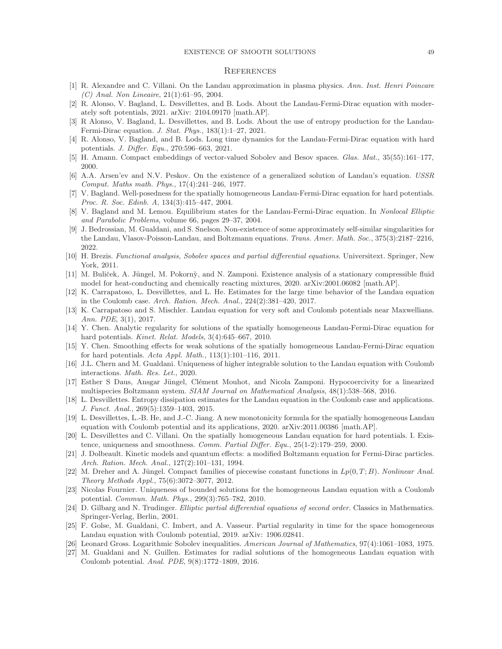#### EXISTENCE OF SMOOTH SOLUTIONS 49

#### **REFERENCES**

- <span id="page-48-0"></span>[1] R. Alexandre and C. Villani. On the Landau approximation in plasma physics. Ann. Inst. Henri Poincare (C) Anal. Non Lineaire, 21(1):61–95, 2004.
- <span id="page-48-2"></span>[2] R. Alonso, V. Bagland, L. Desvillettes, and B. Lods. About the Landau-Fermi-Dirac equation with moderately soft potentials, 2021. arXiv: 2104.09170 [math.AP].
- <span id="page-48-7"></span>[3] R Alonso, V. Bagland, L. Desvillettes, and B. Lods. About the use of entropy production for the Landau-Fermi-Dirac equation. J. Stat. Phys., 183(1):1–27, 2021.
- <span id="page-48-22"></span><span id="page-48-6"></span>[4] R. Alonso, V. Bagland, and B. Lods. Long time dynamics for the Landau-Fermi-Dirac equation with hard potentials. J. Differ. Equ., 270:596–663, 2021.
- <span id="page-48-10"></span>[5] H. Amann. Compact embeddings of vector-valued Sobolev and Besov spaces. Glas. Mat., 35(55):161–177, 2000.
- [6] A.A. Arsen'ev and N.V. Peskov. On the existence of a generalized solution of Landau's equation. USSR Comput. Maths math. Phys., 17(4):241–246, 1977.
- <span id="page-48-3"></span>[7] V. Bagland. Well-posedness for the spatially homogeneous Landau-Fermi-Dirac equation for hard potentials. Proc. R. Soc. Edinb. A, 134(3):415–447, 2004.
- <span id="page-48-17"></span><span id="page-48-8"></span>V. Bagland and M. Lemou. Equilibrium states for the Landau-Fermi-Dirac equation. In Nonlocal Elliptic and Parabolic Problems, volume 66, pages 29–37, 2004.
- [9] J. Bedrossian, M. Gualdani, and S. Snelson. Non-existence of some approximately self-similar singularities for the Landau, Vlasov-Poisson-Landau, and Boltzmann equations. Trans. Amer. Math. Soc., 375(3):2187–2216, 2022.
- <span id="page-48-24"></span><span id="page-48-21"></span>[10] H. Brezis. Functional analysis, Sobolev spaces and partial differential equations. Universitext. Springer, New York, 2011.
- [11] M. Buliček, A. Jüngel, M. Pokornỳ, and N. Zamponi. Existence analysis of a stationary compressible fluid model for heat-conducting and chemically reacting mixtures, 2020. arXiv:2001.06082 [math.AP].
- <span id="page-48-12"></span>[12] K. Carrapatoso, L. Desvillettes, and L. He. Estimates for the large time behavior of the Landau equation in the Coulomb case. Arch. Ration. Mech. Anal., 224(2):381–420, 2017.
- <span id="page-48-11"></span>[13] K. Carrapatoso and S. Mischler. Landau equation for very soft and Coulomb potentials near Maxwellians. Ann. PDE, 3(1), 2017.
- <span id="page-48-5"></span>[14] Y. Chen. Analytic regularity for solutions of the spatially homogeneous Landau-Fermi-Dirac equation for hard potentials. Kinet. Relat. Models, 3(4):645-667, 2010.
- <span id="page-48-4"></span>[15] Y. Chen. Smoothing effects for weak solutions of the spatially homogeneous Landau-Fermi-Dirac equation for hard potentials. Acta Appl. Math., 113(1):101–116, 2011.
- <span id="page-48-14"></span>[16] J.L. Chern and M. Gualdani. Uniqueness of higher integrable solution to the Landau equation with Coulomb interactions. Math. Res. Let., 2020.
- <span id="page-48-25"></span>[17] Esther S Daus, Ansgar Jüngel, Clément Mouhot, and Nicola Zamponi. Hypocoercivity for a linearized multispecies Boltzmann system. SIAM Journal on Mathematical Analysis, 48(1):538–568, 2016.
- <span id="page-48-9"></span>[18] L. Desvillettes. Entropy dissipation estimates for the Landau equation in the Coulomb case and applications. J. Funct. Anal., 269(5):1359–1403, 2015.
- <span id="page-48-15"></span>[19] L. Desvillettes, L.-B. He, and J.-C. Jiang. A new monotonicity formula for the spatially homogeneous Landau equation with Coulomb potential and its applications, 2020. arXiv:2011.00386 [math.AP].
- <span id="page-48-18"></span>[20] L. Desvillettes and C. Villani. On the spatially homogeneous Landau equation for hard potentials. I. Existence, uniqueness and smoothness. Comm. Partial Differ. Equ., 25(1-2):179–259, 2000.
- <span id="page-48-1"></span>[21] J. Dolbeault. Kinetic models and quantum effects: a modified Boltzmann equation for Fermi-Dirac particles. Arch. Ration. Mech. Anal., 127(2):101–131, 1994.
- <span id="page-48-20"></span>[22] M. Dreher and A. Jüngel. Compact families of piecewise constant functions in  $L_p(0,T;B)$ . Nonlinear Anal. Theory Methods Appl., 75(6):3072–3077, 2012.
- <span id="page-48-13"></span>[23] Nicolas Fournier. Uniqueness of bounded solutions for the homogeneous Landau equation with a Coulomb potential. Commun. Math. Phys., 299(3):765–782, 2010.
- <span id="page-48-19"></span>[24] D. Gilbarg and N. Trudinger. Elliptic partial differential equations of second order. Classics in Mathematics. Springer-Verlag, Berlin, 2001.
- <span id="page-48-16"></span>[25] F. Golse, M. Gualdani, C. Imbert, and A. Vasseur. Partial regularity in time for the space homogeneous Landau equation with Coulomb potential, 2019. arXiv: 1906.02841.
- <span id="page-48-26"></span><span id="page-48-23"></span>[26] Leonard Gross. Logarithmic Sobolev inequalities. American Journal of Mathematics, 97(4):1061–1083, 1975.
- [27] M. Gualdani and N. Guillen. Estimates for radial solutions of the homogeneous Landau equation with Coulomb potential. Anal. PDE, 9(8):1772–1809, 2016.